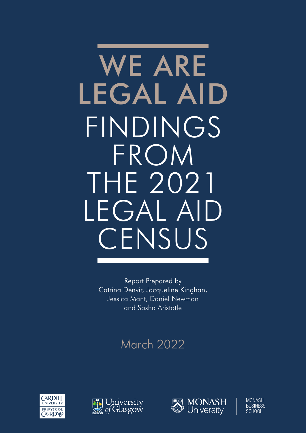# WE ARE LEGAL AID FINDINGS FROM THE 2021 LEGAL AID **CENSUS**

Report Prepared by Catrina Denvir, Jacqueline Kinghan, Jessica Mant, Daniel Newman and Sasha Aristotle

# March 2022







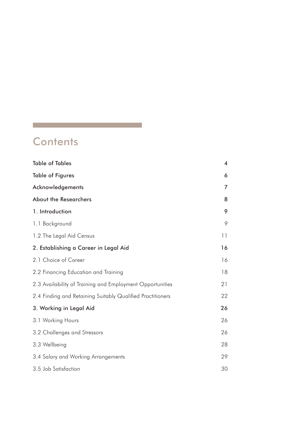# **Contents**

and the control of the control of the control of the control of the control of

| <b>Table of Tables</b>                                     | 4  |
|------------------------------------------------------------|----|
| <b>Table of Figures</b>                                    | 6  |
| Acknowledgements                                           | 7  |
| About the Researchers                                      | 8  |
| 1. Introduction                                            | 9  |
| 1.1 Background                                             | 9  |
| 1.2 The Legal Aid Census                                   | 11 |
| 2. Establishing a Career in Legal Aid                      | 16 |
| 2.1 Choice of Career                                       | 16 |
| 2.2 Financing Education and Training                       | 18 |
| 2.3 Availability of Training and Employment Opportunities  | 21 |
| 2.4 Finding and Retaining Suitably Qualified Practitioners | 22 |
| 3. Working in Legal Aid                                    | 26 |
| 3.1 Working Hours                                          | 26 |
| 3.2 Challenges and Stressors                               | 26 |
| 3.3 Wellbeing                                              | 28 |
| 3.4 Salary and Working Arrangements                        | 29 |
| 3.5 Job Satisfaction                                       | 30 |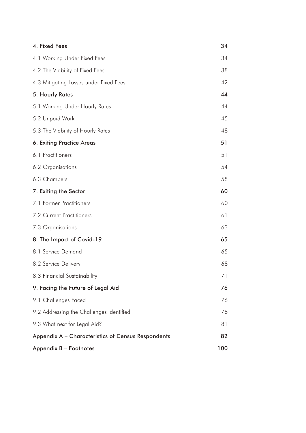| 4. Fixed Fees                                      | 34  |
|----------------------------------------------------|-----|
| 4.1 Working Under Fixed Fees                       | 34  |
| 4.2 The Viability of Fixed Fees                    | 38  |
| 4.3 Mitigating Losses under Fixed Fees             | 42  |
| 5. Hourly Rates                                    | 44  |
| 5.1 Working Under Hourly Rates                     | 44  |
| 5.2 Unpaid Work                                    | 45  |
| 5.3 The Viability of Hourly Rates                  | 48  |
| 6. Exiting Practice Areas                          | 51  |
| 6.1 Practitioners                                  | 51  |
| 6.2 Organisations                                  | 54  |
| 6.3 Chambers                                       | 58  |
| 7. Exiting the Sector                              | 60  |
| 7.1 Former Practitioners                           | 60  |
| <b>7.2 Current Practitioners</b>                   | 61  |
| 7.3 Organisations                                  | 63  |
| 8. The Impact of Covid-19                          | 65  |
| 8.1 Service Demand                                 | 65  |
| 8.2 Service Delivery                               | 68  |
| 8.3 Financial Sustainability                       | 71  |
| 9. Facing the Future of Legal Aid                  | 76  |
| 9.1 Challenges Faced                               | 76  |
| 9.2 Addressing the Challenges Identified           | 78  |
| 9.3 What next for Legal Aid?                       | 81  |
| Appendix A - Characteristics of Census Respondents | 82  |
| Appendix B - Footnotes                             | 100 |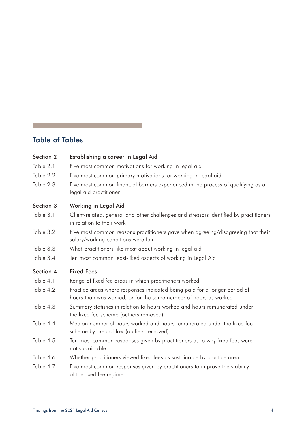# Table of Tables

<span id="page-3-0"></span>T

| Section 2 | Establishing a career in Legal Aid                                                                                                             |
|-----------|------------------------------------------------------------------------------------------------------------------------------------------------|
| Table 2.1 | Five most common motivations for working in legal aid                                                                                          |
| Table 2.2 | Five most common primary motivations for working in legal aid                                                                                  |
| Table 2.3 | Five most common financial barriers experienced in the process of qualifying as a<br>legal aid practitioner                                    |
| Section 3 | Working in Legal Aid                                                                                                                           |
| Table 3.1 | Client-related, general and other challenges and stressors identified by practitioners<br>in relation to their work                            |
| Table 3.2 | Five most common reasons practitioners gave when agreeing/disagreeing that their<br>salary/working conditions were fair                        |
| Table 3.3 | What practitioners like most about working in legal aid                                                                                        |
| Table 3.4 | Ten most common least-liked aspects of working in Legal Aid                                                                                    |
| Section 4 | <b>Fixed Fees</b>                                                                                                                              |
| Table 4.1 | Range of fixed fee areas in which practitioners worked                                                                                         |
| Table 4.2 | Practice areas where responses indicated being paid for a longer period of<br>hours than was worked, or for the same number of hours as worked |
| Table 4.3 | Summary statistics in relation to hours worked and hours remunerated under<br>the fixed fee scheme (outliers removed)                          |
| Table 4.4 | Median number of hours worked and hours remunerated under the fixed fee<br>scheme by area of law (outliers removed)                            |
| Table 4.5 | Ten most common responses given by practitioners as to why fixed fees were<br>not sustainable                                                  |
| Table 4.6 | Whether practitioners viewed fixed fees as sustainable by practice area                                                                        |
| Table 4.7 | Five most common responses given by practitioners to improve the viability<br>of the fixed fee regime                                          |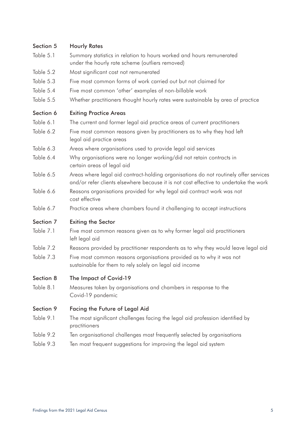#### Section 5 Hourly Rates

- Table 5.1 Summary statistics in relation to hours worked and hours remunerated under the hourly rate scheme (outliers removed)
- Table 5.2 Most significant cost not remunerated
- Table 5.3 Five most common forms of work carried out but not claimed for
- Table 5.4 Five most common 'other' examples of non-billable work
- Table 5.5 Whether practitioners thought hourly rates were sustainable by area of practice

#### Section 6 Exiting Practice Areas

- Table 6.1 The current and former legal aid practice areas of current practitioners
- Table 6.2 Five most common reasons given by practitioners as to why they had left legal aid practice areas
- Table 6.3 Areas where organisations used to provide legal aid services
- Table 6.4 Why organisations were no longer working/did not retain contracts in certain areas of legal aid
- Table 6.5 Areas where legal aid contract-holding organisations do not routinely offer services and/or refer clients elsewhere because it is not cost effective to undertake the work
- Table 6.6 Reasons organisations provided for why legal aid contract work was not cost effective
- Table 6.7 Practice areas where chambers found it challenging to accept instructions

#### Section 7 Exiting the Sector

- Table 7.1 Five most common reasons given as to why former legal aid practitioners left legal aid
- Table 7.2 Reasons provided by practitioner respondents as to why they would leave legal aid
- Table 7.3 Five most common reasons organisations provided as to why it was not sustainable for them to rely solely on legal aid income

#### Section 8 The Impact of Covid-19

Table 8.1 Measures taken by organisations and chambers in response to the Covid-19 pandemic

#### Section 9 Facing the Future of Legal Aid

- Table 9.1 The most significant challenges facing the legal aid profession identified by practitioners
- Table 9.2 Ten organisational challenges most frequently selected by organisations
- Table 9.3 Ten most frequent suggestions for improving the legal aid system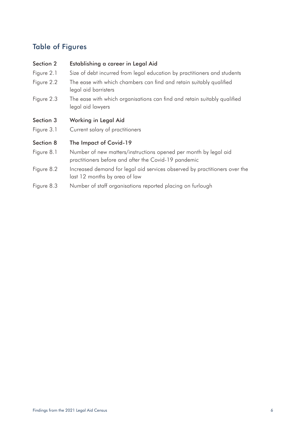# Table of Figures

### Section 2 Establishing a career in Legal Aid

- Figure 2.1 Size of debt incurred from legal education by practitioners and students
- Figure 2.2 The ease with which chambers can find and retain suitably qualified legal aid barristers
- Figure 2.3 The ease with which organisations can find and retain suitably qualified legal aid lawyers

#### Section 3 Working in Legal Aid

Figure 3.1 Current salary of practitioners

#### Section 8 The Impact of Covid-19

- Figure 8.1 Number of new matters/instructions opened per month by legal aid practitioners before and after the Covid-19 pandemic
- Figure 8.2 Increased demand for legal aid services observed by practitioners over the last 12 months by area of law
- Figure 8.3 Number of staff organisations reported placing on furlough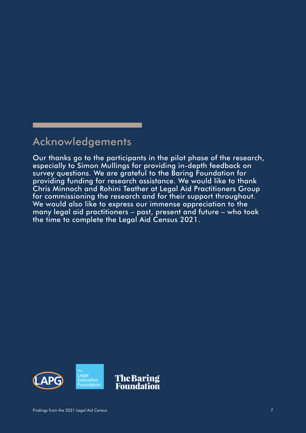# <span id="page-6-0"></span>Acknowledgements

Our thanks go to the participants in the pilot phase of the research, especially to Simon Mullings for providing in-depth feedback on survey questions. We are grateful to the Baring Foundation for providing funding for research assistance. We would like to thank Chris Minnoch and Rohini Teather at Legal Aid Practitioners Group for commissioning the research and for their support throughout. We would also like to express our immense appreciation to the many legal aid practitioners – past, present and future – who took the time to complete the Legal Aid Census 2021.

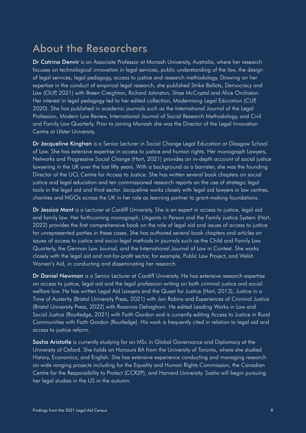# About the Researchers

Dr Catrina Denvir is an Associate Professor at Monash University, Australia, where her research focuses on technological innovation in legal services, public understanding of the law, the design of legal services, legal pedagogy, access to justice and research methodology. Drawing on her expertise in the conduct of empirical legal research, she published Strike Ballots, Democracy and Law (OUP, 2021) with Breen Creighton, Richard Johnston, Shae McCrystal and Alice Orchiston. Her interest in legal pedagogy led to her edited collection, Modernising Legal Education (CUP, 2020). She has published in academic journals such as the International Journal of the Legal Profession, Modern Law Review, International Journal of Social Research Methodology, and Civil and Family Law Quarterly. Prior to joining Monash she was the Director of the Legal Innovation Centre at Ulster University.

Dr Jacqueline Kinghan is a Senior Lecturer in Social Change Legal Education at Glasgow School of Law. She has extensive expertise in access to justice and human rights. Her monograph Lawyers, Networks and Progressive Social Change (Hart, 2021) provides an in-depth account of social justice lawyering in the UK over the last fifty years. With a background as a barrister, she was the founding Director of the UCL Centre for Access to Justice. She has written several book chapters on social justice and legal education and ten commissioned research reports on the use of strategic legal tools in the legal aid and third sector. Jacqueline works closely with legal aid lawyers in law centres, charities and NGOs across the UK in her role as learning partner to grant-making foundations.

Dr Jessica Mant is a Lecturer at Cardiff University. She is an expert in access to justice, legal aid and family law. Her forthcoming monograph, Litigants in Person and the Family Justice System (Hart, 2022) provides the first comprehensive book on the role of legal aid and issues of access to justice for unrepresented parties in these cases. She has authored several book chapters and articles on issues of access to justice and socio-legal methods in journals such as the Child and Family Law Quarterly, the German Law Journal, and the International Journal of Law in Context. She works closely with the legal aid and not-for-profit sector, for example, Public Law Project, and Welsh Women's Aid, in conducting and disseminating her research.

Dr Daniel Newman is a Senior Lecturer at Cardiff University. He has extensive research expertise on access to justice, legal aid and the legal profession writing on both criminal justice and social welfare law. He has written Legal Aid Lawyers and the Quest for Justice (Hart, 2013), Justice in a Time of Austerity (Bristol University Press, 2021) with Jon Robins and Experiences of Criminal Justice (Bristol University Press, 2022) with Roxanna Dehaghani. He edited Leading Works in Law and Social Justice (Routledge, 2021) with Faith Gordon and is currently editing Access to Justice in Rural Communities with Faith Gordon (Routledge). His work is frequently cited in relation to legal aid and access to justice reform.

Sasha Aristotle is currently studying for an MSc in Global Governance and Diplomacy at the University of Oxford. She holds an Honours BA from the University of Toronto, where she studied History, Economics, and English. She has extensive experience conducting and managing research on wide ranging projects including for the Equality and Human Rights Commission, the Canadian Centre for the Responsibility to Protect (CCR2P), and Harvard University. Sasha will begin pursuing her legal studies in the US in the autumn.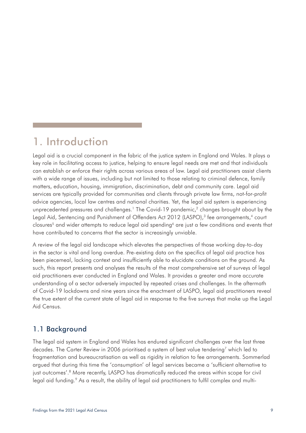# <span id="page-8-0"></span>1. Introduction

Legal aid is a crucial component in the fabric of the justice system in England and Wales. It plays a key role in facilitating access to justice, helping to ensure legal needs are met and that individuals can establish or enforce their rights across various areas of law. Legal aid practitioners assist clients with a wide range of issues, including but not limited to those relating to criminal defence, family matters, education, housing, immigration, discrimination, debt and community care. Legal aid services are typically provided for communities and clients through private law firms, not-for-profit advice agencies, local law centres and national charities. Yet, the legal aid system is experiencing unprecedented pressures and challenges.<sup>1</sup> The Covid-19 pandemic,<sup>2</sup> changes brought about by the Legal Aid, Sentencing and Punishment of Offenders Act 2012 (LASPO),<sup>3</sup> fee arrangements,<sup>4</sup> court closures<sup>5</sup> and wider attempts to reduce legal aid spending<sup>6</sup> are just a few conditions and events that have contributed to concerns that the sector is increasingly unviable.

A review of the legal aid landscape which elevates the perspectives of those working day-to-day in the sector is vital and long overdue. Pre-existing data on the specifics of legal aid practice has been piecemeal, lacking context and insufficiently able to elucidate conditions on the ground. As such, this report presents and analyses the results of the most comprehensive set of surveys of legal aid practitioners ever conducted in England and Wales. It provides a greater and more accurate understanding of a sector adversely impacted by repeated crises and challenges. In the aftermath of Covid-19 lockdowns and nine years since the enactment of LASPO, legal aid practitioners reveal the true extent of the current state of legal aid in response to the five surveys that make up the Legal Aid Census.

# 1.1 Background

The legal aid system in England and Wales has endured significant challenges over the last three decades. The Carter Review in 2006 prioritised a system of best value tendering<sup>7</sup> which led to fragmentation and bureaucratisation as well as rigidity in relation to fee arrangements. Sommerlad argued that during this time the 'consumption' of legal services became a 'sufficient alternative to just outcomes'.<sup>8</sup> More recently, LASPO has dramatically reduced the areas within scope for civil legal aid funding.<sup>9</sup> As a result, the ability of legal aid practitioners to fulfil complex and multi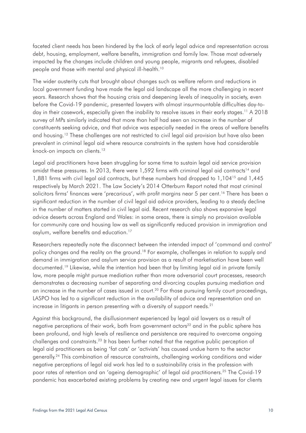faceted client needs has been hindered by the lack of early legal advice and representation across debt, housing, employment, welfare benefits, immigration and family law. Those most adversely impacted by the changes include children and young people, migrants and refugees, disabled people and those with mental and physical ill-health.10

The wider austerity cuts that brought about changes such as welfare reform and reductions in local government funding have made the legal aid landscape all the more challenging in recent years. Research shows that the housing crisis and deepening levels of inequality in society, even before the Covid-19 pandemic, presented lawyers with almost insurmountable difficulties day-today in their casework, especially given the inability to resolve issues in their early stages.<sup>11</sup> A 2018 survey of MPs similarly indicated that more than half had seen an increase in the number of constituents seeking advice, and that advice was especially needed in the areas of welfare benefits and housing.<sup>12</sup> These challenges are not restricted to civil legal aid provision but have also been prevalent in criminal legal aid where resource constraints in the system have had considerable knock-on impacts on clients.<sup>13</sup>

Legal aid practitioners have been struggling for some time to sustain legal aid service provision amidst these pressures. In 2013, there were  $1,592$  firms with criminal legal aid contracts<sup>14</sup> and 1,881 firms with civil legal aid contracts, but these numbers had dropped to 1,10415 and 1,445 respectively by March 2021. The Law Society's 2014 Otterburn Report noted that most criminal solicitors firms' finances were 'precarious', with profit margins near 5 per cent.<sup>16</sup> There has been a significant reduction in the number of civil legal aid advice providers, leading to a steady decline in the number of matters started in civil legal aid. Recent research also shows expansive legal advice deserts across England and Wales: in some areas, there is simply no provision available for community care and housing law as well as significantly reduced provision in immigration and asylum, welfare benefits and education.17

Researchers repeatedly note the disconnect between the intended impact of 'command and control' policy changes and the reality on the ground.<sup>18</sup> For example, challenges in relation to supply and demand in immigration and asylum service provision as a result of marketisation have been well documented.19 Likewise, while the intention had been that by limiting legal aid in private family law, more people might pursue mediation rather than more adversarial court processes, research demonstrates a decreasing number of separating and divorcing couples pursuing mediation and an increase in the number of cases issued in court.<sup>20</sup> For those pursuing family court proceedings, LASPO has led to a significant reduction in the availability of advice and representation and an increase in litigants in person presenting with a diversity of support needs.<sup>21</sup>

Against this background, the disillusionment experienced by legal aid lawyers as a result of negative perceptions of their work, both from government actors<sup>22</sup> and in the public sphere has been profound, and high levels of resilience and persistence are required to overcome ongoing challenges and constraints.<sup>23</sup> It has been further noted that the negative public perception of legal aid practitioners as being 'fat cats' or 'activists' has caused undue harm to the sector generally.24 This combination of resource constraints, challenging working conditions and wider negative perceptions of legal aid work has led to a sustainability crisis in the profession with poor rates of retention and an 'ageing demographic' of legal aid practitioners.<sup>25</sup> The Covid-19 pandemic has exacerbated existing problems by creating new and urgent legal issues for clients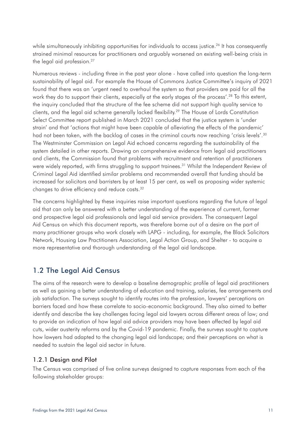<span id="page-10-0"></span>while simultaneously inhibiting opportunities for individuals to access justice.<sup>26</sup> It has consequently strained minimal resources for practitioners and arguably worsened an existing well-being crisis in the legal aid profession.<sup>27</sup>

Numerous reviews - including three in the past year alone - have called into question the long-term sustainability of legal aid. For example the House of Commons Justice Committee's inquiry of 2021 found that there was an 'urgent need to overhaul the system so that providers are paid for all the work they do to support their clients, especially at the early stages of the process'.<sup>28</sup> To this extent, the inquiry concluded that the structure of the fee scheme did not support high quality service to clients, and the legal aid scheme generally lacked flexibility.29 The House of Lords Constitution Select Committee report published in March 2021 concluded that the justice system is 'under strain' and that 'actions that might have been capable of alleviating the effects of the pandemic' had not been taken, with the backlog of cases in the criminal courts now reaching 'crisis levels'.<sup>30</sup> The Westminster Commission on Legal Aid echoed concerns regarding the sustainability of the system detailed in other reports. Drawing on comprehensive evidence from legal aid practitioners and clients, the Commission found that problems with recruitment and retention of practitioners were widely reported, with firms struggling to support trainees.<sup>31</sup> Whilst the Independent Review of Criminal Legal Aid identified similar problems and recommended overall that funding should be increased for solicitors and barristers by at least 15 per cent, as well as proposing wider systemic changes to drive efficiency and reduce costs.32

The concerns highlighted by these inquiries raise important questions regarding the future of legal aid that can only be answered with a better understanding of the experience of current, former and prospective legal aid professionals and legal aid service providers. The consequent Legal Aid Census on which this document reports, was therefore borne out of a desire on the part of many practitioner groups who work closely with LAPG - including, for example, the Black Solicitors Network, Housing Law Practitioners Association, Legal Action Group, and Shelter - to acquire a more representative and thorough understanding of the legal aid landscape.

# 1.2 The Legal Aid Census

The aims of the research were to develop a baseline demographic profile of legal aid practitioners as well as gaining a better understanding of education and training, salaries, fee arrangements and job satisfaction. The surveys sought to identify routes into the profession, lawyers' perceptions on barriers faced and how these correlate to socio-economic background. They also aimed to better identify and describe the key challenges facing legal aid lawyers across different areas of law; and to provide an indication of how legal aid advice providers may have been affected by legal aid cuts, wider austerity reforms and by the Covid-19 pandemic. Finally, the surveys sought to capture how lawyers had adapted to the changing legal aid landscape; and their perceptions on what is needed to sustain the legal aid sector in future.

# 1.2.1 Design and Pilot

The Census was comprised of five online surveys designed to capture responses from each of the following stakeholder groups: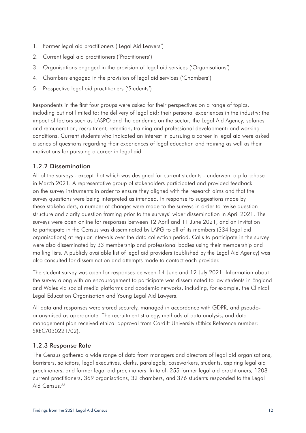- 1. Former legal aid practitioners ('Legal Aid Leavers')
- 2. Current legal aid practitioners ('Practitioners')
- 3. Organisations engaged in the provision of legal aid services ('Organisations')
- 4. Chambers engaged in the provision of legal aid services ('Chambers')
- 5. Prospective legal aid practitioners ('Students')

Respondents in the first four groups were asked for their perspectives on a range of topics, including but not limited to: the delivery of legal aid; their personal experiences in the industry; the impact of factors such as LASPO and the pandemic on the sector; the Legal Aid Agency; salaries and remuneration; recruitment, retention, training and professional development; and working conditions. Current students who indicated an interest in pursuing a career in legal aid were asked a series of questions regarding their experiences of legal education and training as well as their motivations for pursuing a career in legal aid.

## 1.2.2 Dissemination

All of the surveys - except that which was designed for current students - underwent a pilot phase in March 2021. A representative group of stakeholders participated and provided feedback on the survey instruments in order to ensure they aligned with the research aims and that the survey questions were being interpreted as intended. In response to suggestions made by these stakeholders, a number of changes were made to the surveys in order to revise question structure and clarify question framing prior to the surveys' wider dissemination in April 2021. The surveys were open online for responses between 12 April and 11 June 2021, and an invitation to participate in the Census was disseminated by LAPG to all of its members (334 legal aid organisations) at regular intervals over the data collection period. Calls to participate in the survey were also disseminated by 33 membership and professional bodies using their membership and mailing lists. A publicly available list of legal aid providers (published by the Legal Aid Agency) was also consulted for dissemination and attempts made to contact each provider.

The student survey was open for responses between 14 June and 12 July 2021. Information about the survey along with an encouragement to participate was disseminated to law students in England and Wales via social media platforms and academic networks, including, for example, the Clinical Legal Education Organisation and Young Legal Aid Lawyers.

All data and responses were stored securely, managed in accordance with GDPR, and pseudoanonymised as appropriate. The recruitment strategy, methods of data analysis, and data management plan received ethical approval from Cardiff University (Ethics Reference number: SREC/030221/02).

## 1.2.3 Response Rate

The Census gathered a wide range of data from managers and directors of legal aid organisations, barristers, solicitors, legal executives, clerks, paralegals, caseworkers, students, aspiring legal aid practitioners, and former legal aid practitioners. In total, 255 former legal aid practitioners, 1208 current practitioners, 369 organisations, 32 chambers, and 376 students responded to the Legal Aid Census.<sup>33</sup>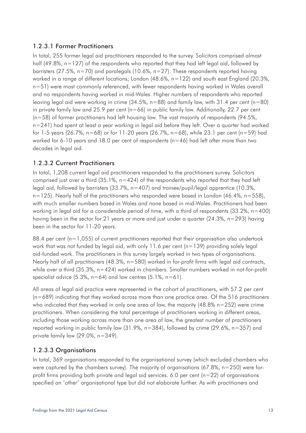### 1.2.3.1 Former Practitioners

In total, 255 former legal aid practitioners responded to the survey. Solicitors comprised almost half (49.8%, n=127) of the respondents who reported that they had left legal aid, followed by barristers (27.5%,  $n=70$ ) and paralegals (10.6%,  $n=27$ ). These respondents reported having worked in a range of different locations; London (48.6%, n=122) and south east England (20.3%, n=51) were most commonly referenced, with fewer respondents having worked in Wales overall and no respondents having worked in mid-Wales. Higher numbers of respondents who reported leaving legal aid were working in crime (34.5%, n=88) and family law, with 31.4 per cent (n=80) in private family law and 25.9 per cent ( $n=66$ ) in public family law. Additionally, 22.7 per cent (n=58) of former practitioners had left housing law. The vast majority of respondents (94.5%, n=241) had spent at least a year working in legal aid before they left. Over a quarter had worked for 1-5 years (26.7%, n=68) or for 11-20 years (26.7%, n=68), while 23.1 per cent (n=59) had worked for 6-10 years and 18.0 per cent of respondents (n=46) had left after more than two decades in legal aid.

#### 1.2.3.2 Current Practitioners

In total, 1,208 current legal aid practitioners responded to the practitioners survey. Solicitors comprised just over a third  $(35.1\%$ , n=424) of the respondents who reported that they had left legal aid, followed by barristers (33.7%, n=407) and trainee/pupil/legal apprentice (10.3%,  $n=125$ ). Nearly half of the practitioners who responded were based in London (46.4%,  $n=558$ ), with much smaller numbers based in Wales and none based in mid-Wales. Practitioners had been working in legal aid for a considerable period of time, with a third of respondents (33.2%, n=400) having been in the sector for 21 years or more and just under a quarter (24.3%, n=293) having been in the sector for 11-20 years.

88.4 per cent (n=1,055) of current practitioners reported that their organisation also undertook work that was not funded by legal aid, with only  $11.6$  per cent ( $n=139$ ) providing solely legal aid-funded work. The practitioners in this survey largely worked in two types of organisations. Nearly half of all practitioners (48.3%, n=580) worked in for-profit firms with legal aid contracts, while over a third (35.3%, n=424) worked in chambers. Smaller numbers worked in not-for-profit specialist advice  $(5.3\%$ , n=64) and law centres  $(5.1\%$ , n=61).

All areas of legal aid practice were represented in the cohort of practitioners, with 57.2 per cent  $(n=689)$  indicating that they worked across more than one practice area. Of the 516 practitioners who indicated that they worked in only one area of law, the majority  $(48.8\% n=252)$  were crime practitioners. When considering the total percentage of practitioners working in different areas, including those working across more than one area of law, the greatest number of practitioners reported working in public family law (31.9%, n=384), followed by crime (29.6%, n=357) and private family law (29.0%, n=349).

## 1.2.3.3 Organisations

In total, 369 organisations responded to the organisational survey (which excluded chambers who were captured by the chambers survey). The majority of organisations  $(67.8\% , n=250)$  were forprofit firms providing both private and legal aid services. 6.0 per cent  $(n=22)$  of organisations specified an 'other' organisational type but did not elaborate further. As with practitioners and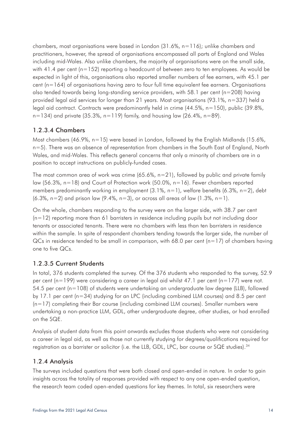chambers, most organisations were based in London (31.6%, n=116); unlike chambers and practitioners, however, the spread of organisations encompassed all parts of England and Wales including mid-Wales. Also unlike chambers, the majority of organisations were on the small side, with 41.4 per cent ( $n=152$ ) reporting a headcount of between zero to ten employees. As would be expected in light of this, organisations also reported smaller numbers of fee earners, with 45.1 per cent (n=164) of organisations having zero to four full time equivalent fee earners. Organisations also tended towards being long-standing service providers, with 58.1 per cent (n=208) having provided legal aid services for longer than 21 years. Most organisations (93.1%, n=337) held a legal aid contract. Contracts were predominantly held in crime (44.5%, n=150), public (39.8%,  $n=134$ ) and private (35.3%, n=119) family, and housing law (26.4%, n=89).

## 1.2.3.4 Chambers

Most chambers (46.9%,  $n=15$ ) were based in London, followed by the English Midlands (15.6%, n=5). There was an absence of representation from chambers in the South East of England, North Wales, and mid-Wales. This reflects general concerns that only a minority of chambers are in a position to accept instructions on publicly-funded cases.

The most common area of work was crime  $(65.6\%, n=21)$ , followed by public and private family law (56.3%, n=18) and Court of Protection work (50.0%, n=16). Fewer chambers reported members predominantly working in employment  $(3.1\% , n=1)$ , welfare benefits  $(6.3\% , n=2)$ , debt  $(6.3\% , n=2)$  and prison law  $(9.4\%, n=3)$ , or across all areas of law  $(1.3\%, n=1)$ .

On the whole, chambers responding to the survey were on the larger side, with 38.7 per cent  $(n=12)$  reporting more than 61 barristers in residence including pupils but not including door tenants or associated tenants. There were no chambers with less than ten barristers in residence within the sample. In spite of respondent chambers tending towards the larger side, the number of  $QCs$  in residence tended to be small in comparison, with 68.0 per cent (n=17) of chambers having one to five QCs.

# 1.2.3.5 Current Students

In total, 376 students completed the survey. Of the 376 students who responded to the survey, 52.9 per cent ( $n=199$ ) were considering a career in legal aid whilst 47.1 per cent ( $n=177$ ) were not. 54.5 per cent (n=108) of students were undertaking an undergraduate law degree (LLB), followed by 17.1 per cent (n=34) studying for an LPC (including combined LLM courses) and 8.5 per cent  $(n=17)$  completing their Bar course (including combined LLM courses). Smaller numbers were undertaking a non-practice LLM, GDL, other undergraduate degree, other studies, or had enrolled on the SQE.

Analysis of student data from this point onwards excludes those students who were not considering a career in legal aid, as well as those not currently studying for degrees/qualifications required for registration as a barrister or solicitor (i.e. the LLB, GDL, LPC, bar course or SQE studies).<sup>34</sup>

## 1.2.4 Analysis

The surveys included questions that were both closed and open-ended in nature. In order to gain insights across the totality of responses provided with respect to any one open-ended question, the research team coded open-ended questions for key themes. In total, six researchers were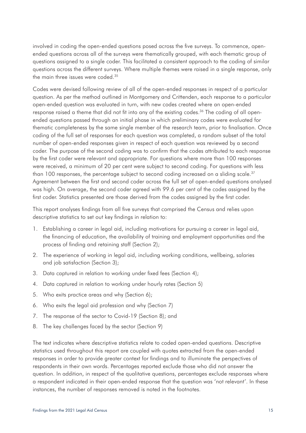involved in coding the open-ended questions posed across the five surveys. To commence, openended questions across all of the surveys were thematically grouped, with each thematic group of questions assigned to a single coder. This facilitated a consistent approach to the coding of similar questions across the different surveys. Where multiple themes were raised in a single response, only the main three issues were coded.<sup>35</sup>

Codes were devised following review of all of the open-ended responses in respect of a particular question. As per the method outlined in Montgomery and Crittenden, each response to a particular open-ended question was evaluated in turn, with new codes created where an open-ended response raised a theme that did not fit into any of the existing codes.<sup>36</sup> The coding of all openended questions passed through an initial phase in which preliminary codes were evaluated for thematic completeness by the same single member of the research team, prior to finalisation. Once coding of the full set of responses for each question was completed, a random subset of the total number of open-ended responses given in respect of each question was reviewed by a second coder. The purpose of the second coding was to confirm that the codes attributed to each response by the first coder were relevant and appropriate. For questions where more than 100 responses were received, a minimum of 20 per cent were subject to second coding. For questions with less than 100 responses, the percentage subject to second coding increased on a sliding scale.<sup>37</sup> Agreement between the first and second coder across the full set of open-ended questions analysed was high. On average, the second coder agreed with 99.6 per cent of the codes assigned by the first coder. Statistics presented are those derived from the codes assigned by the first coder.

This report analyses findings from all five surveys that comprised the Census and relies upon descriptive statistics to set out key findings in relation to:

- 1. Establishing a career in legal aid, including motivations for pursuing a career in legal aid, the financing of education, the availability of training and employment opportunities and the process of finding and retaining staff (Section 2);
- 2. The experience of working in legal aid, including working conditions, wellbeing, salaries and job satisfaction (Section 3);
- 3. Data captured in relation to working under fixed fees (Section 4);
- 4. Data captured in relation to working under hourly rates (Section 5)
- 5. Who exits practice areas and why (Section 6);
- 6. Who exits the legal aid profession and why (Section 7)
- 7. The response of the sector to Covid-19 (Section 8); and
- 8. The key challenges faced by the sector (Section 9)

The text indicates where descriptive statistics relate to coded open-ended questions. Descriptive statistics used throughout this report are coupled with quotes extracted from the open-ended responses in order to provide greater context for findings and to illuminate the perspectives of respondents in their own words. Percentages reported exclude those who did not answer the question. In addition, in respect of the qualitative questions, percentages exclude responses where a respondent indicated in their open-ended response that the question was 'not relevant'. In these instances, the number of responses removed is noted in the footnotes.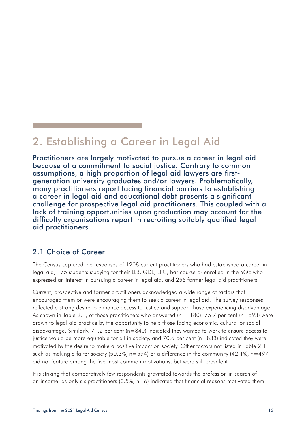# <span id="page-15-0"></span>2. Establishing a Career in Legal Aid

Practitioners are largely motivated to pursue a career in legal aid because of a commitment to social justice. Contrary to common assumptions, a high proportion of legal aid lawyers are firstgeneration university graduates and/or lawyers. Problematically, many practitioners report facing financial barriers to establishing a career in legal aid and educational debt presents a significant challenge for prospective legal aid practitioners. This coupled with a lack of training opportunities upon graduation may account for the difficulty organisations report in recruiting suitably qualified legal aid practitioners.

# 2.1 Choice of Career

The Census captured the responses of 1208 current practitioners who had established a career in legal aid, 175 students studying for their LLB, GDL, LPC, bar course or enrolled in the SQE who expressed an interest in pursuing a career in legal aid, and 255 former legal aid practitioners.

Current, prospective and former practitioners acknowledged a wide range of factors that encouraged them or were encouraging them to seek a career in legal aid. The survey responses reflected a strong desire to enhance access to justice and support those experiencing disadvantage. As shown in Table 2.1, of those practitioners who answered ( $n=1180$ ), 75.7 per cent ( $n=893$ ) were drawn to legal aid practice by the opportunity to help those facing economic, cultural or social disadvantage. Similarly, 71.2 per cent (n=840) indicated they wanted to work to ensure access to justice would be more equitable for all in society, and 70.6 per cent ( $n=833$ ) indicated they were motivated by the desire to make a positive impact on society. Other factors not listed in Table 2.1 such as making a fairer society (50.3%, n=594) or a difference in the community (42.1%, n=497) did not feature among the five most common motivations, but were still prevalent.

It is striking that comparatively few respondents gravitated towards the profession in search of an income, as only six practitioners  $(0.5\% , n=6)$  indicated that financial reasons motivated them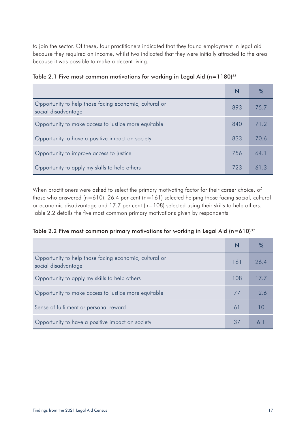to join the sector. Of these, four practitioners indicated that they found employment in legal aid because they required an income, whilst two indicated that they were initially attracted to the area because it was possible to make a decent living.

|                                                                               | N   |      |
|-------------------------------------------------------------------------------|-----|------|
| Opportunity to help those facing economic, cultural or<br>social disadvantage | 893 | 75.7 |
| Opportunity to make access to justice more equitable                          | 840 | 712  |
| Opportunity to have a positive impact on society                              | 833 | 70 6 |
| Opportunity to improve access to justice                                      | 756 | 64.1 |
| Opportunity to apply my skills to help others                                 | 723 | 613  |

| Table 2.1 Five most common motivations for working in Legal Aid (n=1180) $^{38}$ |  |  |  |
|----------------------------------------------------------------------------------|--|--|--|
|----------------------------------------------------------------------------------|--|--|--|

When practitioners were asked to select the primary motivating factor for their career choice, of those who answered (n=610), 26.4 per cent (n=161) selected helping those facing social, cultural or economic disadvantage and 17.7 per cent (n=108) selected using their skills to help others. Table 2.2 details the five most common primary motivations given by respondents.

|  |  |  | Table 2.2 Five most common primary motivations for working in Legal Aid (n=610) $^{\scriptscriptstyle 39}$ |  |  |  |  |
|--|--|--|------------------------------------------------------------------------------------------------------------|--|--|--|--|
|  |  |  |                                                                                                            |  |  |  |  |

| Opportunity to help those facing economic, cultural or<br>social disadvantage | 161           | 26.4 |
|-------------------------------------------------------------------------------|---------------|------|
| Opportunity to apply my skills to help others                                 | 108           |      |
| Opportunity to make access to justice more equitable                          | $\frac{1}{2}$ | 12.6 |
| Sense of fulfilment or personal reward                                        | 61            |      |
| Opportunity to have a positive impact on society                              | 37            |      |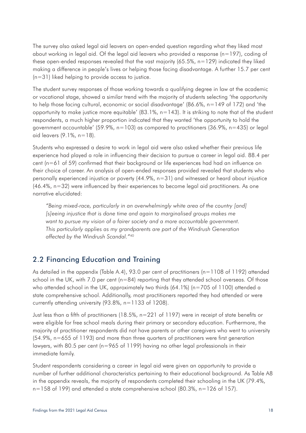<span id="page-17-0"></span>The survey also asked legal aid leavers an open-ended question regarding what they liked most about working in legal aid. Of the legal aid leavers who provided a response ( $n=197$ ), coding of these open-ended responses revealed that the vast majority (65.5%, n=129) indicated they liked making a difference in people's lives or helping those facing disadvantage. A further 15.7 per cent (n=31) liked helping to provide access to justice.

The student survey responses of those working towards a qualifying degree in law at the academic or vocational stage, showed a similar trend with the majority of students selecting 'the opportunity to help those facing cultural, economic or social disadvantage' (86.6%, n=149 of 172) and 'the opportunity to make justice more equitable'  $(83.1\% , n=143)$ . It is striking to note that of the student respondents, a much higher proportion indicated that they wanted 'the opportunity to hold the government accountable' (59.9%,  $n=103$ ) as compared to practitioners (36.9%,  $n=435$ ) or legal aid leavers (9.1%, n=18).

Students who expressed a desire to work in legal aid were also asked whether their previous life experience had played a role in influencing their decision to pursue a career in legal aid. 88.4 per cent (n=61 of 59) confirmed that their background or life experiences had had an influence on their choice of career. An analysis of open-ended responses provided revealed that students who personally experienced injustice or poverty (44.9%, n=31) and witnessed or heard about injustice (46.4%, n=32) were influenced by their experiences to become legal aid practitioners. As one narrative elucidated:

*"Being mixed-race, particularly in an overwhelmingly white area of the country [and] [s]eeing injustice that is done time and again to marginalised groups makes me want to pursue my vision of a fairer society and a more accountable government. This particularly applies as my grandparents are part of the Windrush Generation affected by the Windrush Scandal."*<sup>40</sup>

# 2.2 Financing Education and Training

As detailed in the appendix (Table A.4), 93.0 per cent of practitioners (n=1108 of 1192) attended school in the UK, with 7.0 per cent ( $n=84$ ) reporting that they attended school overseas. Of those who attended school in the UK, approximately two thirds  $(64.1\%)$  (n=705 of 1100) attended a state comprehensive school. Additionally, most practitioners reported they had attended or were currently attending university (93.8%, n=1133 of 1208).

Just less than a fifth of practitioners (18.5%, n=221 of 1197) were in receipt of state benefits or were eligible for free school meals during their primary or secondary education. Furthermore, the majority of practitioner respondents did not have parents or other caregivers who went to university (54.9%, n=655 of 1193) and more than three quarters of practitioners were first generation lawyers, with 80.5 per cent (n=965 of 1199) having no other legal professionals in their immediate family.

Student respondents considering a career in legal aid were given an opportunity to provide a number of further additional characteristics pertaining to their educational background. As Table A8 in the appendix reveals, the majority of respondents completed their schooling in the UK (79.4%, n=158 of 199) and attended a state comprehensive school (80.3%, n=126 of 157).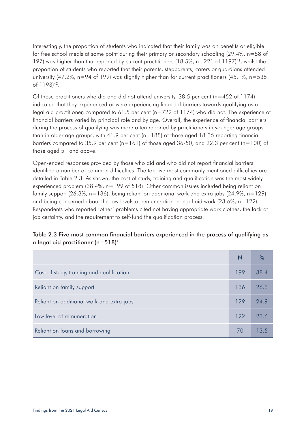Interestingly, the proportion of students who indicated that their family was on benefits or eligible for free school meals at some point during their primary or secondary schooling (29.4%, n=58 of 197) was higher than that reported by current practitioners (18.5%,  $n=221$  of 1197)<sup>41</sup>, whilst the proportion of students who reported that their parents, stepparents, carers or guardians attended university (47.2%,  $n=94$  of 199) was slightly higher than for current practitioners (45.1%,  $n=538$ of 1193)42.

Of those practitioners who did and did not attend university, 38.5 per cent ( $n=452$  of 1174) indicated that they experienced or were experiencing financial barriers towards qualifying as a legal aid practitioner, compared to 61.5 per cent (n=722 of 1174) who did not. The experience of financial barriers varied by principal role and by age. Overall, the experience of financial barriers during the process of qualifying was more often reported by practitioners in younger age groups than in older age groups, with 41.9 per cent  $(n=188)$  of those aged 18-35 reporting financial barriers compared to 35.9 per cent ( $n=161$ ) of those aged 36-50, and 22.3 per cent ( $n=100$ ) of those aged 51 and above.

Open-ended responses provided by those who did and who did not report financial barriers identified a number of common difficulties. The top five most commonly mentioned difficulties are detailed in Table 2.3. As shown, the cost of study, training and qualification was the most widely experienced problem (38.4%, n=199 of 518). Other common issues included being reliant on family support (26.3%, n=136), being reliant on additional work and extra jobs (24.9%, n=129), and being concerned about the low levels of remuneration in legal aid work  $(23.6\% , n=122)$ . Respondents who reported 'other' problems cited not having appropriate work clothes, the lack of job certainty, and the requirement to self-fund the qualification process.

#### Table 2.3 Five most common financial barriers experienced in the process of qualifying as a legal aid practitioner  $(n=518)^{43}$

|                                           | N   | %    |
|-------------------------------------------|-----|------|
| Cost of study, training and qualification | 199 | 38.4 |
| Reliant on family support                 | 136 | 26.3 |
| Reliant on additional work and extra jobs | 129 | 24.9 |
| Low level of remuneration                 | 122 | 23.6 |
| Reliant on loans and borrowing            | 70  | 13.5 |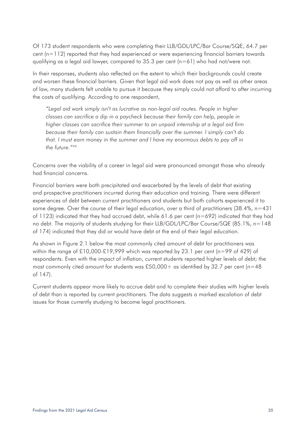Of 173 student respondents who were completing their LLB/GDL/LPC/Bar Course/SQE, 64.7 per cent (n=112) reported that they had experienced or were experiencing financial barriers towards qualifying as a legal aid lawyer, compared to 35.3 per cent (n=61) who had not/were not.

In their responses, students also reflected on the extent to which their backgrounds could create and worsen these financial barriers. Given that legal aid work does not pay as well as other areas of law, many students felt unable to pursue it because they simply could not afford to after incurring the costs of qualifying. According to one respondent,

*"Legal aid work simply isn't as lucrative as non-legal aid routes. People in higher classes can sacrifice a dip in a paycheck because their family can help, people in higher classes can sacrifice their summer to an unpaid internship at a legal aid firm because their family can sustain them financially over the summer. I simply can't do that. I must earn money in the summer and I have my enormous debts to pay off in the future."*<sup>44</sup>

Concerns over the viability of a career in legal aid were pronounced amongst those who already had financial concerns.

Financial barriers were both precipitated and exacerbated by the levels of debt that existing and prospective practitioners incurred during their education and training. There were different experiences of debt between current practitioners and students but both cohorts experienced it to some degree. Over the course of their legal education, over a third of practitioners (38.4%, n=431 of 1123) indicated that they had accrued debt, while 61.6 per cent ( $n=692$ ) indicated that they had no debt. The majority of students studying for their LLB/GDL/LPC/Bar Course/SQE (85.1%, n=148 of 174) indicated that they did or would have debt at the end of their legal education.

As shown in Figure 2.1 below the most commonly cited amount of debt for practitioners was within the range of £10,000-£19,999 which was reported by 23.1 per cent (n=99 of 429) of respondents. Even with the impact of inflation, current students reported higher levels of debt; the most commonly cited amount for students was £50,000+ as identified by 32.7 per cent (n=48) of 147).

Current students appear more likely to accrue debt and to complete their studies with higher levels of debt than is reported by current practitioners. The data suggests a marked escalation of debt issues for those currently studying to become legal practitioners.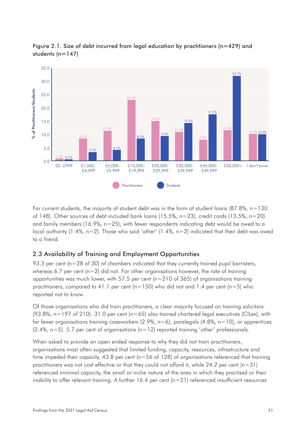

<span id="page-20-0"></span>Figure 2.1. Size of debt incurred from legal education by practitioners (n=429) and students  $(n=147)$ 

For current students, the majority of student debt was in the form of student loans (87.8%, n=130 of 148). Other sources of debt included bank loans (15.5%, n=23), credit cards (13.5%, n=20) and family members (16.9%, n=25), with fewer respondents indicating debt would be owed to a local authority (1.4%, n=2). Those who said 'other' (1.4%, n=2) indicated that their debt was owed to a friend.

## 2.3 Availability of Training and Employment Opportunities

93.3 per cent (n=28 of 30) of chambers indicated that they currently trained pupil barristers, whereas 6.7 per cent ( $n=2$ ) did not. For other organisations however, the rate of training opportunities was much lower, with 57.5 per cent (n=210 of 365) of organisations training practitioners, compared to 41.1 per cent ( $n=150$ ) who did not and 1.4 per cent ( $n=5$ ) who reported not to know.

Of those organisations who did train practitioners, a clear majority focused on training solicitors  $(93.8\%$ , n=197 of 210). 31.0 per cent (n=65) also trained chartered legal executives (CILex), with far fewer organisations training caseworkers  $(2.9\%$ , n=6), paralegals  $(4.8\%$ , n=10), or apprentices  $(2.4\%$ , n=5). 5.7 per cent of organisations  $(n=12)$  reported training 'other' professionals.

When asked to provide an open ended response to why they did not train practitioners, organisations most often suggested that limited funding, capacity, resources, infrastructure and time impeded their capacity. 43.8 per cent (n=56 of 128) of organisations referenced that training practitioners was not cost effective or that they could not afford it, while 24.2 per cent (n=31) referenced minimal capacity, the small or niche nature of the area in which they practised or their inability to offer relevant training. A further  $16.4$  per cent ( $n=21$ ) referenced insufficient resources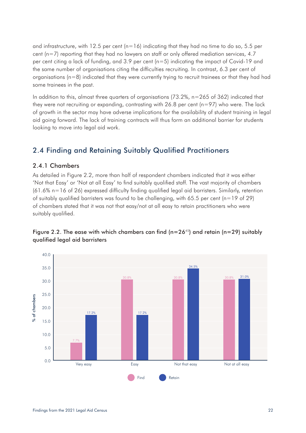<span id="page-21-0"></span>and infrastructure, with 12.5 per cent ( $n=16$ ) indicating that they had no time to do so, 5.5 per cent  $(n=7)$  reporting that they had no lawyers on staff or only offered mediation services, 4.7 per cent citing a lack of funding, and 3.9 per cent (n=5) indicating the impact of Covid-19 and the same number of organisations citing the difficulties recruiting. In contrast, 6.3 per cent of organisations (n=8) indicated that they were currently trying to recruit trainees or that they had had some trainees in the past.

In addition to this, almost three quarters of organisations  $(73.2\%$ ,  $n=265$  of 362) indicated that they were not recruiting or expanding, contrasting with  $26.8$  per cent ( $n=97$ ) who were. The lack of growth in the sector may have adverse implications for the availability of student training in legal aid going forward. The lack of training contracts will thus form an additional barrier for students looking to move into legal aid work.

# 2.4 Finding and Retaining Suitably Qualified Practitioners

#### 2.4.1 Chambers

As detailed in Figure 2.2, more than half of respondent chambers indicated that it was either 'Not that Easy' or 'Not at all Easy' to find suitably qualified staff. The vast majority of chambers (61.6% n=16 of 26) expressed difficulty finding qualified legal aid barristers. Similarly, retention of suitably qualified barristers was found to be challenging, with 65.5 per cent (n=19 of 29) of chambers stated that it was not that easy/not at all easy to retain practitioners who were suitably qualified.



#### Figure 2.2. The ease with which chambers can find  $(n=26^{45})$  and retain  $(n=29)$  suitably qualified legal aid barristers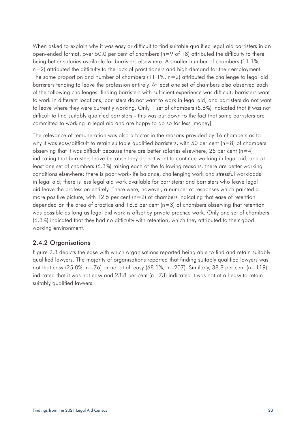When asked to explain why it was easy or difficult to find suitable qualified legal aid barristers in an open-ended format, over 50.0 per cent of chambers (n=9 of 18) attributed the difficulty to there being better salaries available for barristers elsewhere. A smaller number of chambers (11.1%, n=2) attributed the difficulty to the lack of practitioners and high demand for their employment. The same proportion and number of chambers (11.1%,  $n=2$ ) attributed the challenge to legal aid barristers tending to leave the profession entirely. At least one set of chambers also observed each of the following challenges: finding barristers with sufficient experience was difficult; barristers want to work in different locations; barristers do not want to work in legal aid; and barristers do not want to leave where they were currently working. Only 1 set of chambers (5.6%) indicated that it was not difficult to find suitably qualified barristers - this was put down to the fact that some barristers are committed to working in legal aid and are happy to do so for less [money].

The relevance of remuneration was also a factor in the reasons provided by 16 chambers as to why it was easy/difficult to retain suitable qualified barristers, with 50 per cent ( $n=8$ ) of chambers observing that it was difficult because there are better salaries elsewhere, 25 per cent ( $n=4$ ) indicating that barristers leave because they do not want to continue working in legal aid, and at least one set of chambers (6.3%) raising each of the following reasons: there are better working conditions elsewhere; there is poor work-life balance, challenging work and stressful workloads in legal aid; there is less legal aid work available for barristers; and barristers who leave legal aid leave the profession entirely. There were, however, a number of responses which painted a more positive picture, with 12.5 per cent  $(n=2)$  of chambers indicating that ease of retention depended on the area of practice and 18.8 per cent  $(n=3)$  of chambers observing that retention was possible as long as legal aid work is offset by private practice work. Only one set of chambers (6.3%) indicated that they had no difficulty with retention, which they attributed to their good working environment.

#### 2.4.2 Organisations

Figure 2.3 depicts the ease with which organisations reported being able to find and retain suitably qualified lawyers. The majority of organisations reported that finding suitably qualified lawyers was not that easy (25.0%,  $n=76$ ) or not at all easy (68.1%,  $n=207$ ). Similarly, 38.8 per cent (n=119) indicated that it was not easy and 23.8 per cent  $(n=73)$  indicated it was not at all easy to retain suitably qualified lawyers.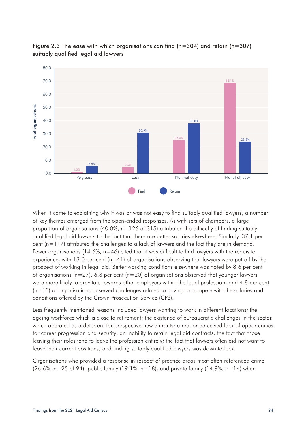

Figure 2.3 The ease with which organisations can find ( $n=304$ ) and retain ( $n=307$ ) suitably qualified legal aid lawyers

When it came to explaining why it was or was not easy to find suitably qualified lawyers, a number of key themes emerged from the open-ended responses. As with sets of chambers, a large proportion of organisations (40.0%,  $n=126$  of 315) attributed the difficulty of finding suitably qualified legal aid lawyers to the fact that there are better salaries elsewhere. Similarly, 37.1 per cent (n=117) attributed the challenges to a lack of lawyers and the fact they are in demand. Fewer organisations (14.6%,  $n=46$ ) cited that it was difficult to find lawyers with the requisite experience, with 13.0 per cent  $(n=41)$  of organisations observing that lawyers were put off by the prospect of working in legal aid. Better working conditions elsewhere was noted by 8.6 per cent of organisations ( $n=27$ ). 6.3 per cent ( $n=20$ ) of organisations observed that younger lawyers were more likely to gravitate towards other employers within the legal profession, and 4.8 per cent  $(n=15)$  of organisations observed challenges related to having to compete with the salaries and conditions offered by the Crown Prosecution Service (CPS).

Less frequently mentioned reasons included lawyers wanting to work in different locations; the ageing workforce which is close to retirement; the existence of bureaucratic challenges in the sector, which operated as a deterrent for prospective new entrants; a real or perceived lack of opportunities for career progression and security; an inability to retain legal aid contracts; the fact that those leaving their roles tend to leave the profession entirely; the fact that lawyers often did not want to leave their current positions; and finding suitably qualified lawyers was down to luck.

Organisations who provided a response in respect of practice areas most often referenced crime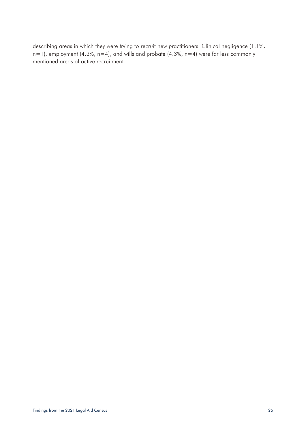describing areas in which they were trying to recruit new practitioners. Clinical negligence (1.1%,  $n=1$ ), employment (4.3%,  $n=4$ ), and wills and probate (4.3%,  $n=4$ ) were far less commonly mentioned areas of active recruitment.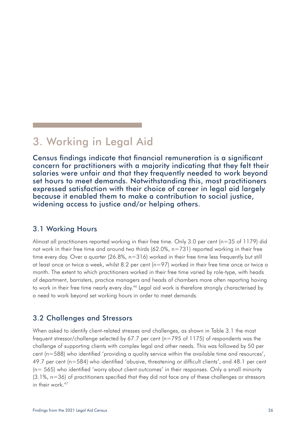# <span id="page-25-0"></span>3. Working in Legal Aid

Census findings indicate that financial remuneration is a significant concern for practitioners with a majority indicating that they felt their salaries were unfair and that they frequently needed to work beyond set hours to meet demands. Notwithstanding this, most practitioners expressed satisfaction with their choice of career in legal aid largely because it enabled them to make a contribution to social justice, widening access to justice and/or helping others.

## 3.1 Working Hours

Almost all practitioners reported working in their free time. Only 3.0 per cent (n=35 of 1179) did not work in their free time and around two thirds (62.0%, n=731) reported working in their free time every day. Over a quarter (26.8%, n=316) worked in their free time less frequently but still at least once or twice a week, whilst 8.2 per cent (n=97) worked in their free time once or twice a month. The extent to which practitioners worked in their free time varied by role-type, with heads of department, barristers, practice managers and heads of chambers more often reporting having to work in their free time nearly every day.<sup>46</sup> Legal aid work is therefore strongly characterised by a need to work beyond set working hours in order to meet demands.

# 3.2 Challenges and Stressors

When asked to identify client-related stresses and challenges, as shown in Table 3.1 the most frequent stressor/challenge selected by 67.7 per cent (n=795 of 1175) of respondents was the challenge of supporting clients with complex legal and other needs. This was followed by 50 per cent (n=588) who identified 'providing a quality service within the available time and resources', 49.7 per cent (n=584) who identified 'abusive, threatening or difficult clients', and 48.1 per cent (n= 565) who identified 'worry about client outcomes' in their responses. Only a small minority (3.1%, n=36) of practitioners specified that they did not face any of these challenges or stressors in their work.<sup>47</sup>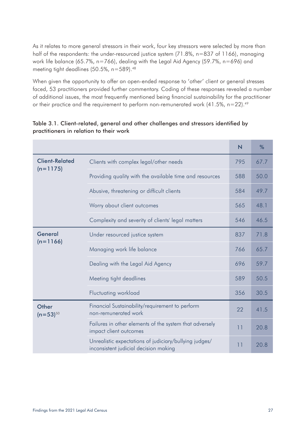As it relates to more general stressors in their work, four key stressors were selected by more than half of the respondents: the under-resourced justice system (71.8%, n=837 of 1166), managing work life balance (65.7%, n=766), dealing with the Legal Aid Agency (59.7%, n=696) and meeting tight deadlines (50.5%, n=589).<sup>48</sup>

When given the opportunity to offer an open-ended response to 'other' client or general stresses faced, 53 practitioners provided further commentary. Coding of these responses revealed a number of additional issues, the most frequently mentioned being financial sustainability for the practitioner or their practice and the requirement to perform non-remunerated work  $(41.5\%$ , n=22).<sup>49</sup>

|                        |                                                                                                 | $\overline{\mathsf{N}}$ | %    |
|------------------------|-------------------------------------------------------------------------------------------------|-------------------------|------|
| <b>Client-Related</b>  | Clients with complex legal/other needs                                                          | 795                     | 67.7 |
| $(n=1175)$             | Providing quality with the available time and resources                                         | 588                     | 50.0 |
|                        | Abusive, threatening or difficult clients                                                       | 584                     | 49.7 |
|                        | Worry about client outcomes                                                                     | 565                     | 48.1 |
|                        | Complexity and severity of clients' legal matters                                               | 546                     | 46.5 |
| General<br>$(n=1166)$  | Under resourced justice system                                                                  | 837                     | 71.8 |
|                        | Managing work life balance                                                                      | 766                     | 65.7 |
|                        | Dealing with the Legal Aid Agency                                                               | 696                     | 59.7 |
|                        | Meeting tight deadlines                                                                         | 589                     | 50.5 |
|                        | <b>Fluctuating workload</b>                                                                     | 356                     | 30.5 |
| Other<br>$(n=53)^{50}$ | Financial Sustainability/requirement to perform<br>non-remunerated work                         | 22                      | 41.5 |
|                        | Failures in other elements of the system that adversely<br>impact client outcomes               | 11                      | 20.8 |
|                        | Unrealistic expectations of judiciary/bullying judges/<br>inconsistent judicial decision making | 11                      | 20.8 |

## Table 3.1. Client-related, general and other challenges and stressors identified by practitioners in relation to their work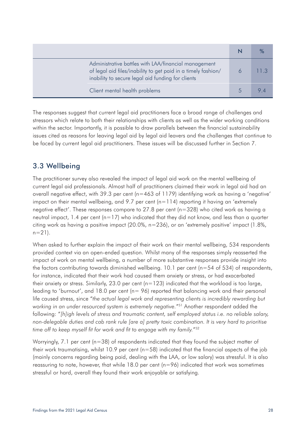<span id="page-27-0"></span>

| Administrative battles with LAA/financial management<br>of legal aid files/inability to get paid in a timely fashion/<br>inability to secure legal aid funding for clients |  |
|----------------------------------------------------------------------------------------------------------------------------------------------------------------------------|--|
| Client mental health problems                                                                                                                                              |  |

The responses suggest that current legal aid practitioners face a broad range of challenges and stressors which relate to both their relationships with clients as well as the wider working conditions within the sector. Importantly, it is possible to draw parallels between the financial sustainability issues cited as reasons for leaving legal aid by legal aid leavers and the challenges that continue to be faced by current legal aid practitioners. These issues will be discussed further in Section 7.

# 3.3 Wellbeing

The practitioner survey also revealed the impact of legal aid work on the mental wellbeing of current legal aid professionals. Almost half of practitioners claimed their work in legal aid had an overall negative effect, with 39.3 per cent (n=463 of 1179) identifying work as having a 'negative' impact on their mental wellbeing, and 9.7 per cent  $(n=114)$  reporting it having an 'extremely negative effect'. These responses compare to 27.8 per cent (n=328) who cited work as having a neutral impact, 1.4 per cent  $(n=17)$  who indicated that they did not know, and less than a quarter citing work as having a positive impact (20.0%, n=236), or an 'extremely positive' impact (1.8%,  $n=21$ ).

When asked to further explain the impact of their work on their mental wellbeing, 534 respondents provided context via an open-ended question. Whilst many of the responses simply reasserted the impact of work on mental wellbeing, a number of more substantive responses provide insight into the factors contributing towards diminished wellbeing. 10.1 per cent (n=54 of 534) of respondents, for instance, indicated that their work had caused them anxiety or stress, or had exacerbated their anxiety or stress. Similarly, 23.0 per cent  $(n=123)$  indicated that the workload is too large, leading to 'burnout', and 18.0 per cent (n= 96) reported that balancing work and their personal life caused stress, since "*the actual legal work and representing clients is incredibly rewarding but working in an under resourced system is extremely negative.*"51 Another respondent added the following: "*[h]igh levels of stress and traumatic content, self employed status i.e. no reliable salary, non-delegable duties and cab rank rule [are a] pretty toxic combination. It is very hard to prioritise time off to keep myself fit for work and fit to engage with my family.*"52

Worryingly, 7.1 per cent (n=38) of respondents indicated that they found the subject matter of their work traumatising, whilst 10.9 per cent ( $n=58$ ) indicated that the financial aspects of the job (mainly concerns regarding being paid, dealing with the LAA, or low salary) was stressful. It is also reassuring to note, however, that while  $18.0$  per cent ( $n=96$ ) indicated that work was sometimes stressful or hard, overall they found their work enjoyable or satisfying.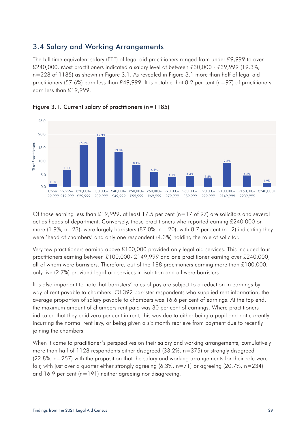# <span id="page-28-0"></span>3.4 Salary and Working Arrangements

The full time equivalent salary (FTE) of legal aid practitioners ranged from under £9,999 to over £240,000. Most practitioners indicated a salary level of between £30,000 - £39,999 (19.3%, n=228 of 1185) as shown in Figure 3.1. As revealed in Figure 3.1 more than half of legal aid practitioners (57.6%) earn less than £49,999. It is notable that 8.2 per cent (n=97) of practitioners earn less than £19,999.





Of those earning less than £19,999, at least 17.5 per cent (n=17 of 97) are solicitors and several act as heads of department. Conversely, those practitioners who reported earning £240,000 or more (1.9%, n=23), were largely barristers (87.0%, n =20), with 8.7 per cent (n=2) indicating they were 'head of chambers' and only one respondent (4.3%) holding the role of solicitor.

Very few practitioners earning above £100,000 provided only legal aid services. This included four practitioners earning between £100,000- £149,999 and one practitioner earning over £240,000, all of whom were barristers. Therefore, out of the 188 practitioners earning more than £100,000, only five (2.7%) provided legal-aid services in isolation and all were barristers.

It is also important to note that barristers' rates of pay are subject to a reduction in earnings by way of rent payable to chambers. Of 392 barrister respondents who supplied rent information, the average proportion of salary payable to chambers was 16.6 per cent of earnings. At the top end, the maximum amount of chambers rent paid was 30 per cent of earnings. Where practitioners indicated that they paid zero per cent in rent, this was due to either being a pupil and not currently incurring the normal rent levy, or being given a six month reprieve from payment due to recently joining the chambers.

When it came to practitioner's perspectives on their salary and working arrangements, cumulatively more than half of 1128 respondents either disagreed (33.2%, n=375) or strongly disagreed (22.8%, n=257) with the proposition that the salary and working arrangements for their role were fair, with just over a quarter either strongly agreeing (6.3%, n=71) or agreeing (20.7%, n=234)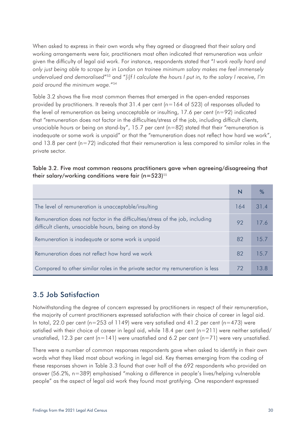<span id="page-29-0"></span>When asked to express in their own words why they agreed or disagreed that their salary and working arrangements were fair, practitioners most often indicated that remuneration was unfair given the difficulty of legal aid work. For instance, respondents stated that "*I work really hard and only just being able to scrape by in London on trainee minimum salary makes me feel immensely undervalued and demoralised*"53 and "*[i]f I calculate the hours I put in, to the salary I receive, I'm paid around the minimum wage.*"54

Table 3.2 shows the five most common themes that emerged in the open-ended responses provided by practitioners. It reveals that  $31.4$  per cent (n=164 of 523) of responses alluded to the level of remuneration as being unacceptable or insulting, 17.6 per cent ( $n=92$ ) indicated that "remuneration does not factor in the difficulties/stress of the job, including difficult clients, unsociable hours or being on stand-by", 15.7 per cent (n=82) stated that their "remuneration is inadequate or some work is unpaid" or that the "remuneration does not reflect how hard we work", and 13.8 per cent ( $n=72$ ) indicated that their remuneration is less compared to similar roles in the private sector.

#### Table 3.2. Five most common reasons practitioners gave when agreeing/disagreeing that their salary/working conditions were fair  $(n=523)^{55}$

| The level of remuneration is unacceptable/insulting                                                                                     | 164 | 31.4 |
|-----------------------------------------------------------------------------------------------------------------------------------------|-----|------|
| Remuneration does not factor in the difficulties/stress of the job, including<br>difficult clients, unsociable hours, being on stand-by | 92  | 17 6 |
| Remuneration is inadequate or some work is unpaid                                                                                       | 82  | 15.7 |
| Remuneration does not reflect how hard we work                                                                                          | 82  | 15.7 |
| Compared to other similar roles in the private sector my remuneration is less                                                           | 72  | 13.8 |

# 3.5 Job Satisfaction

Notwithstanding the degree of concern expressed by practitioners in respect of their remuneration, the majority of current practitioners expressed satisfaction with their choice of career in legal aid. In total, 22.0 per cent ( $n=253$  of 1149) were very satisfied and 41.2 per cent ( $n=473$ ) were satisfied with their choice of career in legal aid, while  $18.4$  per cent (n=211) were neither satisfied/ unsatisfied, 12.3 per cent (n=141) were unsatisfied and 6.2 per cent (n=71) were very unsatisfied.

There were a number of common responses respondents gave when asked to identify in their own words what they liked most about working in legal aid. Key themes emerging from the coding of these responses shown in Table 3.3 found that over half of the 692 respondents who provided an answer (56.2%, n=389) emphasised "making a difference in people's lives/helping vulnerable people" as the aspect of legal aid work they found most gratifying. One respondent expressed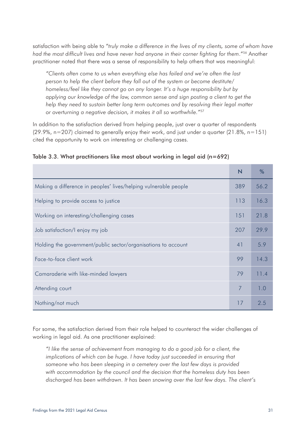satisfaction with being able to "*truly make a difference in the lives of my clients, some of whom have had the most difficult lives and have never had anyone in their corner fighting for them*."56 Another practitioner noted that there was a sense of responsibility to help others that was meaningful:

*"Clients often come to us when everything else has failed and we're often the last person to help the client before they fall out of the system or become destitute/ homeless/feel like they cannot go on any longer. It's a huge responsibility but by applying our knowledge of the law, common sense and sign posting a client to get the help they need to sustain better long term outcomes and by resolving their legal matter or overturning a negative decision, it makes it all so worthwhile."*<sup>57</sup>

In addition to the satisfaction derived from helping people, just over a quarter of respondents  $(29.9\%$ , n=207) claimed to generally enjoy their work, and just under a quarter  $(21.8\%$ , n=151) cited the opportunity to work on interesting or challenging cases.

|                                                                 | $\overline{\mathsf{N}}$ | %    |
|-----------------------------------------------------------------|-------------------------|------|
| Making a difference in peoples' lives/helping vulnerable people | 389                     | 56.2 |
| Helping to provide access to justice                            | 113                     | 16.3 |
| Working on interesting/challenging cases                        | 151                     | 21.8 |
| Job satisfaction/I enjoy my job                                 | 207                     | 29.9 |
| Holding the government/public sector/organisations to account   | 41                      | 5.9  |
| Face-to-face client work                                        | 99                      | 14.3 |
| Camaraderie with like-minded lawyers                            | 79                      | 11.4 |
| Attending court                                                 | 7                       | 1.0  |
| Nothing/not much                                                | 17                      | 2.5  |

|  | Table 3.3. What practitioners like most about working in legal aid (n=692) |  |  |  |  |
|--|----------------------------------------------------------------------------|--|--|--|--|
|  |                                                                            |  |  |  |  |

For some, the satisfaction derived from their role helped to counteract the wider challenges of working in legal aid. As one practitioner explained:

*"I like the sense of achievement from managing to do a good job for a client, the implications of which can be huge. I have today just succeeded in ensuring that someone who has been sleeping in a cemetery over the last few days is provided with accommodation by the council and the decision that the homeless duty has been discharged has been withdrawn. It has been snowing over the last few days. The client's*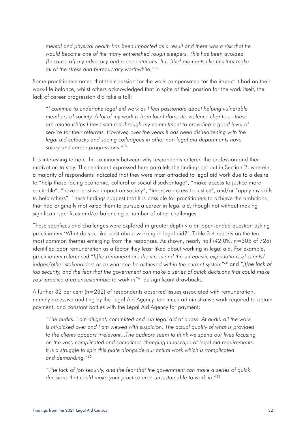*mental and physical health has been impacted as a result and there was a risk that he would become one of the many entrenched rough sleepers. This has been avoided [because of] my advocacy and representations. It is [the] moments like this that make all of the stress and bureaucracy worthwhile."*<sup>58</sup>

Some practitioners noted that their passion for the work compensated for the impact it had on their work-life balance, whilst others acknowledged that in spite of their passion for the work itself, the lack of career progression did take a toll:

*"I continue to undertake legal aid work as I feel passionate about helping vulnerable members of society. A lot of my work is from local domestic violence charities - these are relationships I have secured through my commitment to providing a good level of service for their referrals. However, over the years it has been disheartening with the legal aid cutbacks and seeing colleagues in other non-legal aid departments have salary and career progressions."*<sup>59</sup>

It is interesting to note the continuity between why respondents entered the profession and their motivation to stay. The sentiment expressed here parallels the findings set out in Section 2, wherein a majority of respondents indicated that they were most attracted to legal aid work due to a desire to "help those facing economic, cultural or social disadvantage", "make access to justice more equitable", "have a positive impact on society", "improve access to justice", and/or "apply my skills to help others". These findings suggest that it is possible for practitioners to achieve the ambitions that had originally motivated them to pursue a career in legal aid, though not without making significant sacrifices and/or balancing a number of other challenges.

These sacrifices and challenges were explored in greater depth via an open-ended question asking practitioners 'What do you like least about working in legal aid?'. Table 3.4 reports on the ten most common themes emerging from the responses. As shown, nearly half (42.0%, n=305 of 726) identified poor remuneration as a factor they least liked about working in legal aid. For example, practitioners referenced "*[t]he remuneration, the stress and the unrealistic expectations of clients/ judges/other stakeholders as to what can be achieved within the current system*"60 and "*[t]he lack of job security, and the fear that the government can make a series of quick decisions that could make your practice area unsustainable to work in*"61 as significant drawbacks.

A further 32 per cent (n=232) of respondents observed issues associated with remuneration, namely excessive auditing by the Legal Aid Agency, too much administrative work required to obtain payment, and constant battles with the Legal Aid Agency for payment:

*"The audits. I am diligent, committed and run legal aid at a loss. At audit, all the work is nit-picked over and I am viewed with suspicion. The actual quality of what is provided to the clients appears irrelevant...The auditors seem to think we spend our lives focusing on the vast, complicated and sometimes changing landscape of legal aid requirements. It is a struggle to spin this plate alongside our actual work which is complicated and demanding."*<sup>62</sup>

*"The lack of job security, and the fear that the government can make a series of quick decisions that could make your practice area unsustainable to work in."*63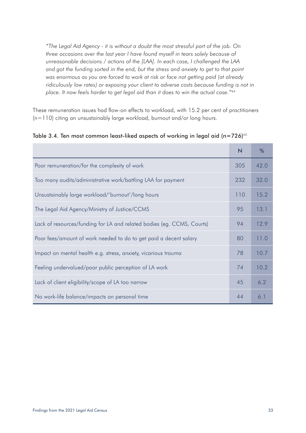*"The Legal Aid Agency - it is without a doubt the most stressful part of the job. On three occasions over the last year I have found myself in tears solely because of unreasonable decisions / actions of the [LAA]. In each case, I challenged the LAA and got the funding sorted in the end, but the stress and anxiety to get to that point was enormous as you are forced to work at risk or face not getting paid (at already*  ridiculously low rates) or exposing your client to adverse costs because funding is not in *place. It now feels harder to get legal aid than it does to win the actual case."*<sup>64</sup>

These remuneration issues had flow-on effects to workload, with 15.2 per cent of practitioners (n=110) citing an unsustainably large workload, burnout and/or long hours.

|                                                                        | N   | %    |
|------------------------------------------------------------------------|-----|------|
| Poor remuneration/for the complexity of work                           | 305 | 42.0 |
| Too many audits/administrative work/battling LAA for payment           | 232 | 32.0 |
| Unsustainably large workload/'burnout'/long hours                      | 110 | 15.2 |
| The Legal Aid Agency/Ministry of Justice/CCMS                          | 95  | 13.1 |
| Lack of resources/funding for LA and related bodies (eg. CCMS, Courts) | 94  | 12.9 |
| Poor fees/amount of work needed to do to get paid a decent salary      | 80  | 11.0 |
| Impact on mental health e.g. stress, anxiety, vicarious trauma         | 78  | 10.7 |
| Feeling undervalued/poor public perception of LA work                  | 74  | 10.2 |
| Lack of client eligibility/scope of LA too narrow                      | 45  | 6.2  |
| No work-life balance/impacts on personal time                          | 44  | 6.1  |

Table 3.4. Ten most common least-liked aspects of working in legal aid  $(n=726)^{65}$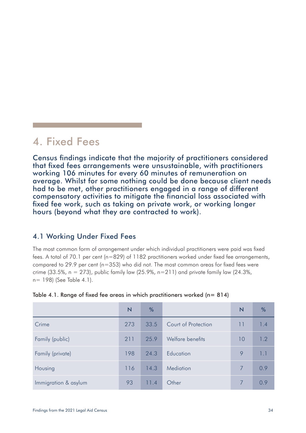# <span id="page-33-0"></span>4. Fixed Fees

Census findings indicate that the majority of practitioners considered that fixed fees arrangements were unsustainable, with practitioners working 106 minutes for every 60 minutes of remuneration on average. Whilst for some nothing could be done because client needs had to be met, other practitioners engaged in a range of different compensatory activities to mitigate the financial loss associated with fixed fee work, such as taking on private work, or working longer hours (beyond what they are contracted to work).

# 4.1 Working Under Fixed Fees

The most common form of arrangement under which individual practitioners were paid was fixed fees. A total of 70.1 per cent (n=829) of 1182 practitioners worked under fixed fee arrangements, compared to 29.9 per cent (n=353) who did not. The most common areas for fixed fees were crime (33.5%,  $n = 273$ ), public family law (25.9%,  $n=211$ ) and private family law (24.3%, n= 198) (See Table 4.1).

Table 4.1. Range of fixed fee areas in which practitioners worked  $(n=814)$ 

|                      | N   | %    |                     | N  | %   |
|----------------------|-----|------|---------------------|----|-----|
| Crime                | 273 | 33.5 | Court of Protection | 11 | 1.4 |
| Family (public)      | 211 | 25.9 | Welfare benefits    | 10 | 1.2 |
| Family (private)     | 198 | 24.3 | Education           | 9  | 1.7 |
| Housing              | 116 | 14.3 | Mediation           |    | 0.9 |
| Immigration & asylum | 93  | 11.4 | Other               |    | 0.9 |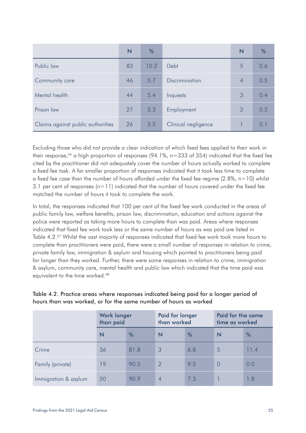|                                   | N  | %    |                     | N              | %   |
|-----------------------------------|----|------|---------------------|----------------|-----|
| Public law                        | 83 | 10.2 | Debt                | 5              | 0.6 |
| Community care                    | 46 | 5.7  | Discrimination      | 4              | 0.5 |
| Mental health                     | 44 | 5.4  | Inquests            | 3              | 0.4 |
| Prison law                        | 27 | 3.3  | Employment          | $\overline{2}$ | 0.2 |
| Claims against public authorities | 26 | 3.2  | Clinical negligence |                | 0.1 |

Excluding those who did not provide a clear indication of which fixed fees applied to their work in their response,<sup>66</sup> a high proportion of responses (94.1%,  $n=333$  of 354) indicated that the fixed fee cited by the practitioner did not adequately cover the number of hours actually worked to complete a fixed fee task. A far smaller proportion of responses indicated that it took less time to complete a fixed fee case than the number of hours afforded under the fixed fee regime  $(2.8\% , n=10)$  whilst 3.1 per cent of responses  $(n=11)$  indicated that the number of hours covered under the fixed fee matched the number of hours it took to complete the work.

In total, the responses indicated that 100 per cent of the fixed fee work conducted in the areas of public family law, welfare benefits, prison law, discrimination, education and actions against the police were reported as taking more hours to complete than was paid. Areas where responses indicated that fixed fee work took less or the same number of hours as was paid are listed in Table 4.2.<sup>67</sup> Whilst the vast majority of responses indicated that fixed fee work took more hours to complete than practitioners were paid, there were a small number of responses in relation to crime, private family law, immigration & asylum and housing which pointed to practitioners being paid for longer than they worked. Further, there were some responses in relation to crime, immigration & asylum, community care, mental health and public law which indicated that the time paid was equivalent to the time worked.<sup>68</sup>

| Table 4.2. Practice areas where responses indicated being paid for a longer period of |  |
|---------------------------------------------------------------------------------------|--|
| hours than was worked, or for the same number of hours as worked                      |  |

|                      | <b>Work longer</b><br>than paid |               | Paid for longer<br>than worked |     | Paid for the same<br>time as worked |      |
|----------------------|---------------------------------|---------------|--------------------------------|-----|-------------------------------------|------|
|                      | N                               | $\frac{0}{6}$ | N                              | %   | N                                   | %    |
| Crime                | 36                              | 81.8          | 3                              | 6.8 | 5                                   | 11.4 |
| Family (private)     | 19                              | 90.5          | $\mathcal{D}$                  | 9.5 | $\overline{0}$                      | 0.0  |
| Immigration & asylum | 50                              | 90.9          | 4                              | 7.3 |                                     | 1.8  |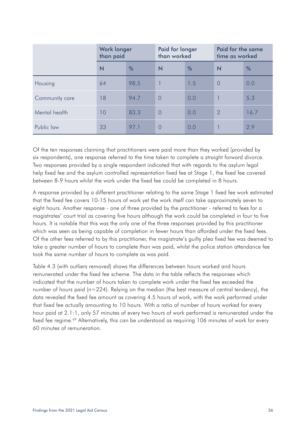|                | <b>Work longer</b><br>than paid |      | Paid for longer<br>than worked |     | Paid for the same<br>time as worked |      |
|----------------|---------------------------------|------|--------------------------------|-----|-------------------------------------|------|
|                | $\overline{\mathsf{N}}$         | %    | $\overline{\mathsf{N}}$        | %   | N                                   | $\%$ |
| Housing        | 64                              | 98.5 |                                | 1.5 | $\overline{0}$                      | 0.0  |
| Community care | 18                              | 94.7 | $\overline{0}$                 | 0.0 |                                     | 5.3  |
| Mental health  | 10                              | 83.3 | $\overline{0}$                 | 0.0 | $\overline{2}$                      | 16.7 |
| Public law     | 33                              | 97.1 | $\Omega$                       | 0.0 |                                     | 2.9  |

Of the ten responses claiming that practitioners were paid more than they worked (provided by six respondents), one response referred to the time taken to complete a straight forward divorce. Two responses provided by a single respondent indicated that with regards to the asylum legal help fixed fee and the asylum controlled representation fixed fee at Stage 1, the fixed fee covered between 8-9 hours whilst the work under the fixed fee could be completed in 8 hours.

A response provided by a different practitioner relating to the same Stage 1 fixed fee work estimated that the fixed fee covers 10-15 hours of work yet the work itself can take approximately seven to eight hours. Another response - one of three provided by the practitioner - referred to fees for a magistrates' court trial as covering five hours although the work could be completed in four to five hours. It is notable that this was the only one of the three responses provided by this practitioner which was seen as being capable of completion in fewer hours than afforded under the fixed fees. Of the other fees referred to by this practitioner, the magistrate's guilty plea fixed fee was deemed to take a greater number of hours to complete than was paid, whilst the police station attendance fee took the same number of hours to complete as was paid.

Table 4.3 (with outliers removed) shows the differences between hours worked and hours remunerated under the fixed fee scheme. The data in the table reflects the responses which indicated that the number of hours taken to complete work under the fixed fee exceeded the number of hours paid (n=224). Relying on the median (the best measure of central tendency), the data revealed the fixed fee amount as covering 4.5 hours of work, with the work performed under that fixed fee actually amounting to 10 hours. With a ratio of number of hours worked for every hour paid at 2.1:1, only 57 minutes of every two hours of work performed is remunerated under the fixed fee regime.<sup>69</sup> Alternatively, this can be understood as requiring 106 minutes of work for every 60 minutes of remuneration.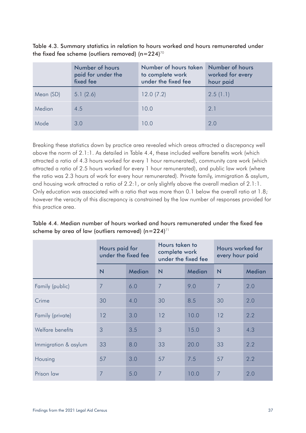Table 4.3. Summary statistics in relation to hours worked and hours remunerated under the fixed fee scheme (outliers removed)  $(n=224)^{70}$ 

|           | Number of hours<br>paid for under the<br>fixed fee | Number of hours taken<br>to complete work<br>under the fixed fee | Number of hours<br>worked for every<br>hour paid |
|-----------|----------------------------------------------------|------------------------------------------------------------------|--------------------------------------------------|
| Mean (SD) | 5.1(2.6)                                           | 12.0(7.2)                                                        | 2.5(1.1)                                         |
| Median    | 4.5                                                | 10.0                                                             | 2.1                                              |
| Mode      | 3.0                                                | 10.0                                                             | 2.0                                              |

Breaking these statistics down by practice area revealed which areas attracted a discrepancy well above the norm of 2.1:1. As detailed in Table 4.4, these included welfare benefits work (which attracted a ratio of 4.3 hours worked for every 1 hour remunerated), community care work (which attracted a ratio of 2.5 hours worked for every 1 hour remunerated), and public law work (where the ratio was 2.3 hours of work for every hour remunerated). Private family, immigration & asylum, and housing work attracted a ratio of 2.2:1, or only slightly above the overall median of 2.1:1. Only education was associated with a ratio that was more than 0.1 below the overall ratio at 1.8; however the veracity of this discrepancy is constrained by the low number of responses provided for this practice area.

Table 4.4. Median number of hours worked and hours remunerated under the fixed fee scheme by area of law (outliers removed)  $(n=224)^{71}$ 

|                      | Hours paid for<br>under the fixed fee |        | Hours taken to<br>complete work<br>under the fixed fee |        | Hours worked for<br>every hour paid |               |  |
|----------------------|---------------------------------------|--------|--------------------------------------------------------|--------|-------------------------------------|---------------|--|
|                      | $\overline{\mathsf{N}}$               | Median | $\overline{\mathsf{N}}$                                | Median | N                                   | <b>Median</b> |  |
| Family (public)      | $\overline{7}$                        | 6.0    | 7                                                      | 9.0    | 7                                   | 2.0           |  |
| Crime                | 30                                    | 4.0    | 30                                                     | 8.5    | 30                                  | 2.0           |  |
| Family (private)     | 12                                    | 3.0    | 12                                                     | 10.0   | 12                                  | 2.2           |  |
| Welfare benefits     | 3                                     | 3.5    | 3                                                      | 15.0   | 3                                   | 4.3           |  |
| Immigration & asylum | 33                                    | 8.0    | 33                                                     | 20.0   | 33                                  | 2.2           |  |
| Housing              | 57                                    | 3.0    | 57                                                     | 7.5    | 57                                  | 2.2           |  |
| Prison law           | 7                                     | 5.0    | 7                                                      | 10.0   | 7                                   | 2.0           |  |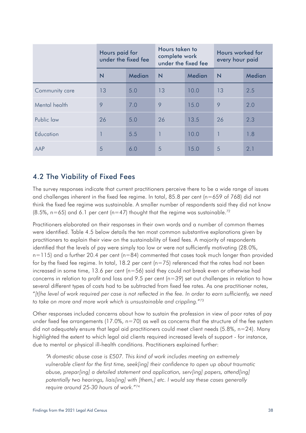|                | Hours paid for<br>under the fixed fee |        | Hours taken to<br>complete work<br>under the fixed fee |        | Hours worked for<br>every hour paid |        |
|----------------|---------------------------------------|--------|--------------------------------------------------------|--------|-------------------------------------|--------|
|                | $\overline{\mathsf{N}}$               | Median | N                                                      | Median | $\overline{\mathsf{N}}$             | Median |
| Community care | 13                                    | 5.0    | 13                                                     | 10.0   | 13                                  | 2.5    |
| Mental health  | 9                                     | 7.0    | 9                                                      | 15.0   | 9                                   | 2.0    |
| Public law     | 26                                    | 5.0    | 26                                                     | 13.5   | 26                                  | 2.3    |
| Education      |                                       | 5.5    |                                                        | 10.0   |                                     | 1.8    |
| AAP            | 5                                     | 6.0    | 5                                                      | 15.0   | 5                                   | 2.1    |

## 4.2 The Viability of Fixed Fees

The survey responses indicate that current practitioners perceive there to be a wide range of issues and challenges inherent in the fixed fee regime. In total, 85.8 per cent (n=659 of 768) did not think the fixed fee regime was sustainable. A smaller number of respondents said they did not know  $(8.5\%$ , n=65) and 6.1 per cent (n=47) thought that the regime was sustainable.<sup>72</sup>

Practitioners elaborated on their responses in their own words and a number of common themes were identified. Table 4.5 below details the ten most common substantive explanations given by practitioners to explain their view on the sustainability of fixed fees. A majority of respondents identified that the levels of pay were simply too low or were not sufficiently motivating (28.0%,  $n=115$ ) and a further 20.4 per cent ( $n=84$ ) commented that cases took much longer than provided for by the fixed fee regime. In total, 18.2 per cent ( $n=75$ ) referenced that the rates had not been increased in some time, 13.6 per cent ( $n=56$ ) said they could not break even or otherwise had concerns in relation to profit and loss and 9.5 per cent ( $n=39$ ) set out challenges in relation to how several different types of costs had to be subtracted from fixed fee rates. As one practitioner notes, "*[t]he level of work required per case is not reflected in the fee. In order to earn sufficiently, we need to take on more and more work which is unsustainable and crippling.*"73

Other responses included concerns about how to sustain the profession in view of poor rates of pay under fixed fee arrangements (17.0%,  $n=70$ ) as well as concerns that the structure of the fee system did not adequately ensure that legal aid practitioners could meet client needs (5.8%, n=24). Many highlighted the extent to which legal aid clients required increased levels of support - for instance, due to mental or physical ill-health conditions. Practitioners explained further:

*"A domestic abuse case is £507. This kind of work includes meeting an extremely vulnerable client for the first time, seek[ing] their confidence to open up about traumatic abuse, prepar[ing] a detailed statement and application, serv[ing] papers, attend[ing] potentially two hearings, liais[ing] with [them,] etc. I would say these cases generally require around 25-30 hours of work."*74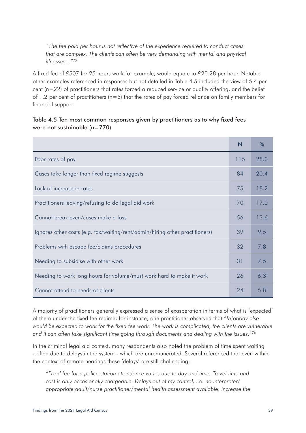*"The fee paid per hour is not reflective of the experience required to conduct cases that are complex. The clients can often be very demanding with mental and physical illnesses..."*<sup>75</sup>

A fixed fee of £507 for 25 hours work for example, would equate to £20.28 per hour. Notable other examples referenced in responses but not detailed in Table 4.5 included the view of 5.4 per cent (n=22) of practitioners that rates forced a reduced service or quality offering, and the belief of 1.2 per cent of practitioners ( $n=5$ ) that the rates of pay forced reliance on family members for financial support.

#### Table 4.5 Ten most common responses given by practitioners as to why fixed fees were not sustainable (n=770)

|                                                                              | N   | $\%$ |
|------------------------------------------------------------------------------|-----|------|
| Poor rates of pay                                                            | 115 | 28.0 |
| Cases take longer than fixed regime suggests                                 | 84  | 20.4 |
| Lack of increase in rates                                                    | 75  | 18.2 |
| Practitioners leaving/refusing to do legal aid work                          | 70  | 17.0 |
| Cannot break even/cases make a loss                                          | 56  | 13.6 |
| Ignores other costs (e.g. tax/waiting/rent/admin/hiring other practitioners) | 39  | 9.5  |
| Problems with escape fee/claims procedures                                   | 32  | 7.8  |
| Needing to subsidise with other work                                         | 31  | 7.5  |
| Needing to work long hours for volume/must work hard to make it work         | 26  | 6.3  |
| Cannot attend to needs of clients                                            | 24  | 5.8  |

A majority of practitioners generally expressed a sense of exasperation in terms of what is 'expected' of them under the fixed fee regime; for instance, one practitioner observed that "*[n]obody else would be expected to work for the fixed fee work. The work is complicated, the clients are vulnerable*  and it can often take significant time going through documents and dealing with the *issues.*"<sup>76</sup>

In the criminal legal aid context, many respondents also noted the problem of time spent waiting - often due to delays in the system - which are unremunerated. Several referenced that even within the context of remote hearings these 'delays' are still challenging:

*"Fixed fee for a police station attendance varies due to day and time. Travel time and cost is only occasionally chargeable. Delays out of my control, i.e. no interpreter/ appropriate adult/nurse practitioner/mental health assessment available, increase the*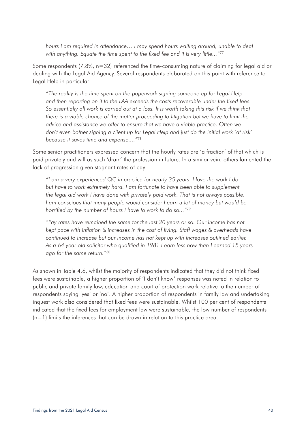*hours I am required in attendance… I may spend hours waiting around, unable to deal with anything. Equate the time spent to the fixed fee and it is very little..."*<sup>77</sup>

Some respondents (7.8%, n=32) referenced the time-consuming nature of claiming for legal aid or dealing with the Legal Aid Agency. Several respondents elaborated on this point with reference to Legal Help in particular:

*"The reality is the time spent on the paperwork signing someone up for Legal Help and then reporting on it to the LAA exceeds the costs recoverable under the fixed fees. So essentially all work is carried out at a loss. It is worth taking this risk if we think that there is a viable chance of the matter proceeding to litigation but we have to limit the advice and assistance we offer to ensure that we have a viable practice. Often we don't even bother signing a client up for Legal Help and just do the initial work 'at risk' because it saves time and expense...."*<sup>78</sup>

Some senior practitioners expressed concern that the hourly rates are 'a fraction' of that which is paid privately and will as such 'drain' the profession in future. In a similar vein, others lamented the lack of progression given stagnant rates of pay:

*"I am a very experienced QC in practice for nearly 35 years. I love the work I do but have to work extremely hard. I am fortunate to have been able to supplement the legal aid work I have done with privately paid work. That is not always possible. I am conscious that many people would consider I earn a lot of money but would be horrified by the number of hours I have to work to do so..."*<sup>79</sup>

*"Pay rates have remained the same for the last 20 years or so. Our income has not kept pace with inflation & increases in the cost of living. Staff wages & overheads have continued to increase but our income has not kept up with increases outlined earlier. As a 64 year old solicitor who qualified in 1981 I earn less now than I earned 15 years ago for the same return."*<sup>80</sup>

As shown in Table 4.6, whilst the majority of respondents indicated that they did not think fixed fees were sustainable, a higher proportion of 'I don't know' responses was noted in relation to public and private family law, education and court of protection work relative to the number of respondents saying 'yes' or 'no'. A higher proportion of respondents in family law and undertaking inquest work also considered that fixed fees were sustainable. Whilst 100 per cent of respondents indicated that the fixed fees for employment law were sustainable, the low number of respondents  $(n=1)$  limits the inferences that can be drawn in relation to this practice area.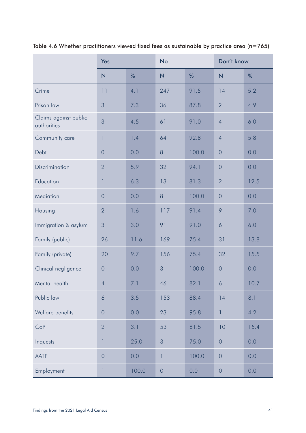|                                      | Yes                     |       | <b>No</b>               |       | Don't know              |      |
|--------------------------------------|-------------------------|-------|-------------------------|-------|-------------------------|------|
|                                      | $\overline{\mathsf{N}}$ | %     | $\overline{\mathsf{N}}$ | %     | $\overline{\mathsf{N}}$ | %    |
| Crime                                | 11                      | 4.1   | 247                     | 91.5  | 14                      | 5.2  |
| Prison law                           | 3                       | 7.3   | 36                      | 87.8  | $\overline{2}$          | 4.9  |
| Claims against public<br>authorities | 3                       | 4.5   | 61                      | 91.0  | $\overline{4}$          | 6.0  |
| Community care                       | 1                       | 1.4   | 64                      | 92.8  | $\overline{4}$          | 5.8  |
| Debt                                 | $\theta$                | 0.0   | 8                       | 100.0 | $\overline{0}$          | 0.0  |
| Discrimination                       | $\overline{2}$          | 5.9   | 32                      | 94.1  | $\overline{0}$          | 0.0  |
| Education                            | 1                       | 6.3   | 13                      | 81.3  | $\overline{2}$          | 12.5 |
| Mediation                            | $\overline{0}$          | 0.0   | $\,8\,$                 | 100.0 | $\overline{0}$          | 0.0  |
| Housing                              | $\overline{2}$          | 1.6   | 117                     | 91.4  | 9                       | 7.0  |
| Immigration & asylum                 | $\mathcal{S}$           | 3.0   | 91                      | 91.0  | 6                       | 6.0  |
| Family (public)                      | 26                      | 11.6  | 169                     | 75.4  | 31                      | 13.8 |
| Family (private)                     | 20                      | 9.7   | 156                     | 75.4  | 32                      | 15.5 |
| Clinical negligence                  | $\mathbf 0$             | 0.0   | 3                       | 100.0 | $\mathbf 0$             | 0.0  |
| Mental health                        | $\overline{4}$          | 7.1   | 46                      | 82.1  | 6                       | 10.7 |
| Public law                           | 6                       | 3.5   | 153                     | 88.4  | 14                      | 8.1  |
| Welfare benefits                     | $\theta$                | 0.0   | 23                      | 95.8  | $\mathbf{1}$            | 4.2  |
| CoP                                  | $\overline{2}$          | 3.1   | 53                      | 81.5  | 10                      | 15.4 |
| Inquests                             | 1                       | 25.0  | $\sqrt{3}$              | 75.0  | $\theta$                | 0.0  |
| <b>AATP</b>                          | $\theta$                | 0.0   | 1                       | 100.0 | $\overline{0}$          | 0.0  |
| Employment                           | $\mathbb{I}$            | 100.0 | $\mathbf 0$             | 0.0   | $\theta$                | 0.0  |

Table 4.6 Whether practitioners viewed fixed fees as sustainable by practice area (n=765)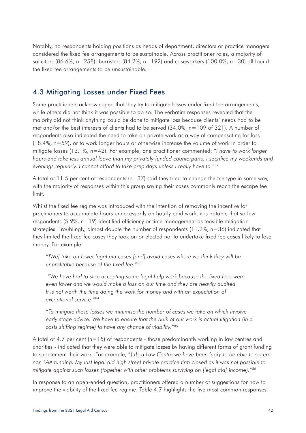Notably, no respondents holding positions as heads of department, directors or practice managers considered the fixed fee arrangements to be sustainable. Across practitioner roles, a majority of solicitors (86.6%, n=258), barristers (84.2%, n=192) and caseworkers (100.0%, n=30) all found the fixed fee arrangements to be unsustainable.

### 4.3 Mitigating Losses under Fixed Fees

Some practitioners acknowledged that they try to mitigate losses under fixed fee arrangements, while others did not think it was possible to do so. The verbatim responses revealed that the majority did not think anything could be done to mitigate loss because clients' needs had to be met and/or the best interests of clients had to be served (34.0%, n=109 of 321). A number of respondents also indicated the need to take on private work as a way of compensating for loss (18.4%, n=59), or to work longer hours or otherwise increase the volume of work in order to mitigate losses (13.1%, n=42). For example, one practitioner commented: "*I have to work longer hours and take less annual leave than my privately funded counterparts. I sacrifice my weekends and evenings regularly. I cannot afford to take prep days unless I really have to.*"82

A total of 11.5 per cent of respondents ( $n=37$ ) said they tried to change the fee type in some way, with the majority of responses within this group saying their cases commonly reach the escape fee limit.

Whilst the fixed fee regime was introduced with the intention of removing the incentive for practitioners to accumulate hours unnecessarily on hourly paid work, it is notable that so few respondents  $(5.9\% , n=19)$  identified efficiency or time management as feasible mitigation strategies. Troublingly, almost double the number of respondents (11.2%, n=36) indicated that they limited the fixed fee cases they took on or elected not to undertake fixed fee cases likely to lose money. For example:

*"[We] take on fewer legal aid cases [and] avoid cases where we think they will be unprofitable because of the fixed fee."*<sup>83</sup>

 *"We have had to stop accepting some legal help work because the fixed fees were even lower and we would make a loss on our time and they are heavily audited.*  It is not worth the time doing the work for money and with an expectation of *exceptional service."*<sup>84</sup>

*"To mitigate these losses we minimise the number of cases we take on which involve early stage advice. We have to ensure that the bulk of our work is actual litigation (in a costs shifting regime) to have any chance of viability."*<sup>85</sup>

A total of 4.7 per cent  $(n=15)$  of respondents - those predominantly working in law centres and charities - indicated that they were able to mitigate losses by having different forms of grant funding to supplement their work. For example, "*[a]s a Law Centre we have been lucky to be able to secure non LAA funding. My last legal aid high street private practice firm closed as it was not possible to mitigate against such losses (together with other problems surviving on [legal aid] income).*"86

In response to an open-ended question, practitioners offered a number of suggestions for how to improve the viability of the fixed fee regime. Table 4.7 highlights the five most common responses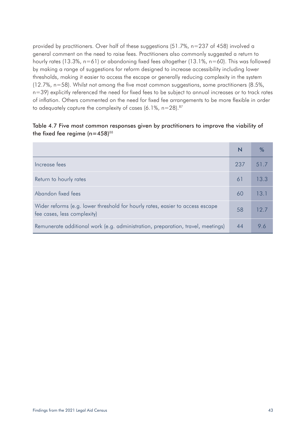provided by practitioners. Over half of these suggestions (51.7%, n=237 of 458) involved a general comment on the need to raise fees. Practitioners also commonly suggested a return to hourly rates (13.3%, n=61) or abandoning fixed fees altogether (13.1%, n=60). This was followed by making a range of suggestions for reform designed to increase accessibility including lower thresholds, making it easier to access the escape or generally reducing complexity in the system (12.7%, n=58). Whilst not among the five most common suggestions, some practitioners (8.5%, n=39) explicitly referenced the need for fixed fees to be subject to annual increases or to track rates of inflation. Others commented on the need for fixed fee arrangements to be more flexible in order to adequately capture the complexity of cases  $(6.1\%, n=28).^{87}$ 

#### Table 4.7 Five most common responses given by practitioners to improve the viability of the fixed fee regime  $(n=458)^{88}$

|                                                                                                              |     | $\%$ |
|--------------------------------------------------------------------------------------------------------------|-----|------|
| Increase fees                                                                                                | 237 | 51.7 |
| Return to hourly rates                                                                                       | 61  | 13.3 |
| Abandon fixed fees                                                                                           | 60  | 13.1 |
| Wider reforms (e.g. lower threshold for hourly rates, easier to access escape<br>fee cases, less complexity) | 58  | 12.7 |
| Remunerate additional work (e.g. administration, preparation, travel, meetings)                              | 44  | 9.6  |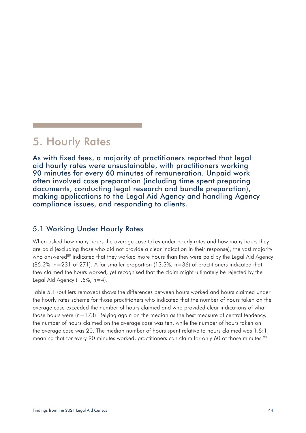# 5. Hourly Rates

As with fixed fees, a majority of practitioners reported that legal aid hourly rates were unsustainable, with practitioners working 90 minutes for every 60 minutes of remuneration. Unpaid work often involved case preparation (including time spent preparing documents, conducting legal research and bundle preparation), making applications to the Legal Aid Agency and handling Agency compliance issues, and responding to clients.

### 5.1 Working Under Hourly Rates

When asked how many hours the average case takes under hourly rates and how many hours they are paid (excluding those who did not provide a clear indication in their response), the vast majority who answered<sup>89</sup> indicated that they worked more hours than they were paid by the Legal Aid Agency  $(85.2\%$ , n=231 of 271). A far smaller proportion (13.3%, n=36) of practitioners indicated that they claimed the hours worked, yet recognised that the claim might ultimately be rejected by the Legal Aid Agency  $(1.5\% , n=4)$ .

Table 5.1 (outliers removed) shows the differences between hours worked and hours claimed under the hourly rates scheme for those practitioners who indicated that the number of hours taken on the average case exceeded the number of hours claimed and who provided clear indications of what those hours were  $(n=173)$ . Relying again on the median as the best measure of central tendency, the number of hours claimed on the average case was ten, while the number of hours taken on the average case was 20. The median number of hours spent relative to hours claimed was 1.5:1, meaning that for every 90 minutes worked, practitioners can claim for only 60 of those minutes.<sup>90</sup>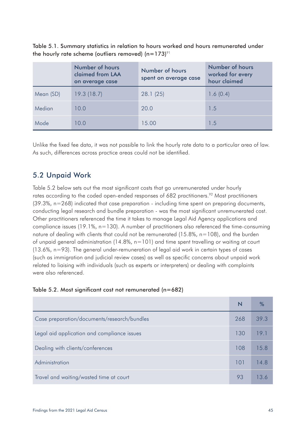Table 5.1. Summary statistics in relation to hours worked and hours remunerated under the hourly rate scheme (outliers removed)  $(n=173)^{91}$ 

|           | Number of hours<br>claimed from LAA<br>on average case | Number of hours<br>spent on average case | Number of hours<br>worked for every<br>hour claimed |
|-----------|--------------------------------------------------------|------------------------------------------|-----------------------------------------------------|
| Mean (SD) | 19.3(18.7)                                             | 28.1(25)                                 | 1.6(0.4)                                            |
| Median    | 10.0                                                   | 20.0                                     | 1.5                                                 |
| Mode      | 10.0                                                   | 15.00                                    | 1.5                                                 |

Unlike the fixed fee data, it was not possible to link the hourly rate data to a particular area of law. As such, differences across practice areas could not be identified.

## 5.2 Unpaid Work

Table 5.2 below sets out the most significant costs that go unremunerated under hourly rates according to the coded open-ended responses of 682 practitioners.<sup>92</sup> Most practitioners (39.3%, n=268) indicated that case preparation - including time spent on preparing documents, conducting legal research and bundle preparation - was the most significant unremunerated cost. Other practitioners referenced the time it takes to manage Legal Aid Agency applications and compliance issues (19.1%, n=130). A number of practitioners also referenced the time-consuming nature of dealing with clients that could not be remunerated (15.8%, n=108), and the burden of unpaid general administration (14.8%, n=101) and time spent travelling or waiting at court (13.6%, n=93). The general under-remuneration of legal aid work in certain types of cases (such as immigration and judicial review cases) as well as specific concerns about unpaid work related to liaising with individuals (such as experts or interpreters) or dealing with complaints were also referenced.

| Case preparation/documents/research/bundles | 268 | 39.3 |
|---------------------------------------------|-----|------|
| Legal aid application and compliance issues | 130 | 19.1 |
| Dealing with clients/conferences            | 108 | 15.8 |
| Administration                              | 101 | 14.8 |
| Travel and waiting/wasted time at court     | 93  | 13.6 |

| Table 5.2. Most significant cost not remunerated (n=682) |  |  |
|----------------------------------------------------------|--|--|
|----------------------------------------------------------|--|--|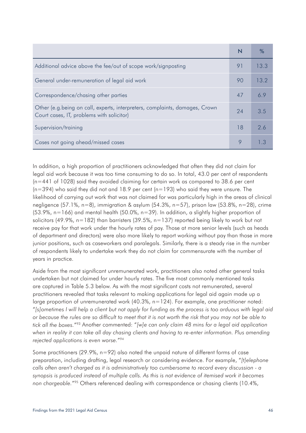| Additional advice above the fee/out of scope work/signposting                                                            | 91 | 13.3 |
|--------------------------------------------------------------------------------------------------------------------------|----|------|
| General under-remuneration of legal aid work                                                                             | 90 | 13.2 |
| Correspondence/chasing other parties                                                                                     | 47 | 6.9  |
| Other (e.g.being on call, experts, interpreters, complaints, damages, Crown<br>Court cases, IT, problems with solicitor) | 24 | 3.5  |
| Supervision/training                                                                                                     | 18 | 2.6  |
| Cases not going ahead/missed cases                                                                                       | 9  |      |

In addition, a high proportion of practitioners acknowledged that often they did not claim for legal aid work because it was too time consuming to do so. In total, 43.0 per cent of respondents (n=441 of 1028) said they avoided claiming for certain work as compared to 38.6 per cent  $(n=394)$  who said they did not and 18.9 per cent  $(n=193)$  who said they were unsure. The likelihood of carrying out work that was not claimed for was particularly high in the areas of clinical negligence (57.1%, n=8), immigration & asylum (54.3%, n=57), prison law (53.8%, n=28), crime  $(53.9\%$ , n=166) and mental health (50.0%, n=39). In addition, a slightly higher proportion of solicitors (49.9%,  $n=182$ ) than barristers (39.5%,  $n=137$ ) reported being likely to work but not receive pay for that work under the hourly rates of pay. Those at more senior levels (such as heads of department and directors) were also more likely to report working without pay than those in more junior positions, such as caseworkers and paralegals. Similarly, there is a steady rise in the number of respondents likely to undertake work they do not claim for commensurate with the number of years in practice.

Aside from the most significant unremunerated work, practitioners also noted other general tasks undertaken but not claimed for under hourly rates. The five most commonly mentioned tasks are captured in Table 5.3 below. As with the most significant costs not remunerated, several practitioners revealed that tasks relevant to making applications for legal aid again made up a large proportion of unremunerated work (40.3%, n=124). For example, one practitioner noted: "*[s]ometimes I will help a client but not apply for funding as the process is too arduous with legal aid or because the rules are so difficult to meet that it is not worth the risk that you may not be able to tick all the boxes.*"93 Another commented: "*[w]e can only claim 48 mins for a legal aid application when in reality it can take all day chasing clients and having to re-enter information. Plus amending rejected applications is even worse.*"94

Some practitioners (29.9%, n=92) also noted the unpaid nature of different forms of case preparation, including drafting, legal research or considering evidence. For example, "*[t]elephone calls often aren't charged as it is administratively too cumbersome to record every discussion - a*  synopsis is produced instead of multiple calls. As this is not evidence of itemised work it becomes *non chargeable.*"95 Others referenced dealing with correspondence or chasing clients (10.4%,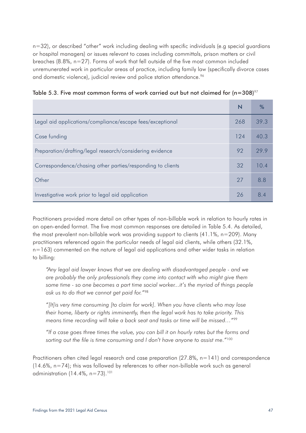n=32), or described "other" work including dealing with specific individuals (e.g special guardians or hospital managers) or issues relevant to cases including committals, prison matters or civil breaches (8.8%, n=27). Forms of work that fell outside of the five most common included unremunerated work in particular areas of practice, including family law (specifically divorce cases and domestic violence), judicial review and police station attendance.<sup>96</sup>

|  |  |  |  |  |  | Table 5.3. Five most common forms of work carried out but not claimed for (n=308) $\frac{97}{ }$ |
|--|--|--|--|--|--|--------------------------------------------------------------------------------------------------|
|  |  |  |  |  |  |                                                                                                  |

|                                                            |     | %    |
|------------------------------------------------------------|-----|------|
| Legal aid applications/compliance/escape fees/exceptional  | 268 | 39.3 |
| Case funding                                               | 124 | 40.3 |
| Preparation/drafting/legal research/considering evidence   | 92  | 29.9 |
| Correspondence/chasing other parties/responding to clients | 32  | 10.4 |
| Other                                                      | 27  | 8.8  |
| Investigative work prior to legal aid application          | 26  | 84   |

Practitioners provided more detail on other types of non-billable work in relation to hourly rates in an open-ended format. The five most common responses are detailed in Table 5.4. As detailed, the most prevalent non-billable work was providing support to clients (41.1%, n=209). Many practitioners referenced again the particular needs of legal aid clients, while others (32.1%, n=163) commented on the nature of legal aid applications and other wider tasks in relation to billing:

*"Any legal aid lawyer knows that we are dealing with disadvantaged people - and we are probably the only professionals they come into contact with who might give them some time - so one becomes a part time social worker...it's the myriad of things people ask us to do that we cannot get paid for."*<sup>98</sup>

*"[It]is very time consuming [to claim for work]. When you have clients who may lose their home, liberty or rights imminently, then the legal work has to take priority. This means time recording will take a back seat and tasks or time will be missed…"*<sup>99</sup>

*"If a case goes three times the value, you can bill it on hourly rates but the forms and sorting out the file is time consuming and I don't have anyone to assist me."*<sup>100</sup>

Practitioners often cited legal research and case preparation  $(27.8\% , n=141)$  and correspondence  $(14.6\%$ , n=74); this was followed by references to other non-billable work such as general administration  $(14.4\%$ , n=73).<sup>101</sup>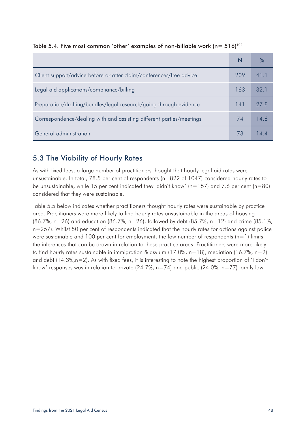|                                                                      | N   |      |
|----------------------------------------------------------------------|-----|------|
| Client support/advice before or after claim/conferences/free advice  | 709 | 41.1 |
| Legal aid applications/compliance/billing                            | 163 | 32.1 |
| Preparation/drafting/bundles/legal research/going through evidence   | 141 | 27 R |
| Correspondence/dealing with and assisting different parties/meetings | 74  | 14.6 |
| General administration                                               | 73  |      |

Table 5.4. Five most common 'other' examples of non-billable work ( $n=516$ )<sup>102</sup>

# 5.3 The Viability of Hourly Rates

As with fixed fees, a large number of practitioners thought that hourly legal aid rates were unsustainable. In total, 78.5 per cent of respondents (n=822 of 1047) considered hourly rates to be unsustainable, while 15 per cent indicated they 'didn't know' ( $n=157$ ) and 7.6 per cent ( $n=80$ ) considered that they were sustainable.

Table 5.5 below indicates whether practitioners thought hourly rates were sustainable by practice area. Practitioners were more likely to find hourly rates unsustainable in the areas of housing (86.7%, n=26) and education (86.7%, n=26), followed by debt (85.7%, n=12) and crime (85.1%, n=257). Whilst 50 per cent of respondents indicated that the hourly rates for actions against police were sustainable and 100 per cent for employment, the low number of respondents  $(n=1)$  limits the inferences that can be drawn in relation to these practice areas. Practitioners were more likely to find hourly rates sustainable in immigration & asylum (17.0%, n=18), mediation (16.7%, n=2) and debt (14.3%,n=2). As with fixed fees, it is interesting to note the highest proportion of 'I don't know' responses was in relation to private (24.7%,  $n=74$ ) and public (24.0%,  $n=77$ ) family law.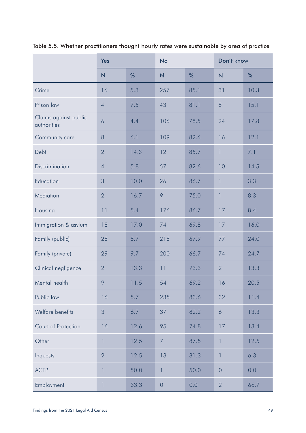|                                      | <b>Yes</b>              |      | <b>No</b>               |      | Don't know               |      |
|--------------------------------------|-------------------------|------|-------------------------|------|--------------------------|------|
|                                      | $\overline{\mathsf{N}}$ | %    | $\overline{\mathsf{N}}$ | %    | $\overline{\mathsf{N}}$  | %    |
| Crime                                | 16                      | 5.3  | 257                     | 85.1 | 31                       | 10.3 |
| Prison law                           | $\overline{4}$          | 7.5  | 43                      | 81.1 | 8                        | 15.1 |
| Claims against public<br>authorities | 6                       | 4.4  | 106                     | 78.5 | 24                       | 17.8 |
| Community care                       | 8                       | 6.1  | 109                     | 82.6 | 16                       | 12.1 |
| Debt                                 | $\overline{2}$          | 14.3 | 12                      | 85.7 | $\mathbf{1}$             | 7.1  |
| Discrimination                       | $\overline{4}$          | 5.8  | 57                      | 82.6 | 10                       | 14.5 |
| Education                            | 3                       | 10.0 | 26                      | 86.7 | $\mathbf{1}$             | 3.3  |
| Mediation                            | $\overline{2}$          | 16.7 | 9                       | 75.0 | $\overline{\phantom{a}}$ | 8.3  |
| Housing                              | 11                      | 5.4  | 176                     | 86.7 | 17                       | 8.4  |
| Immigration & asylum                 | 18                      | 17.0 | 74                      | 69.8 | 17                       | 16.0 |
| Family (public)                      | 28                      | 8.7  | 218                     | 67.9 | 77                       | 24.0 |
| Family (private)                     | 29                      | 9.7  | 200                     | 66.7 | 74                       | 24.7 |
| Clinical negligence                  | $\overline{2}$          | 13.3 | 11                      | 73.3 | $\overline{2}$           | 13.3 |
| Mental health                        | 9                       | 11.5 | 54                      | 69.2 | 16                       | 20.5 |
| Public law                           | 16                      | 5.7  | 235                     | 83.6 | 32                       | 11.4 |
| Welfare benefits                     | 3                       | 6.7  | 37                      | 82.2 | 6                        | 13.3 |
| Court of Protection                  | 16                      | 12.6 | 95                      | 74.8 | 17                       | 13.4 |
| Other                                | 1                       | 12.5 | $\overline{7}$          | 87.5 | 1                        | 12.5 |
| Inquests                             | $\overline{2}$          | 12.5 | 13                      | 81.3 | $\mathbf{1}$             | 6.3  |
| <b>ACTP</b>                          | 1                       | 50.0 | 1                       | 50.0 | $\overline{0}$           | 0.0  |
| Employment                           | 1                       | 33.3 | $\mathsf{O}\xspace$     | 0.0  | $\overline{2}$           | 66.7 |

Table 5.5. Whether practitioners thought hourly rates were sustainable by area of practice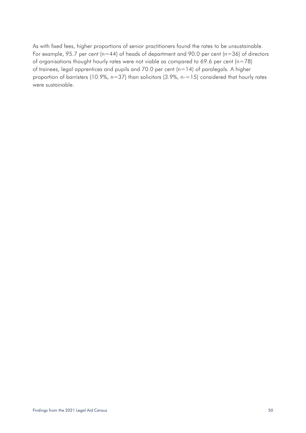As with fixed fees, higher proportions of senior practitioners found the rates to be unsustainable. For example, 95.7 per cent ( $n=44$ ) of heads of department and 90.0 per cent ( $n=36$ ) of directors of organisations thought hourly rates were not viable as compared to 69.6 per cent ( $n=78$ ) of trainees, legal apprentices and pupils and 70.0 per cent ( $n=14$ ) of paralegals. A higher proportion of barristers (10.9%, n=37) than solicitors (3.9%, n-=15) considered that hourly rates were sustainable.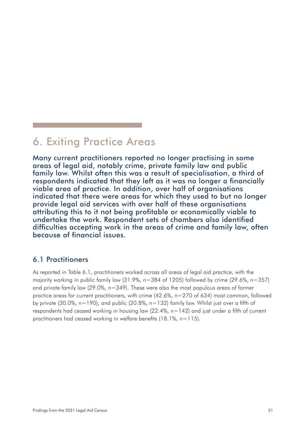# 6. Exiting Practice Areas

Many current practitioners reported no longer practising in some areas of legal aid, notably crime, private family law and public family law. Whilst often this was a result of specialisation, a third of respondents indicated that they left as it was no longer a financially viable area of practice. In addition, over half of organisations indicated that there were areas for which they used to but no longer provide legal aid services with over half of these organisations attributing this to it not being profitable or economically viable to undertake the work. Respondent sets of chambers also identified difficulties accepting work in the areas of crime and family law, often because of financial issues.

### 6.1 Practitioners

As reported in Table 6.1, practitioners worked across all areas of legal aid practice, with the majority working in public family law (31.9%, n=384 of 1205) followed by crime (29.6%, n=357) and private family law (29.0%, n=349). These were also the most populous areas of former practice areas for current practitioners, with crime (42.6%, n=270 of 634) most common, followed by private (30.0%,  $n=190$ ), and public (20.8%,  $n=132$ ) family law. Whilst just over a fifth of respondents had ceased working in housing law (22.4%, n=142) and just under a fifth of current practitioners had ceased working in welfare benefits (18.1%, n=115).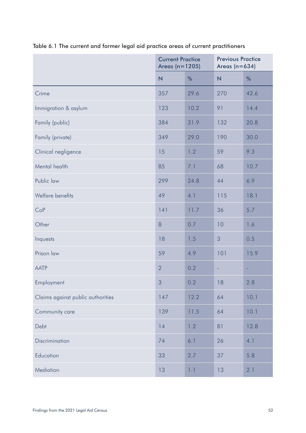|                                   | <b>Current Practice</b><br>Areas $(n=1205)$ |      | <b>Previous Practice</b><br>Areas ( $n=634$ ) |      |
|-----------------------------------|---------------------------------------------|------|-----------------------------------------------|------|
|                                   | $\overline{\mathsf{N}}$                     | %    | $\overline{N}$                                | %    |
| Crime                             | 357                                         | 29.6 | 270                                           | 42.6 |
| Immigration & asylum              | 123                                         | 10.2 | 91                                            | 14.4 |
| Family (public)                   | 384                                         | 31.9 | 132                                           | 20.8 |
| Family (private)                  | 349                                         | 29.0 | 190                                           | 30.0 |
| Clinical negligence               | 15                                          | 1.2  | 59                                            | 9.3  |
| Mental health                     | 85                                          | 7.1  | 68                                            | 10.7 |
| Public law                        | 299                                         | 24.8 | 44                                            | 6.9  |
| Welfare benefits                  | 49                                          | 4.1  | 115                                           | 18.1 |
| CoP                               | 141                                         | 11.7 | 36                                            | 5.7  |
| Other                             | 8                                           | 0.7  | 10                                            | 1.6  |
| Inquests                          | 18                                          | 1.5  | 3                                             | 0.5  |
| Prison law                        | 59                                          | 4.9  | 101                                           | 15.9 |
| <b>AATP</b>                       | $\overline{2}$                              | 0.2  | ٠                                             | ٠    |
| Employment                        | 3                                           | 0.2  | 18                                            | 2.8  |
| Claims against public authorities | 147                                         | 12.2 | 64                                            | 10.1 |
| Community care                    | 139                                         | 11.5 | 64                                            | 10.1 |
| Debt                              | 14                                          | 1.2  | 81                                            | 12.8 |
| Discrimination                    | 74                                          | 6.1  | 26                                            | 4.1  |
| Education                         | 33                                          | 2.7  | 37                                            | 5.8  |
| Mediation                         | 13                                          | 1.1  | 13                                            | 2.1  |

# Table 6.1 The current and former legal aid practice areas of current practitioners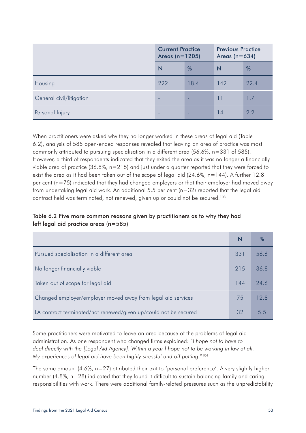|                          | <b>Current Practice</b><br>Areas $(n=1205)$ |      | <b>Previous Practice</b><br>Areas ( $n=634$ ) |      |
|--------------------------|---------------------------------------------|------|-----------------------------------------------|------|
|                          | N                                           | %    | N                                             | %    |
| Housing                  | 222                                         | 18.4 | 142                                           | 22.4 |
| General civil/litigation | -                                           | ۰    | 11                                            | 1.7  |
| Personal Injury          | -                                           |      | 14                                            | 2.2  |

When practitioners were asked why they no longer worked in these areas of legal aid (Table 6.2), analysis of 585 open-ended responses revealed that leaving an area of practice was most commonly attributed to pursuing specialisation in a different area (56.6%, n=331 of 585). However, a third of respondents indicated that they exited the area as it was no longer a financially viable area of practice (36.8%, n=215) and just under a quarter reported that they were forced to exist the area as it had been taken out of the scope of legal aid (24.6%, n=144). A further 12.8 per cent (n=75) indicated that they had changed employers or that their employer had moved away from undertaking legal aid work. An additional 5.5 per cent (n=32) reported that the legal aid contract held was terminated, not renewed, given up or could not be secured.<sup>103</sup>

#### Table 6.2 Five more common reasons given by practitioners as to why they had left legal aid practice areas (n=585)

|                                                                  | N   | ℅    |
|------------------------------------------------------------------|-----|------|
| Pursued specialisation in a different area                       | 331 | 56.6 |
| No longer financially viable                                     | 215 | 36.8 |
| Taken out of scope for legal aid                                 | 144 | 24.6 |
| Changed employer/employer moved away from legal aid services     | 75  | 12.8 |
| LA contract terminated/not renewed/given up/could not be secured | 32  | 55   |

Some practitioners were motivated to leave an area because of the problems of legal aid administration. As one respondent who changed firms explained: "*I hope not to have to deal directly with the [Legal Aid Agency]. Within a year I hope not to be working in law at all. My experiences of legal aid have been highly stressful and off putting.*"104

The same amount (4.6%, n=27) attributed their exit to 'personal preference'. A very slightly higher number (4.8%, n=28) indicated that they found it difficult to sustain balancing family and caring responsibilities with work. There were additional family-related pressures such as the unpredictability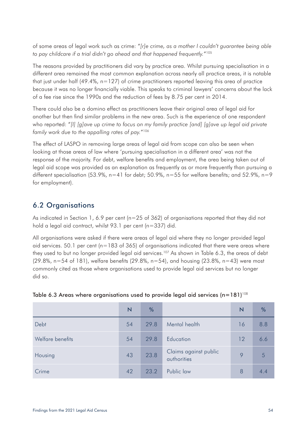of some areas of legal work such as crime: "*[r]e crime, as a mother I couldn't guarantee being able to pay childcare if a trial didn't go ahead and that happened frequently.*"105

The reasons provided by practitioners did vary by practice area. Whilst pursuing specialisation in a different area remained the most common explanation across nearly all practice areas, it is notable that just under half (49.4%, n=127) of crime practitioners reported leaving this area of practice because it was no longer financially viable. This speaks to criminal lawyers' concerns about the lack of a fee rise since the 1990s and the reduction of fees by 8.75 per cent in 2014.

There could also be a domino effect as practitioners leave their original area of legal aid for another but then find similar problems in the new area. Such is the experience of one respondent who reported: "*[I] [g]ave up crime to focus on my family practice [and] [g]ave up legal aid private family work due to the appalling rates of pay.*"106

The effect of LASPO in removing large areas of legal aid from scope can also be seen when looking at those areas of law where 'pursuing specialisation in a different area' was not the response of the majority. For debt, welfare benefits and employment, the area being taken out of legal aid scope was provided as an explanation as frequently as or more frequently than pursuing a different specialisation (53.9%,  $n=41$  for debt; 50.9%,  $n=55$  for welfare benefits; and 52.9%,  $n=9$ for employment).

# 6.2 Organisations

As indicated in Section 1, 6.9 per cent ( $n=25$  of 362) of organisations reported that they did not hold a legal aid contract, whilst 93.1 per cent (n=337) did.

All organisations were asked if there were areas of legal aid where they no longer provided legal aid services. 50.1 per cent (n=183 of 365) of organisations indicated that there were areas where they used to but no longer provided legal aid services.<sup>107</sup> As shown in Table 6.3, the areas of debt (29.8%,  $n=54$  of 181), welfare benefits (29.8%,  $n=54$ ), and housing (23.8%,  $n=43$ ) were most commonly cited as those where organisations used to provide legal aid services but no longer did so.

|                  | N  | %    |                                      | N  | %   |
|------------------|----|------|--------------------------------------|----|-----|
| Debt             | 54 | 29.8 | Mental health                        | 16 | 8.8 |
| Welfare benefits | 54 | 29.8 | Education                            | 12 | 6.6 |
| Housing          | 43 | 23.8 | Claims against public<br>authorities | 9  | 5   |
| Crime            | 42 | 23.2 | Public law                           | 8  | 4.4 |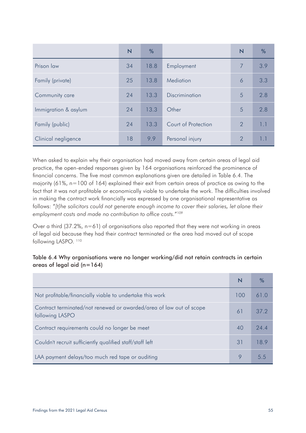|                      | N  | %    |                     | $\overline{\mathsf{N}}$ | %   |
|----------------------|----|------|---------------------|-------------------------|-----|
| Prison law           | 34 | 18.8 | Employment          | 7                       | 3.9 |
| Family (private)     | 25 | 13.8 | Mediation           | 6                       | 3.3 |
| Community care       | 24 | 13.3 | Discrimination      | 5                       | 2.8 |
| Immigration & asylum | 24 | 13.3 | Other               | 5                       | 2.8 |
| Family (public)      | 24 | 13.3 | Court of Protection | $\overline{2}$          | 1.1 |
| Clinical negligence  | 18 | 9.9  | Personal injury     | $\overline{2}$          |     |

When asked to explain why their organisation had moved away from certain areas of legal aid practice, the open-ended responses given by 164 organisations reinforced the prominence of financial concerns. The five most common explanations given are detailed in Table 6.4. The majority (61%, n=100 of 164) explained their exit from certain areas of practice as owing to the fact that it was not profitable or economically viable to undertake the work. The difficulties involved in making the contract work financially was expressed by one organisational representative as follows: "*[t]he solicitors could not generate enough income to cover their salaries, let alone their employment costs and made no contribution to office costs.*"109

Over a third (37.2%, n=61) of organisations also reported that they were not working in areas of legal aid because they had their contract terminated or the area had moved out of scope following LASPO.<sup>110</sup>

#### Table 6.4 Why organisations were no longer working/did not retain contracts in certain areas of legal aid  $(n=164)$

|                                                                                        | N   | $\%$          |
|----------------------------------------------------------------------------------------|-----|---------------|
| Not profitable/financially viable to undertake this work                               | 100 | 61 O          |
| Contract terminated/not renewed or awarded/area of law out of scope<br>following LASPO | 61  | 37.2          |
| Contract requirements could no longer be meet                                          | 40  | 24.4          |
| Couldn't recruit sufficiently qualified staff/staff left                               | 31  | 18.9          |
| LAA payment delays/too much red tape or auditing                                       | Q   | $\mathcal{L}$ |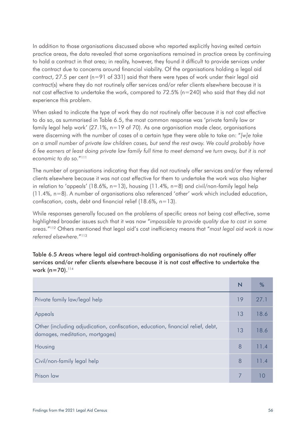In addition to those organisations discussed above who reported explicitly having exited certain practice areas, the data revealed that some organisations remained in practice areas by continuing to hold a contract in that area; in reality, however, they found it difficult to provide services under the contract due to concerns around financial viability. Of the organisations holding a legal aid contract, 27.5 per cent  $(n=91 \text{ of } 331)$  said that there were types of work under their legal aid contract(s) where they do not routinely offer services and/or refer clients elsewhere because it is not cost effective to undertake the work, compared to 72.5% (n=240) who said that they did not experience this problem.

When asked to indicate the type of work they do not routinely offer because it is not cost effective to do so, as summarised in Table 6.5, the most common response was 'private family law or family legal help work' (27.1%, n=19 of 70). As one organisation made clear, organisations were discerning with the number of cases of a certain type they were able to take on: "*[w]e take on a small number of private law children cases, but send the rest away. We could probably have 6 fee earners at least doing private law family full time to meet demand we turn away, but it is not economic to do so.*"111

The number of organisations indicating that they did not routinely offer services and/or they referred clients elsewhere because it was not cost effective for them to undertake the work was also higher in relation to 'appeals' (18.6%,  $n=13$ ), housing (11.4%,  $n=8$ ) and civil/non-family legal help (11.4%, n=8). A number of organisations also referenced 'other' work which included education, confiscation, costs, debt and financial relief (18.6%, n=13).

While responses generally focused on the problems of specific areas not being cost effective, some highlighted broader issues such that it was now "*impossible to provide quality due to cost in some areas.*"112 Others mentioned that legal aid's cost inefficiency means that "*most legal aid work is now referred elsewhere.*"113

| Table 6.5 Areas where legal aid contract-holding organisations do not routinely offer     |  |
|-------------------------------------------------------------------------------------------|--|
| services and/or refer clients elsewhere because it is not cost effective to undertake the |  |
| work ( $n=70$ ). $114$                                                                    |  |

|                                                                                                                    | N  | %    |
|--------------------------------------------------------------------------------------------------------------------|----|------|
| Private family law/legal help                                                                                      | 19 | 27.1 |
| Appeals                                                                                                            | 13 | 18.6 |
| Other (including adjudication, confiscation, education, financial relief, debt,<br>damages, meditation, mortgages) | 13 | 18.6 |
| Housing                                                                                                            | 8  | 11.4 |
| Civil/non-family legal help                                                                                        | 8  | 11.4 |
| Prison law                                                                                                         |    |      |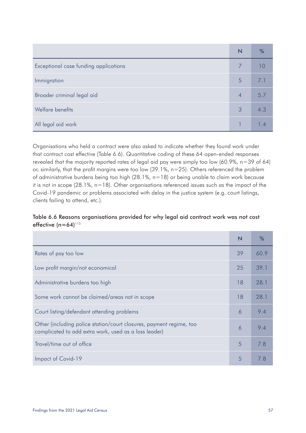|                                       | N | %   |
|---------------------------------------|---|-----|
| Exceptional case funding applications |   |     |
| Immigration                           | 5 | 7.1 |
| Broader criminal legal aid            | 4 | 5.7 |
| Welfare benefits                      | 3 | 4.3 |
| All legal aid work                    |   |     |

Organisations who held a contract were also asked to indicate whether they found work under that contract cost effective (Table 6.6). Quantitative coding of these 64 open-ended responses revealed that the majority reported rates of legal aid pay were simply too low (60.9%, n=39 of 64) or, similarly, that the profit margins were too low (39.1%, n=25). Others referenced the problem of administrative burdens being too high (28.1%, n=18) or being unable to claim work because it is not in scope (28.1%, n=18). Other organisations referenced issues such as the impact of the Covid-19 pandemic or problems associated with delay in the justice system (e.g. court listings, clients failing to attend, etc.).

#### Table 6.6 Reasons organisations provided for why legal aid contract work was not cost effective  $(n=64)^{115}$

|                                                                                                                              | N  | $\%$ |
|------------------------------------------------------------------------------------------------------------------------------|----|------|
| Rates of pay too low                                                                                                         | 39 | 60.9 |
| Low profit margin/not economical                                                                                             | 25 | 39.1 |
| Administrative burdens too high                                                                                              | 18 | 28.1 |
| Some work cannot be claimed/areas not in scope                                                                               | 18 | 28.1 |
| Court listing/defendant attending problems                                                                                   | 6  | 9.4  |
| Other (including police station/court closures, payment regime, too<br>complicated to add extra work, used as a loss leader) | 6  | 9.4  |
| Travel/time out of office                                                                                                    | 5  | 7.8  |
| Impact of Covid-19                                                                                                           | 5  | 7 8  |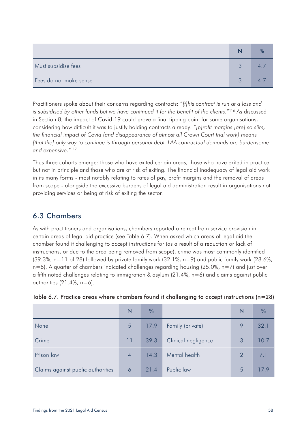| Must subsidise fees    |  |
|------------------------|--|
| Fees do not make sense |  |

Practitioners spoke about their concerns regarding contracts: "*[t]his contract is run at a loss and is subsidised by other funds but we have continued it for the benefit of the clients.*"116 As discussed in Section 8, the impact of Covid-19 could prove a final tipping point for some organisations, considering how difficult it was to justify holding contracts already: "*[p]rofit margins [are] so slim, the financial impact of Covid (and disappearance of almost all Crown Court trial work) means [that the] only way to continue is through personal debt. LAA contractual demands are burdensome and expensive.*"117

Thus three cohorts emerge: those who have exited certain areas, those who have exited in practice but not in principle and those who are at risk of exiting. The financial inadequacy of legal aid work in its many forms - most notably relating to rates of pay, profit margins and the removal of areas from scope - alongside the excessive burdens of legal aid administration result in organisations not providing services or being at risk of exiting the sector.

# 6.3 Chambers

As with practitioners and organisations, chambers reported a retreat from service provision in certain areas of legal aid practice (see Table 6.7). When asked which areas of legal aid the chamber found it challenging to accept instructions for (as a result of a reduction or lack of instructions, or due to the area being removed from scope), crime was most commonly identified  $(39.3\%$ , n=11 of 28) followed by private family work  $(32.1\%$ , n=9) and public family work  $(28.6\%$ , n=8). A quarter of chambers indicated challenges regarding housing (25.0%, n=7) and just over a fifth noted challenges relating to immigration & asylum (21.4%, n=6) and claims against public authorities  $(21.4\%$ , n=6).

|                                   | N              | %    |                     | N             | %    |
|-----------------------------------|----------------|------|---------------------|---------------|------|
| None                              | 5              | 17.9 | Family (private)    | 9             | 32.1 |
| Crime                             | 11             | 39.3 | Clinical negligence | 3             | 10.7 |
| Prison law                        | $\overline{4}$ | 14.3 | Mental health       | $\mathcal{P}$ | 7.1  |
| Claims against public authorities | 6              | 21.4 | Public law          | 5             | 17.9 |

| Table 6.7. Practice areas where chambers found it challenging to accept instructions (n=28) |  |  |  |  |  |
|---------------------------------------------------------------------------------------------|--|--|--|--|--|
|---------------------------------------------------------------------------------------------|--|--|--|--|--|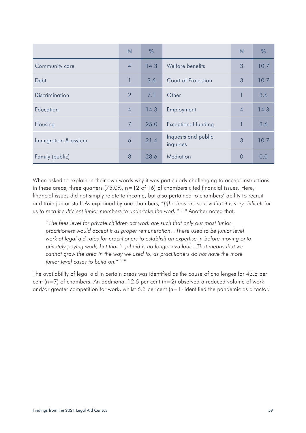|                      | N              | %    |                                  | $\overline{\mathsf{N}}$ | %    |
|----------------------|----------------|------|----------------------------------|-------------------------|------|
| Community care       | $\overline{4}$ | 14.3 | Welfare benefits                 | 3                       | 10.7 |
| Debt                 |                | 3.6  | Court of Protection              | 3                       | 10.7 |
| Discrimination       | 2              | 7.1  | Other                            |                         | 3.6  |
| Education            | $\overline{4}$ | 14.3 | Employment                       | $\overline{4}$          | 14.3 |
| Housing              | $\overline{7}$ | 25.0 | <b>Exceptional funding</b>       |                         | 3.6  |
| Immigration & asylum | 6              | 21.4 | Inquests and public<br>inquiries | 3                       | 10.7 |
| Family (public)      | 8              | 28.6 | Mediation                        | $\overline{0}$          | 0.0  |

When asked to explain in their own words why it was particularly challenging to accept instructions in these areas, three quarters  $(75.0\%$ , n=12 of 16) of chambers cited financial issues. Here, financial issues did not simply relate to income, but also pertained to chambers' ability to recruit and train junior staff. As explained by one chambers, "*[t]he fees are so low that it is very difficult for us to recruit sufficient junior members to undertake the work.*" 118 Another noted that:

*"The fees level for private children act work are such that only our most junior practitioners would accept it as proper remuneration...There used to be junior level work at legal aid rates for practitioners to establish an expertise in before moving onto privately paying work, but that legal aid is no longer available. That means that we cannot grow the area in the way we used to, as practitioners do not have the more junior level cases to build on."* <sup>119</sup>

The availability of legal aid in certain areas was identified as the cause of challenges for 43.8 per cent (n=7) of chambers. An additional 12.5 per cent (n=2) observed a reduced volume of work and/or greater competition for work, whilst 6.3 per cent (n=1) identified the pandemic as a factor.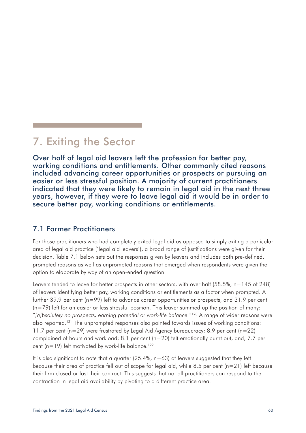# 7. Exiting the Sector

Over half of legal aid leavers left the profession for better pay, working conditions and entitlements. Other commonly cited reasons included advancing career opportunities or prospects or pursuing an easier or less stressful position. A majority of current practitioners indicated that they were likely to remain in legal aid in the next three years, however, if they were to leave legal aid it would be in order to secure better pay, working conditions or entitlements.

### 7.1 Former Practitioners

For those practitioners who had completely exited legal aid as opposed to simply exiting a particular area of legal aid practice ('legal aid leavers'), a broad range of justifications were given for their decision. Table 7.1 below sets out the responses given by leavers and includes both pre-defined, prompted reasons as well as unprompted reasons that emerged when respondents were given the option to elaborate by way of an open-ended question.

Leavers tended to leave for better prospects in other sectors, with over half (58.5%, n=145 of 248) of leavers identifying better pay, working conditions or entitlements as a factor when prompted. A further 39.9 per cent (n=99) left to advance career opportunities or prospects, and 31.9 per cent  $(n=79)$  left for an easier or less stressful position. This leaver summed up the position of many: "*[a]bsolutely no prospects, earning potential or work-life balance.*"120 A range of wider reasons were also reported.<sup>121</sup> The unprompted responses also pointed towards issues of working conditions: 11.7 per cent (n=29) were frustrated by Legal Aid Agency bureaucracy; 8.9 per cent (n=22) complained of hours and workload; 8.1 per cent (n=20) felt emotionally burnt out, and; 7.7 per cent ( $n=19$ ) felt motivated by work-life balance.<sup>122</sup>

It is also significant to note that a quarter  $(25.4\% , n=63)$  of leavers suggested that they left because their area of practice fell out of scope for legal aid, while 8.5 per cent (n=21) left because their firm closed or lost their contract. This suggests that not all practitioners can respond to the contraction in legal aid availability by pivoting to a different practice area.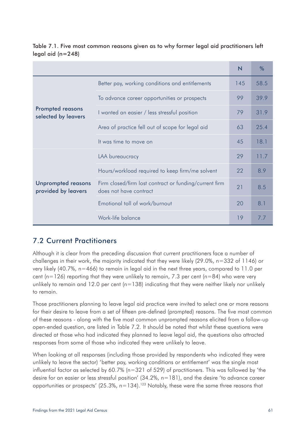|                                                  |                                                                                  | N   | %    |
|--------------------------------------------------|----------------------------------------------------------------------------------|-----|------|
|                                                  | Better pay, working conditions and entitlements                                  | 145 | 58.5 |
|                                                  | To advance career opportunities or prospects                                     | 99  | 39.9 |
| <b>Prompted reasons</b><br>selected by leavers   | I wanted an easier / less stressful position                                     | 79  | 31.9 |
|                                                  | Area of practice fell out of scope for legal aid                                 | 63  | 25.4 |
|                                                  | It was time to move on                                                           | 45  | 18.1 |
|                                                  | LAA bureaucracy                                                                  | 29  | 11.7 |
|                                                  | Hours/workload required to keep firm/me solvent                                  | 22  | 8.9  |
| <b>Unprompted reasons</b><br>provided by leavers | Firm closed/firm lost contract or funding/current firm<br>does not have contract | 21  | 8.5  |
|                                                  | Emotional toll of work/burnout                                                   | 20  | 8.1  |
|                                                  | Work-life balance                                                                | 19  | 7.7  |

Table 7.1. Five most common reasons given as to why former legal aid practitioners left legal aid (n=248)

# 7.2 Current Practitioners

Although it is clear from the preceding discussion that current practitioners face a number of challenges in their work, the majority indicated that they were likely (29.0%, n=332 of 1146) or very likely (40.7%, n=466) to remain in legal aid in the next three years, compared to 11.0 per cent ( $n=126$ ) reporting that they were unlikely to remain, 7.3 per cent ( $n=84$ ) who were very unlikely to remain and 12.0 per cent  $(n=138)$  indicating that they were neither likely nor unlikely to remain.

Those practitioners planning to leave legal aid practice were invited to select one or more reasons for their desire to leave from a set of fifteen pre-defined (prompted) reasons. The five most common of these reasons - along with the five most common unprompted reasons elicited from a follow-up open-ended question, are listed in Table 7.2. It should be noted that whilst these questions were directed at those who had indicated they planned to leave legal aid, the questions also attracted responses from some of those who indicated they were unlikely to leave.

When looking at all responses (including those provided by respondents who indicated they were unlikely to leave the sector) 'better pay, working conditions or entitlement' was the single most influential factor as selected by 60.7% (n=321 of 529) of practitioners. This was followed by 'the desire for an easier or less stressful position' (34.2%, n=181), and the desire 'to advance career opportunities or prospects' (25.3%,  $n=134$ ).<sup>123</sup> Notably, these were the same three reasons that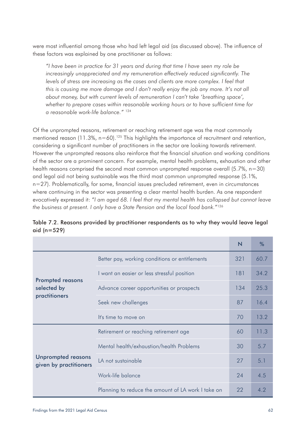were most influential among those who had left legal aid (as discussed above). The influence of these factors was explained by one practitioner as follows:

*"I have been in practice for 31 years and during that time I have seen my role be increasingly unappreciated and my remuneration effectively reduced significantly. The levels of stress are increasing as the cases and clients are more complex. I feel that this is causing me more damage and I don't really enjoy the job any more. It's not all about money, but with current levels of remuneration I can't take 'breathing space', whether to prepare cases within reasonable working hours or to have sufficient time for a reasonable work-life balance."* <sup>124</sup>

Of the unprompted reasons, retirement or reaching retirement age was the most commonly mentioned reason (11.3%,  $n=60$ ).<sup>125</sup> This highlights the importance of recruitment and retention, considering a significant number of practitioners in the sector are looking towards retirement. However the unprompted reasons also reinforce that the financial situation and working conditions of the sector are a prominent concern. For example, mental health problems, exhaustion and other health reasons comprised the second most common unprompted response overall (5.7%, n=30) and legal aid not being sustainable was the third most common unprompted response (5.1%, n=27). Problematically, for some, financial issues precluded retirement, even in circumstances where continuing in the sector was presenting a clear mental health burden. As one respondent evocatively expressed it: "*I am aged 68. I feel that my mental health has collapsed but cannot leave the business at present. I only have a State Pension and the local food bank.*"126

|                                                     |                                                    | N   | %    |
|-----------------------------------------------------|----------------------------------------------------|-----|------|
|                                                     | Better pay, working conditions or entitlements     | 321 | 60.7 |
| <b>Prompted reasons</b>                             | I want an easier or less stressful position        | 181 | 34.2 |
| selected by                                         | Advance career opportunities or prospects          | 134 | 25.3 |
| practitioners                                       | Seek new challenges                                | 87  | 16.4 |
|                                                     | It's time to move on                               | 70  | 13.2 |
|                                                     | Retirement or reaching retirement age              | 60  | 11.3 |
| <b>Unprompted reasons</b><br>given by practitioners | Mental health/exhaustion/health Problems           |     | 5.7  |
|                                                     | LA not sustainable                                 |     | 5.1  |
|                                                     | Work-life balance                                  | 24  | 4.5  |
|                                                     | Planning to reduce the amount of LA work I take on | 22  | 4.2  |

| Table 7.2. Reasons provided by practitioner respondents as to why they would leave legal |  |  |
|------------------------------------------------------------------------------------------|--|--|
| aid (n=529)                                                                              |  |  |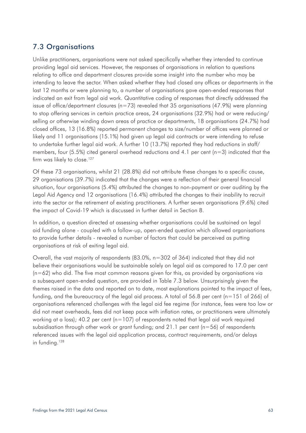# 7.3 Organisations

Unlike practitioners, organisations were not asked specifically whether they intended to continue providing legal aid services. However, the responses of organisations in relation to questions relating to office and department closures provide some insight into the number who may be intending to leave the sector. When asked whether they had closed any offices or departments in the last 12 months or were planning to, a number of organisations gave open-ended responses that indicated an exit from legal aid work. Quantitative coding of responses that directly addressed the issue of office/department closures (n=73) revealed that 35 organisations (47.9%) were planning to stop offering services in certain practice areas, 24 organisations (32.9%) had or were reducing/ selling or otherwise winding down areas of practice or departments, 18 organisations (24.7%) had closed offices, 13 (16.8%) reported permanent changes to size/number of offices were planned or likely and 11 organisations (15.1%) had given up legal aid contracts or were intending to refuse to undertake further legal aid work. A further 10 (13.7%) reported they had reductions in staff/ members, four (5.5%) cited general overhead reductions and 4.1 per cent ( $n=3$ ) indicated that the firm was likely to close.<sup>127</sup>

Of these 73 organisations, whilst 21 (28.8%) did not attribute these changes to a specific cause, 29 organisations (39.7%) indicated that the changes were a reflection of their general financial situation, four organisations (5.4%) attributed the changes to non-payment or over auditing by the Legal Aid Agency and 12 organisations (16.4%) attributed the changes to their inability to recruit into the sector or the retirement of existing practitioners. A further seven organisations (9.6%) cited the impact of Covid-19 which is discussed in further detail in Section 8.

In addition, a question directed at assessing whether organisations could be sustained on legal aid funding alone - coupled with a follow-up, open-ended question which allowed organisations to provide further details - revealed a number of factors that could be perceived as putting organisations at risk of exiting legal aid.

Overall, the vast majority of respondents (83.0%, n=302 of 364) indicated that they did not believe their organisations would be sustainable solely on legal aid as compared to 17.0 per cent  $(n=62)$  who did. The five most common reasons given for this, as provided by organisations via a subsequent open-ended question, are provided in Table 7.3 below. Unsurprisingly given the themes raised in the data and reported on to date, most explanations pointed to the impact of fees, funding, and the bureaucracy of the legal aid process. A total of 56.8 per cent (n=151 of 266) of organisations referenced challenges with the legal aid fee regime (for instance, fees were too low or did not meet overheads, fees did not keep pace with inflation rates, or practitioners were ultimately working at a loss); 40.2 per cent ( $n=107$ ) of respondents noted that legal aid work required subsidisation through other work or grant funding; and 21.1 per cent (n=56) of respondents referenced issues with the legal aid application process, contract requirements, and/or delays in funding.<sup>128</sup>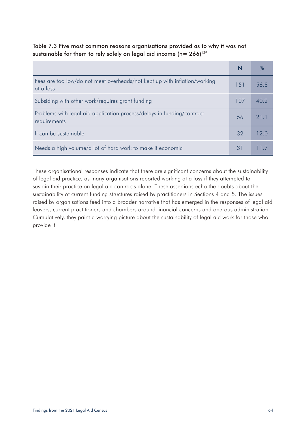| Table 7.3 Five most common reasons organisations provided as to why it was not     |  |
|------------------------------------------------------------------------------------|--|
| sustainable for them to rely solely on legal aid income (n= $266$ ) <sup>129</sup> |  |

|                                                                                        | N   |      |
|----------------------------------------------------------------------------------------|-----|------|
| Fees are too low/do not meet overheads/not kept up with inflation/working<br>at a loss | 151 | 56.8 |
| Subsiding with other work/requires grant funding                                       | 107 | 40.2 |
| Problems with legal aid application process/delays in funding/contract<br>requirements | 56  | 21 1 |
| It can be sustainable                                                                  | 32  | 12 O |
| Needs a high volume/a lot of hard work to make it economic                             | 31  |      |

These organisational responses indicate that there are significant concerns about the sustainability of legal aid practice, as many organisations reported working at a loss if they attempted to sustain their practice on legal aid contracts alone. These assertions echo the doubts about the sustainability of current funding structures raised by practitioners in Sections 4 and 5. The issues raised by organisations feed into a broader narrative that has emerged in the responses of legal aid leavers, current practitioners and chambers around financial concerns and onerous administration. Cumulatively, they paint a worrying picture about the sustainability of legal aid work for those who provide it.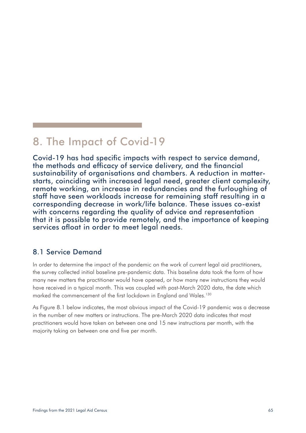# 8. The Impact of Covid-19

Covid-19 has had specific impacts with respect to service demand, the methods and efficacy of service delivery, and the financial sustainability of organisations and chambers. A reduction in matterstarts, coinciding with increased legal need, greater client complexity, remote working, an increase in redundancies and the furloughing of staff have seen workloads increase for remaining staff resulting in a corresponding decrease in work/life balance. These issues co-exist with concerns regarding the quality of advice and representation that it is possible to provide remotely, and the importance of keeping services afloat in order to meet legal needs.

## 8.1 Service Demand

In order to determine the impact of the pandemic on the work of current legal aid practitioners, the survey collected initial baseline pre-pandemic data. This baseline data took the form of how many new matters the practitioner would have opened, or how many new instructions they would have received in a typical month. This was coupled with post-March 2020 data, the date which marked the commencement of the first lockdown in England and Wales.<sup>130</sup>

As Figure 8.1 below indicates, the most obvious impact of the Covid-19 pandemic was a decrease in the number of new matters or instructions. The pre-March 2020 data indicates that most practitioners would have taken on between one and 15 new instructions per month, with the majority taking on between one and five per month.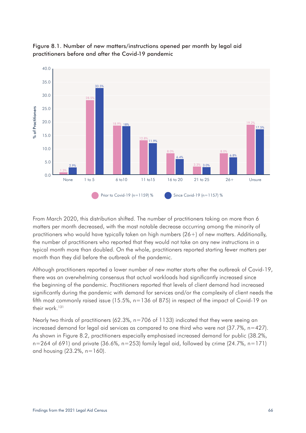

Figure 8.1. Number of new matters/instructions opened per month by legal aid practitioners before and after the Covid-19 pandemic

From March 2020, this distribution shifted. The number of practitioners taking on more than 6 matters per month decreased, with the most notable decrease occurring among the minority of practitioners who would have typically taken on high numbers (26+) of new matters. Additionally, the number of practitioners who reported that they would not take on any new instructions in a typical month more than doubled. On the whole, practitioners reported starting fewer matters per month than they did before the outbreak of the pandemic.

Although practitioners reported a lower number of new matter starts after the outbreak of Covid-19, there was an overwhelming consensus that actual workloads had significantly increased since the beginning of the pandemic. Practitioners reported that levels of client demand had increased significantly during the pandemic with demand for services and/or the complexity of client needs the fifth most commonly raised issue (15.5%, n=136 of 875) in respect of the impact of Covid-19 on their work.<sup>131</sup>

Nearly two thirds of practitioners (62.3%, n=706 of 1133) indicated that they were seeing an increased demand for legal aid services as compared to one third who were not (37.7%, n=427). As shown in Figure 8.2, practitioners especially emphasised increased demand for public (38.2%,  $n=264$  of 691) and private (36.6%,  $n=253$ ) family legal aid, followed by crime (24.7%,  $n=171$ )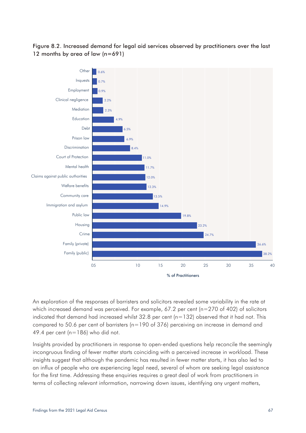#### Figure 8.2. Increased demand for legal aid services observed by practitioners over the last 12 months by area of law (n=691)



An exploration of the responses of barristers and solicitors revealed some variability in the rate at which increased demand was perceived. For example, 67.2 per cent (n=270 of 402) of solicitors indicated that demand had increased whilst  $32.8$  per cent ( $n=132$ ) observed that it had not. This compared to 50.6 per cent of barristers ( $n=190$  of 376) perceiving an increase in demand and 49.4 per cent ( $n=186$ ) who did not.

Insights provided by practitioners in response to open-ended questions help reconcile the seemingly incongruous finding of fewer matter starts coinciding with a perceived increase in workload. These insights suggest that although the pandemic has resulted in fewer matter starts, it has also led to an influx of people who are experiencing legal need, several of whom are seeking legal assistance for the first time. Addressing these enquiries requires a great deal of work from practitioners in terms of collecting relevant information, narrowing down issues, identifying any urgent matters,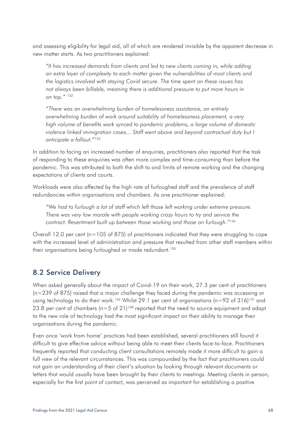and assessing eligibility for legal aid, all of which are rendered invisible by the apparent decrease in new matter starts. As two practitioners explained:

*"It has increased demands from clients and led to new clients coming in, while adding an extra layer of complexity to each matter given the vulnerabilities of most clients and the logistics involved with staying Covid secure. The time spent on these issues has not always been billable, meaning there is additional pressure to put more hours in on top."* <sup>132</sup>

*"There was an overwhelming burden of homelessness assistance, an entirely overwhelming burden of work around suitability of homelessness placement, a very high volume of benefits work synced to pandemic problems, a large volume of domestic violence linked immigration cases... Staff went above and beyond contractual duty but I anticipate a fallout."*<sup>133</sup>

In addition to facing an increased number of enquiries, practitioners also reported that the task of responding to these enquiries was often more complex and time-consuming than before the pandemic. This was attributed to both the shift to and limits of remote working and the changing expectations of clients and courts.

Workloads were also affected by the high rate of furloughed staff and the prevalence of staff redundancies within organisations and chambers. As one practitioner explained:

*"We had to furlough a lot of staff which left those left working under extreme pressure. There was very low morale with people working crazy hours to try and service the contract. Resentment built up between those working and those on furlough."*<sup>134</sup>

Overall 12.0 per cent ( $n=105$  of 875) of practitioners indicated that they were struggling to cope with the increased level of administration and pressure that resulted from other staff members within their organisations being furloughed or made redundant.<sup>135</sup>

## 8.2 Service Delivery

When asked generally about the impact of Covid-19 on their work, 27.3 per cent of practitioners (n=239 of 875) raised that a major challenge they faced during the pandemic was accessing or using technology to do their work.<sup>136</sup> Whilst 29.1 per cent of organisations (n=92 of 316)<sup>137</sup> and 23.8 per cent of chambers ( $n=5$  of 21)<sup>138</sup> reported that the need to source equipment and adapt to the new role of technology had the most significant impact on their ability to manage their organisations during the pandemic.

Even once 'work from home' practices had been established, several practitioners still found it difficult to give effective advice without being able to meet their clients face-to-face. Practitioners frequently reported that conducting client consultations remotely made it more difficult to gain a full view of the relevant circumstances. This was compounded by the fact that practitioners could not gain an understanding of their client's situation by looking through relevant documents or letters that would usually have been brought by their clients to meetings. Meeting clients in person, especially for the first point of contact, was perceived as important for establishing a positive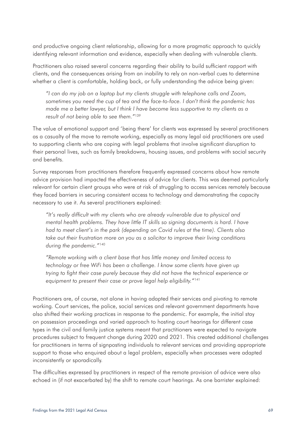and productive ongoing client relationship, allowing for a more pragmatic approach to quickly identifying relevant information and evidence, especially when dealing with vulnerable clients.

Practitioners also raised several concerns regarding their ability to build sufficient rapport with clients, and the consequences arising from an inability to rely on non-verbal cues to determine whether a client is comfortable, holding back, or fully understanding the advice being given:

*"I can do my job on a laptop but my clients struggle with telephone calls and Zoom, sometimes you need the cup of tea and the face-to-face. I don't think the pandemic has made me a better lawyer, but I think I have become less supportive to my clients as a result of not being able to see them."*<sup>139</sup>

The value of emotional support and 'being there' for clients was expressed by several practitioners as a casualty of the move to remote working, especially as many legal aid practitioners are used to supporting clients who are coping with legal problems that involve significant disruption to their personal lives, such as family breakdowns, housing issues, and problems with social security and benefits.

Survey responses from practitioners therefore frequently expressed concerns about how remote advice provision had impacted the effectiveness of advice for clients. This was deemed particularly relevant for certain client groups who were at risk of struggling to access services remotely because they faced barriers in securing consistent access to technology and demonstrating the capacity necessary to use it. As several practitioners explained:

*"It's really difficult with my clients who are already vulnerable due to physical and mental health problems. They have little IT skills so signing documents is hard. I have had to meet client's in the park (depending on Covid rules at the time). Clients also take out their frustration more on you as a solicitor to improve their living conditions during the pandemic."*<sup>140</sup>

*"Remote working with a client base that has little money and limited access to technology or free WiFi has been a challenge. I know some clients have given up trying to fight their case purely because they did not have the technical experience or equipment to present their case or prove legal help eligibility."*<sup>141</sup>

Practitioners are, of course, not alone in having adapted their services and pivoting to remote working. Court services, the police, social services and relevant government departments have also shifted their working practices in response to the pandemic. For example, the initial stay on possession proceedings and varied approach to hosting court hearings for different case types in the civil and family justice systems meant that practitioners were expected to navigate procedures subject to frequent change during 2020 and 2021. This created additional challenges for practitioners in terms of signposting individuals to relevant services and providing appropriate support to those who enquired about a legal problem, especially when processes were adapted inconsistently or sporadically.

The difficulties expressed by practitioners in respect of the remote provision of advice were also echoed in (if not exacerbated by) the shift to remote court hearings. As one barrister explained: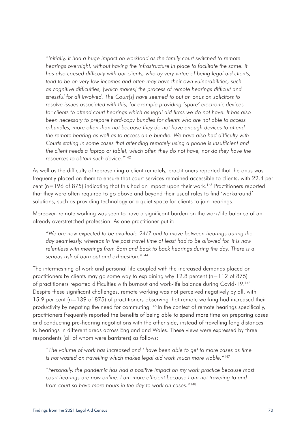*"Initially, it had a huge impact on workload as the family court switched to remote*  hearings overnight, without having the infrastructure in place to facilitate the same. It *has also caused difficulty with our clients, who by very virtue of being legal aid clients, tend to be on very low incomes and often may have their own vulnerabilities, such as cognitive difficulties, [which makes] the process of remote hearings difficult and stressful for all involved. The Court[s] have seemed to put an onus on solicitors to resolve issues associated with this, for example providing 'spare' electronic devices for clients to attend court hearings which as legal aid firms we do not have. It has also been necessary to prepare hard-copy bundles for clients who are not able to access e-bundles, more often than not because they do not have enough devices to attend the remote hearing as well as to access an e-bundle. We have also had difficulty with Courts stating in some cases that attending remotely using a phone is insufficient and the client needs a laptop or tablet, which often they do not have, nor do they have the resources to obtain such device."*<sup>142</sup>

As well as the difficulty of representing a client remotely, practitioners reported that the onus was frequently placed on them to ensure that court services remained accessible to clients, with 22.4 per cent ( $n=196$  of 875) indicating that this had an impact upon their work.<sup>143</sup> Practitioners reported that they were often required to go above and beyond their usual roles to find 'workaround' solutions, such as providing technology or a quiet space for clients to join hearings.

Moreover, remote working was seen to have a significant burden on the work/life balance of an already overstretched profession. As one practitioner put it:

*"We are now expected to be available 24/7 and to move between hearings during the day seamlessly, whereas in the past travel time at least had to be allowed for. It is now relentless with meetings from 8am and back to back hearings during the day. There is a serious risk of burn out and exhaustion."*<sup>144</sup>

The intermeshing of work and personal life coupled with the increased demands placed on practitioners by clients may go some way to explaining why  $12.8$  percent (n=112 of 875) of practitioners reported difficulties with burnout and work-life balance during Covid-19.145 Despite these significant challenges, remote working was not perceived negatively by all, with 15.9 per cent (n=139 of 875) of practitioners observing that remote working had increased their productivity by negating the need for commuting.<sup>146</sup> In the context of remote hearings specifically, practitioners frequently reported the benefits of being able to spend more time on preparing cases and conducting pre-hearing negotiations with the other side, instead of travelling long distances to hearings in different areas across England and Wales. These views were expressed by three respondents (all of whom were barristers) as follows:

*"The volume of work has increased and I have been able to get to more cases as time is not wasted on travelling which makes legal aid work much more viable."*<sup>147</sup>

*"Personally, the pandemic has had a positive impact on my work practice because most court hearings are now online. I am more efficient because I am not traveling to and from court so have more hours in the day to work on cases."*148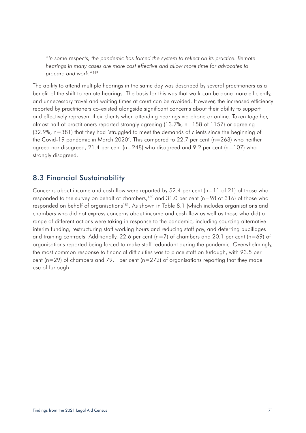*"In some respects, the pandemic has forced the system to reflect on its practice. Remote hearings in many cases are more cost effective and allow more time for advocates to prepare and work."*<sup>149</sup>

The ability to attend multiple hearings in the same day was described by several practitioners as a benefit of the shift to remote hearings. The basis for this was that work can be done more efficiently, and unnecessary travel and waiting times at court can be avoided. However, the increased efficiency reported by practitioners co-existed alongside significant concerns about their ability to support and effectively represent their clients when attending hearings via phone or online. Taken together, almost half of practitioners reported strongly agreeing (13.7%, n=158 of 1157) or agreeing (32.9%, n=381) that they had 'struggled to meet the demands of clients since the beginning of the Covid-19 pandemic in March 2020'. This compared to 22.7 per cent (n=263) who neither agreed nor disagreed, 21.4 per cent ( $n=248$ ) who disagreed and 9.2 per cent ( $n=107$ ) who strongly disagreed.

## 8.3 Financial Sustainability

Concerns about income and cash flow were reported by 52.4 per cent  $(n=11$  of 21) of those who responded to the survey on behalf of chambers,<sup>150</sup> and 31.0 per cent ( $n=98$  of 316) of those who responded on behalf of organisations<sup>151</sup>. As shown in Table 8.1 (which includes organisations and chambers who did not express concerns about income and cash flow as well as those who did) a range of different actions were taking in response to the pandemic, including sourcing alternative interim funding, restructuring staff working hours and reducing staff pay, and deferring pupillages and training contracts. Additionally, 22.6 per cent ( $n=7$ ) of chambers and 20.1 per cent ( $n=69$ ) of organisations reported being forced to make staff redundant during the pandemic. Overwhelmingly, the most common response to financial difficulties was to place staff on furlough, with 93.5 per cent ( $n=29$ ) of chambers and 79.1 per cent ( $n=272$ ) of organisations reporting that they made use of furlough.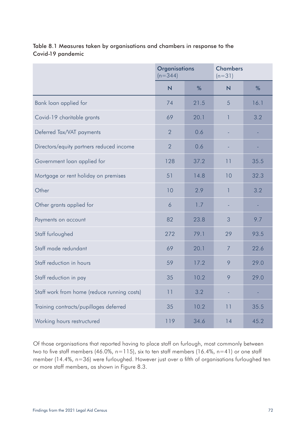|                                             | <b>Organisations</b><br>$(n=344)$ |      | <b>Chambers</b><br>$(n=31)$ |      |
|---------------------------------------------|-----------------------------------|------|-----------------------------|------|
|                                             | $\overline{\mathsf{N}}$           | %    | N                           | %    |
| Bank loan applied for                       | 74                                | 21.5 | 5                           | 16.1 |
| Covid-19 charitable grants                  | 69                                | 20.1 | 1                           | 3.2  |
| Deferred Tax/VAT payments                   | $\overline{2}$                    | 0.6  |                             |      |
| Directors/equity partners reduced income    | $\overline{2}$                    | 0.6  |                             |      |
| Government loan applied for                 | 128                               | 37.2 | 11                          | 35.5 |
| Mortgage or rent holiday on premises        | 51                                | 14.8 | 10                          | 32.3 |
| Other                                       | 10                                | 2.9  | $\overline{1}$              | 3.2  |
| Other grants applied for                    | 6                                 | 1.7  |                             |      |
| Payments on account                         | 82                                | 23.8 | 3                           | 9.7  |
| Staff furloughed                            | 272                               | 79.1 | 29                          | 93.5 |
| Staff made redundant                        | 69                                | 20.1 | $\overline{7}$              | 22.6 |
| Staff reduction in hours                    | 59                                | 17.2 | 9                           | 29.0 |
| Staff reduction in pay                      | 35                                | 10.2 | 9                           | 29.0 |
| Staff work from home (reduce running costs) | 11                                | 3.2  |                             |      |
| Training contracts/pupillages deferred      | 35                                | 10.2 | 11                          | 35.5 |
| Working hours restructured                  | 119                               | 34.6 | 14                          | 45.2 |

Table 8.1 Measures taken by organisations and chambers in response to the Covid-19 pandemic

Of those organisations that reported having to place staff on furlough, most commonly between two to five staff members (46.0%, n=115), six to ten staff members (16.4%, n=41) or one staff member (14.4%, n=36) were furloughed. However just over a fifth of organisations furloughed ten or more staff members, as shown in Figure 8.3.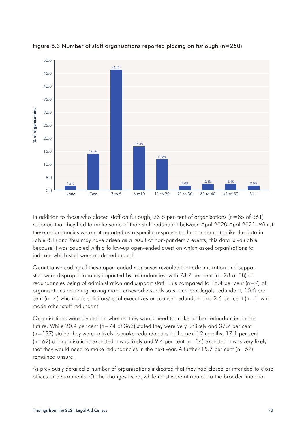



In addition to those who placed staff on furlough, 23.5 per cent of organisations (n=85 of 361) reported that they had to make some of their staff redundant between April 2020-April 2021. Whilst these redundancies were not reported as a specific response to the pandemic (unlike the data in Table 8.1) and thus may have arisen as a result of non-pandemic events, this data is valuable because it was coupled with a follow-up open-ended question which asked organisations to indicate which staff were made redundant.

Quantitative coding of these open-ended responses revealed that administration and support staff were disproportionately impacted by redundancies, with 73.7 per cent (n=28 of 38) of redundancies being of administration and support staff. This compared to 18.4 per cent ( $n=7$ ) of organisations reporting having made caseworkers, advisors, and paralegals redundant, 10.5 per cent ( $n=4$ ) who made solicitors/legal executives or counsel redundant and 2.6 per cent ( $n=1$ ) who made other staff redundant.

Organisations were divided on whether they would need to make further redundancies in the future. While 20.4 per cent (n=74 of 363) stated they were very unlikely and 37.7 per cent (n=137) stated they were unlikely to make redundancies in the next 12 months, 17.1 per cent  $(n=62)$  of organisations expected it was likely and 9.4 per cent  $(n=34)$  expected it was very likely that they would need to make redundancies in the next year. A further  $15.7$  per cent (n=57) remained unsure.

As previously detailed a number of organisations indicated that they had closed or intended to close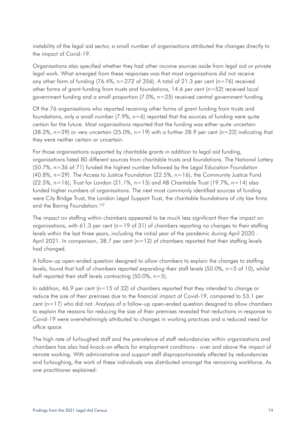instability of the legal aid sector, a small number of organisations attributed the changes directly to the impact of Covid-19.

Organisations also specified whether they had other income sources aside from legal aid or private legal work. What emerged from these responses was that most organisations did not receive any other form of funding (76.4%,  $n=272$  of 356). A total of 21.3 per cent ( $n=76$ ) received other forms of grant funding from trusts and foundations,  $14.6$  per cent ( $n=52$ ) received local government funding and a small proportion (7.0%, n=25) received central government funding.

Of the 76 organisations who reported receiving other forms of grant funding from trusts and foundations, only a small number  $(7.9\%$ ,  $n=6$ ) reported that the sources of funding were quite certain for the future. Most organisations reported that the funding was either quite uncertain  $(38.2\%$ , n=29) or very uncertain  $(25.0\%$ , n=19) with a further 28.9 per cent (n=22) indicating that they were neither certain or uncertain.

For those organisations supported by charitable grants in addition to legal aid funding, organisations listed 80 different sources from charitable trusts and foundations. The National Lottery (50.7%, n=36 of 71) funded the highest number followed by the Legal Education Foundation  $(40.8\%$ , n=29). The Access to Justice Foundation  $(22.5\%$ , n=16), the Community Justice Fund (22.5%, n=16), Trust for London (21.1%, n=15) and AB Charitable Trust (19.7%, n=14) also funded higher numbers of organisations. The next most commonly identified sources of funding were City Bridge Trust, the London Legal Support Trust, the charitable foundations of city law firms and the Baring Foundation.<sup>152</sup>

The impact on staffing within chambers appeared to be much less significant than the impact on organisations, with 61.3 per cent ( $n=19$  of 31) of chambers reporting no changes to their staffing levels within the last three years, including the initial year of the pandemic during April 2020 - April 2021. In comparison, 38.7 per cent  $(n=12)$  of chambers reported that their staffing levels had changed.

A follow-up open-ended question designed to allow chambers to explain the changes to staffing levels, found that half of chambers reported expanding their staff levels (50.0%, n=5 of 10), whilst half reported their staff levels contracting  $(50.0\% , n=5)$ .

In addition, 46.9 per cent ( $n=15$  of 32) of chambers reported that they intended to change or reduce the size of their premises due to the financial impact of Covid-19, compared to 53.1 per cent (n=17) who did not. Analysis of a follow-up open-ended question designed to allow chambers to explain the reasons for reducing the size of their premises revealed that reductions in response to Covid-19 were overwhelmingly attributed to changes in working practices and a reduced need for office space.

The high rate of furloughed staff and the prevalence of staff redundancies within organisations and chambers has also had knock-on effects for employment conditions - over and above the impact of remote working. With administrative and support staff disproportionately affected by redundancies and furloughing, the work of these individuals was distributed amongst the remaining workforce. As one practitioner explained: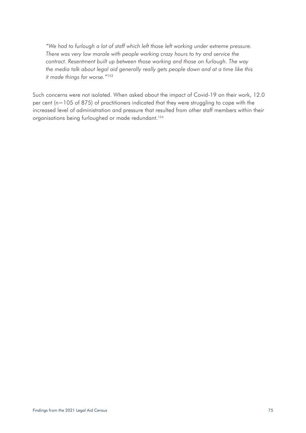*"We had to furlough a lot of staff which left those left working under extreme pressure. There was very low morale with people working crazy hours to try and service the contract. Resentment built up between those working and those on furlough. The way the media talk about legal aid generally really gets people down and at a time like this it made things far worse."*<sup>153</sup>

Such concerns were not isolated. When asked about the impact of Covid-19 on their work, 12.0 per cent (n=105 of 875) of practitioners indicated that they were struggling to cope with the increased level of administration and pressure that resulted from other staff members within their organisations being furloughed or made redundant.<sup>154</sup>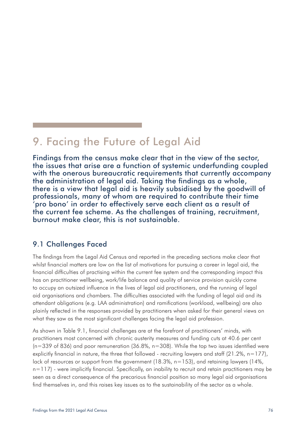# 9. Facing the Future of Legal Aid

Findings from the census make clear that in the view of the sector, the issues that arise are a function of systemic underfunding coupled with the onerous bureaucratic requirements that currently accompany the administration of legal aid. Taking the findings as a whole, there is a view that legal aid is heavily subsidised by the goodwill of professionals, many of whom are required to contribute their time 'pro bono' in order to effectively serve each client as a result of the current fee scheme. As the challenges of training, recruitment, burnout make clear, this is not sustainable.

### 9.1 Challenges Faced

The findings from the Legal Aid Census and reported in the preceding sections make clear that whilst financial matters are low on the list of motivations for pursuing a career in legal aid, the financial difficulties of practising within the current fee system and the corresponding impact this has on practitioner wellbeing, work/life balance and quality of service provision quickly come to occupy an outsized influence in the lives of legal aid practitioners, and the running of legal aid organisations and chambers. The difficulties associated with the funding of legal aid and its attendant obligations (e.g. LAA administration) and ramifications (workload, wellbeing) are also plainly reflected in the responses provided by practitioners when asked for their general views on what they saw as the most significant challenges facing the legal aid profession.

As shown in Table 9.1, financial challenges are at the forefront of practitioners' minds, with practitioners most concerned with chronic austerity measures and funding cuts at 40.6 per cent ( $n=339$  of 836) and poor remuneration (36.8%,  $n=308$ ). While the top two issues identified were explicitly financial in nature, the three that followed - recruiting lawyers and staff  $(21.2\%, n=177)$ , lack of resources or support from the government (18.3%, n=153), and retaining lawyers (14%, n=117) - were implicitly financial. Specifically, an inability to recruit and retain practitioners may be seen as a direct consequence of the precarious financial position so many legal aid organisations find themselves in, and this raises key issues as to the sustainability of the sector as a whole.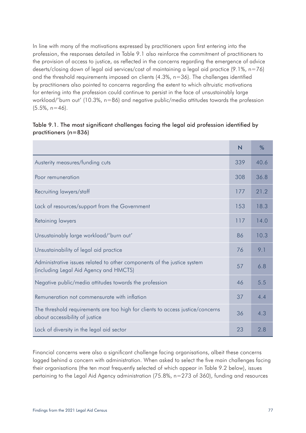In line with many of the motivations expressed by practitioners upon first entering into the profession, the responses detailed in Table 9.1 also reinforce the commitment of practitioners to the provision of access to justice, as reflected in the concerns regarding the emergence of advice deserts/closing down of legal aid services/cost of maintaining a legal aid practice (9.1%, n=76) and the threshold requirements imposed on clients (4.3%, n=36). The challenges identified by practitioners also pointed to concerns regarding the extent to which altruistic motivations for entering into the profession could continue to persist in the face of unsustainably large workload/'burn out' (10.3%, n=86) and negative public/media attitudes towards the profession  $(5.5\%, n=46)$ .

#### Table 9.1. The most significant challenges facing the legal aid profession identified by practitioners (n=836)

|                                                                                                                   | $\overline{\mathsf{N}}$ | $\frac{0}{0}$ |
|-------------------------------------------------------------------------------------------------------------------|-------------------------|---------------|
| Austerity measures/funding cuts                                                                                   | 339                     | 40.6          |
| Poor remuneration                                                                                                 | 308                     | 36.8          |
| Recruiting lawyers/staff                                                                                          | 177                     | 21.2          |
| Lack of resources/support from the Government                                                                     | 153                     | 18.3          |
| Retaining lawyers                                                                                                 | 117                     | 14.0          |
| Unsustainably large workload/'burn out'                                                                           | 86                      | 10.3          |
| Unsustainability of legal aid practice                                                                            | 76                      | 9.1           |
| Administrative issues related to other components of the justice system<br>(including Legal Aid Agency and HMCTS) | 57                      | 6.8           |
| Negative public/media attitudes towards the profession                                                            | 46                      | 5.5           |
| Remuneration not commensurate with inflation                                                                      | 37                      | 4.4           |
| The threshold requirements are too high for clients to access justice/concerns<br>about accessibility of justice  | 36                      | 4.3           |
| Lack of diversity in the legal aid sector                                                                         | 23                      | 2.8           |

Financial concerns were also a significant challenge facing organisations, albeit these concerns lagged behind a concern with administration. When asked to select the five main challenges facing their organisations (the ten most frequently selected of which appear in Table 9.2 below), issues pertaining to the Legal Aid Agency administration (75.8%, n=273 of 360), funding and resources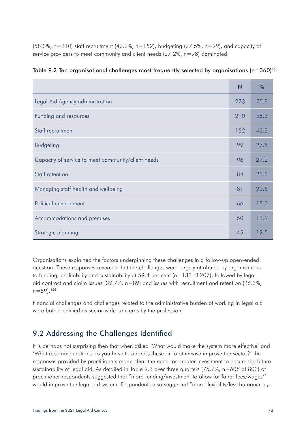(58.3%, n=210) staff recruitment (42.2%, n=152), budgeting (27.5%, n=99), and capacity of service providers to meet community and client needs (27.2%, n=98) dominated.

|                                                    | $\overline{\mathsf{N}}$ | %    |
|----------------------------------------------------|-------------------------|------|
| Legal Aid Agency administration                    | 273                     | 75.8 |
| Funding and resources                              | 210                     | 58.3 |
| Staff recruitment                                  | 152                     | 42.2 |
| <b>Budgeting</b>                                   | 99                      | 27.5 |
| Capacity of service to meet community/client needs | 98                      | 27.2 |
| Staff retention                                    | 84                      | 23.3 |
| Managing staff health and wellbeing                | 81                      | 22.5 |
| Political environment                              | 66                      | 18.3 |
| Accommodations and premises                        | 50                      | 13.9 |
| Strategic planning                                 | 45                      | 12.5 |

|  | Table 9.2 Ten organisational challenges most frequently selected by organisations (n=360) <sup>155</sup> |  |  |
|--|----------------------------------------------------------------------------------------------------------|--|--|
|  |                                                                                                          |  |  |

Organisations explained the factors underpinning these challenges in a follow-up open-ended question. These responses revealed that the challenges were largely attributed by organisations to funding, profitability and sustainability at 59.4 per cent (n=133 of 207), followed by legal aid contract and claim issues (39.7%, n=89) and issues with recruitment and retention (26.3%,  $n=59$ ).<sup>156</sup>

Financial challenges and challenges related to the administrative burden of working in legal aid were both identified as sector-wide concerns by the profession.

### 9.2 Addressing the Challenges Identified

It is perhaps not surprising then that when asked 'What would make the system more effective' and 'What recommendations do you have to address these or to otherwise improve the sector?' the responses provided by practitioners made clear the need for greater investment to ensure the future sustainability of legal aid. As detailed in Table 9.3 over three quarters (75.7%, n=608 of 803) of practitioner respondents suggested that "more funding/investment to allow for fairer fees/wages'' would improve the legal aid system. Respondents also suggested "more flexibility/less bureaucracy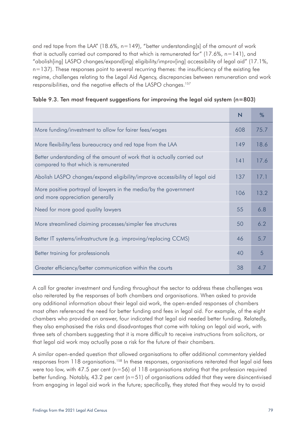and red tape from the LAA" (18.6%,  $n=149$ ), "better understanding[s] of the amount of work that is actually carried out compared to that which is remunerated for"  $(17.6\% , n=141)$ , and "abolish[ing] LASPO changes/expand[ing] eligibility/improv[ing] accessibility of legal aid" (17.1%,  $n=137$ ). These responses point to several recurring themes: the insufficiency of the existing fee regime, challenges relating to the Legal Aid Agency, discrepancies between remuneration and work responsibilities, and the negative effects of the LASPO changes.157

| Table 9.3. Ten most frequent suggestions for improving the legal aid system (n=803) $\,$ |  |
|------------------------------------------------------------------------------------------|--|
|------------------------------------------------------------------------------------------|--|

|                                                                                                                  | $\overline{\mathsf{N}}$ | %    |
|------------------------------------------------------------------------------------------------------------------|-------------------------|------|
| More funding/investment to allow for fairer fees/wages                                                           | 608                     | 75.7 |
| More flexibility/less bureaucracy and red tape from the LAA                                                      | 149                     | 18.6 |
| Better understanding of the amount of work that is actually carried out<br>compared to that which is remunerated | 141                     | 17.6 |
| Abolish LASPO changes/expand eligibility/improve accessibility of legal aid                                      | 137                     | 17.1 |
| More positive portrayal of lawyers in the media/by the government<br>and more appreciation generally             |                         | 13.2 |
| Need for more good quality lawyers                                                                               | 55                      | 6.8  |
| More streamlined claiming processes/simpler fee structures                                                       | 50                      | 6.2  |
| Better IT systems/infrastructure (e.g. improving/replacing CCMS)                                                 | 46                      | 5.7  |
| Better training for professionals                                                                                | 40                      | 5    |
| Greater efficiency/better communication within the courts                                                        | 38                      | 4.7  |

A call for greater investment and funding throughout the sector to address these challenges was also reiterated by the responses of both chambers and organisations. When asked to provide any additional information about their legal aid work, the open-ended responses of chambers most often referenced the need for better funding and fees in legal aid. For example, of the eight chambers who provided an answer, four indicated that legal aid needed better funding. Relatedly, they also emphasised the risks and disadvantages that come with taking on legal aid work, with three sets of chambers suggesting that it is more difficult to receive instructions from solicitors, or that legal aid work may actually pose a risk for the future of their chambers.

A similar open-ended question that allowed organisations to offer additional commentary yielded responses from 118 organisations.<sup>158</sup> In these responses, organisations reiterated that legal aid fees were too low, with 47.5 per cent ( $n=56$ ) of 118 organisations stating that the profession required better funding. Notably, 43.2 per cent  $(n=51)$  of organisations added that they were disincentivised from engaging in legal aid work in the future; specifically, they stated that they would try to avoid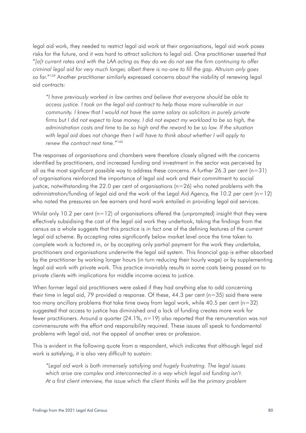legal aid work, they needed to restrict legal aid work at their organisations, legal aid work poses risks for the future, and it was hard to attract solicitors to legal aid. One practitioner asserted that "*[a]t current rates and with the LAA acting as they do we do not see the firm continuing to offer criminal legal aid for very much longer, albeit there is no-one to fill the gap. Altruism only goes so far.*"159 Another practitioner similarly expressed concerns about the viability of renewing legal aid contracts:

*"I have previously worked in law centres and believe that everyone should be able to access justice. I took on the legal aid contract to help those more vulnerable in our community. I knew that I would not have the same salary as solicitors in purely private*  firms but I did not expect to lose money. I did not expect my workload to be so high, the *administration costs and time to be so high and the reward to be so low. If the situation with legal aid does not change then I will have to think about whether I will apply to renew the contract next time."*<sup>160</sup>

The responses of organisations and chambers were therefore closely aligned with the concerns identified by practitioners, and increased funding and investment in the sector was perceived by all as the most significant possible way to address these concerns. A further 26.3 per cent ( $n=31$ ) of organisations reinforced the importance of legal aid work and their commitment to social justice, notwithstanding the 22.0 per cent of organisations  $(n=26)$  who noted problems with the administration/funding of legal aid and the work of the Legal Aid Agency, the 10.2 per cent (n=12) who noted the pressures on fee earners and hard work entailed in providing legal aid services.

Whilst only 10.2 per cent  $(n=12)$  of organisations offered the (unprompted) insight that they were effectively subsidising the cost of the legal aid work they undertook, taking the findings from the census as a whole suggests that this practice is in fact one of the defining features of the current legal aid scheme. By accepting rates significantly below market level once the time taken to complete work is factored in, or by accepting only partial payment for the work they undertake, practitioners and organisations underwrite the legal aid system. This financial gap is either absorbed by the practitioner by working longer hours (in turn reducing their hourly wage) or by supplementing legal aid work with private work. This practice invariably results in some costs being passed on to private clients with implications for middle income access to justice.

When former legal aid practitioners were asked if they had anything else to add concerning their time in legal aid, 79 provided a response. Of these, 44.3 per cent (n=35) said there were too many ancillary problems that take time away from legal work, while 40.5 per cent (n=32) suggested that access to justice has diminished and a lack of funding creates more work for fewer practitioners. Around a quarter (24.1%, n=19) also reported that the remuneration was not commensurate with the effort and responsibility required. These issues all speak to fundamental problems with legal aid, not the appeal of another area or profession.

This is evident in the following quote from a respondent, which indicates that although legal aid work is satisfying, it is also very difficult to sustain:

*"Legal aid work is both immensely satisfying and hugely frustrating. The legal issues which arise are complex and interconnected in a way which legal aid funding isn't. At a first client interview, the issue which the client thinks will be the primary problem*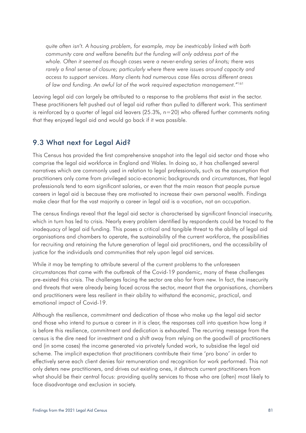*quite often isn't. A housing problem, for example, may be inextricably linked with both community care and welfare benefits but the funding will only address part of the whole. Often it seemed as though cases were a never-ending series of knots; there was rarely a final sense of closure; particularly where there were issues around capacity and access to support services. Many clients had numerous case files across different areas of law and funding. An awful lot of the work required expectation management."*<sup>161</sup>

Leaving legal aid can largely be attributed to a response to the problems that exist in the sector. These practitioners felt pushed out of legal aid rather than pulled to different work. This sentiment is reinforced by a quarter of legal aid leavers  $(25.3\% , n=20)$  who offered further comments noting that they enjoyed legal aid and would go back if it was possible.

#### 9.3 What next for Legal Aid?

This Census has provided the first comprehensive snapshot into the legal aid sector and those who comprise the legal aid workforce in England and Wales. In doing so, it has challenged several narratives which are commonly used in relation to legal professionals, such as the assumption that practitioners only come from privileged socio-economic backgrounds and circumstances, that legal professionals tend to earn significant salaries, or even that the main reason that people pursue careers in legal aid is because they are motivated to increase their own personal wealth. Findings make clear that for the vast majority a career in legal aid is a vocation, not an occupation.

The census findings reveal that the legal aid sector is characterised by significant financial insecurity, which in turn has led to crisis. Nearly every problem identified by respondents could be traced to the inadequacy of legal aid funding. This poses a critical and tangible threat to the ability of legal aid organisations and chambers to operate, the sustainability of the current workforce, the possibilities for recruiting and retaining the future generation of legal aid practitioners, and the accessibility of justice for the individuals and communities that rely upon legal aid services.

While it may be tempting to attribute several of the current problems to the unforeseen circumstances that came with the outbreak of the Covid-19 pandemic, many of these challenges pre-existed this crisis. The challenges facing the sector are also far from new. In fact, the insecurity and threats that were already being faced across the sector, meant that the organisations, chambers and practitioners were less resilient in their ability to withstand the economic, practical, and emotional impact of Covid-19.

Although the resilience, commitment and dedication of those who make up the legal aid sector and those who intend to pursue a career in it is clear, the responses call into question how long it is before this resilience, commitment and dedication is exhausted. The recurring message from the census is the dire need for investment and a shift away from relying on the goodwill of practitioners and (in some cases) the income generated via privately funded work, to subsidise the legal aid scheme. The implicit expectation that practitioners contribute their time 'pro bono' in order to effectively serve each client denies fair remuneration and recognition for work performed. This not only deters new practitioners, and drives out existing ones, it distracts current practitioners from what should be their central focus: providing quality services to those who are (often) most likely to face disadvantage and exclusion in society.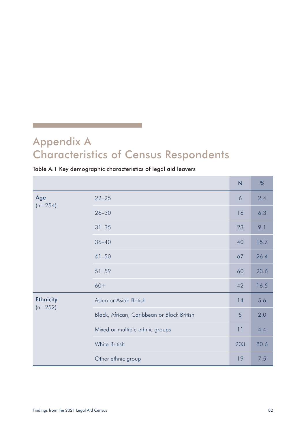# Appendix A Characteristics of Census Respondents

#### Table A.1 Key demographic characteristics of legal aid leavers

|                  |                                            | N   | %    |
|------------------|--------------------------------------------|-----|------|
| Age<br>$(n=254)$ | $22 - 25$                                  | 6   | 2.4  |
|                  | $26 - 30$                                  | 16  | 6.3  |
|                  | $31 - 35$                                  | 23  | 9.1  |
|                  | $36 - 40$                                  | 40  | 15.7 |
|                  | $41 - 50$                                  | 67  | 26.4 |
|                  | $51 - 59$                                  | 60  | 23.6 |
|                  | $60+$                                      | 42  | 16.5 |
| <b>Ethnicity</b> | Asian or Asian British                     | 14  | 5.6  |
| $(n=252)$        | Black, African, Caribbean or Black British | 5   | 2.0  |
|                  | Mixed or multiple ethnic groups            | 11  | 4.4  |
|                  | White British                              | 203 | 80.6 |
|                  | Other ethnic group                         | 19  | 7.5  |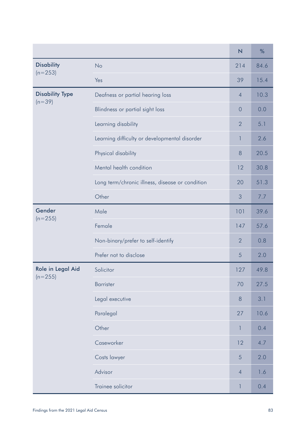|                                    |                                                 | $\overline{\mathsf{N}}$ | %    |
|------------------------------------|-------------------------------------------------|-------------------------|------|
| <b>Disability</b>                  | <b>No</b>                                       | 214                     | 84.6 |
| $(n=253)$                          | Yes                                             | 39                      | 15.4 |
| <b>Disability Type</b><br>$(n=39)$ | Deafness or partial hearing loss                | $\overline{4}$          | 10.3 |
|                                    | Blindness or partial sight loss                 | $\overline{0}$          | 0.0  |
|                                    | Learning disability                             | $\overline{2}$          | 5.1  |
|                                    | Learning difficulty or developmental disorder   | 1                       | 2.6  |
|                                    | Physical disability                             | 8                       | 20.5 |
|                                    | Mental health condition                         | 12                      | 30.8 |
|                                    | Long term/chronic illness, disease or condition | 20                      | 51.3 |
|                                    | Other                                           | 3                       | 7.7  |
| Gender<br>$(n=255)$                | Male                                            | 101                     | 39.6 |
|                                    | Female                                          | 147                     | 57.6 |
|                                    | Non-binary/prefer to self-identify              | $\overline{2}$          | 0.8  |
|                                    | Prefer not to disclose                          | 5                       | 2.0  |
| Role in Legal Aid<br>$(n=255)$     | Solicitor                                       | 127                     | 49.8 |
|                                    | <b>Barrister</b>                                | 70                      | 27.5 |
|                                    | Legal executive                                 | 8                       | 3.1  |
|                                    | Paralegal                                       | 27                      | 10.6 |
|                                    | Other                                           | 1                       | 0.4  |
|                                    | Caseworker                                      | 12                      | 4.7  |
|                                    | Costs lawyer                                    | 5                       | 2.0  |
|                                    | Advisor                                         | $\overline{4}$          | 1.6  |
|                                    | Trainee solicitor                               | $\mathbb{I}$            | 0.4  |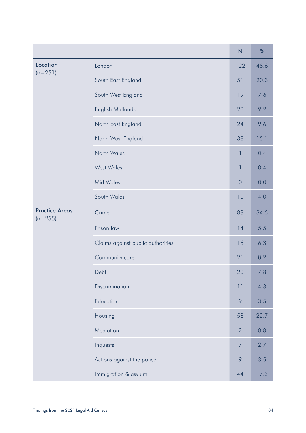|                                    |                                   | $\overline{\mathsf{N}}$ | %    |
|------------------------------------|-----------------------------------|-------------------------|------|
| Location                           | London                            | 122                     | 48.6 |
| $(n=251)$                          | South East England                | 51                      | 20.3 |
|                                    | South West England                | 19                      | 7.6  |
|                                    | English Midlands                  | 23                      | 9.2  |
|                                    | North East England                | 24                      | 9.6  |
|                                    | North West England                | 38                      | 15.1 |
|                                    | North Wales                       | 1                       | 0.4  |
|                                    | <b>West Wales</b>                 | $\mathbf{1}$            | 0.4  |
|                                    | <b>Mid Wales</b>                  | $\overline{O}$          | 0.0  |
|                                    | South Wales                       | 10                      | 4.0  |
| <b>Practice Areas</b><br>$(n=255)$ | Crime                             | 88                      | 34.5 |
|                                    | Prison law                        | 14                      | 5.5  |
|                                    | Claims against public authorities | 16                      | 6.3  |
|                                    | Community care                    | 21                      | 8.2  |
|                                    | Debt                              | 20                      | 7.8  |
|                                    | Discrimination                    | 11                      | 4.3  |
|                                    | Education                         | 9                       | 3.5  |
|                                    | Housing                           | 58                      | 22.7 |
|                                    | Mediation                         | $\overline{2}$          | 0.8  |
|                                    | Inquests                          | $\overline{7}$          | 2.7  |
|                                    | Actions against the police        | 9                       | 3.5  |
|                                    | Immigration & asylum              | 44                      | 17.3 |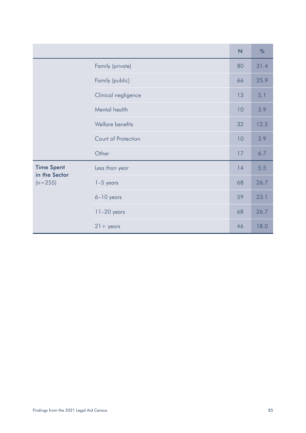|                                    |                     | N  | $\%$ |
|------------------------------------|---------------------|----|------|
|                                    | Family (private)    | 80 | 31.4 |
|                                    | Family (public)     | 66 | 25.9 |
|                                    | Clinical negligence | 13 | 5.1  |
|                                    | Mental health       | 10 | 3.9  |
|                                    | Welfare benefits    | 32 | 12.5 |
|                                    | Court of Protection | 10 | 3.9  |
|                                    | Other               | 17 | 6.7  |
| <b>Time Spent</b><br>in the Sector | Less than year      | 14 | 5.5  |
| $(n=255)$                          | $1-5$ years         | 68 | 26.7 |
|                                    | $6-10$ years        | 59 | 23.1 |
|                                    | $11-20$ years       | 68 | 26.7 |
|                                    | $21 + \gamma$ ears  | 46 | 18.0 |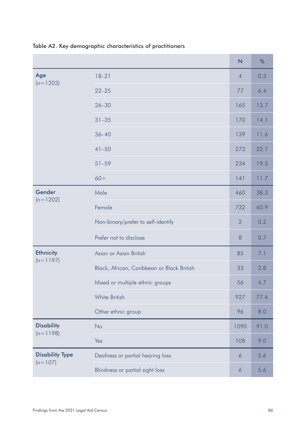|                                     |                                            | $\overline{\mathsf{N}}$ | %    |
|-------------------------------------|--------------------------------------------|-------------------------|------|
| Age                                 | $18 - 21$                                  | $\overline{4}$          | 0.3  |
| $(n=1203)$                          | $22 - 25$                                  | 77                      | 6.4  |
|                                     | $26 - 30$                                  | 165                     | 13.7 |
|                                     | $31 - 35$                                  | 170                     | 14.1 |
|                                     | $36 - 40$                                  | 139                     | 11.6 |
|                                     | $41 - 50$                                  | 273                     | 22.7 |
|                                     | $51 - 59$                                  | 234                     | 19.5 |
|                                     | $60+$                                      | 141                     | 11.7 |
| Gender                              | Male                                       | 460                     | 38.3 |
| $(n=1202)$                          | Female                                     | 732                     | 60.9 |
|                                     | Non-binary/prefer to self-identify         | $\overline{2}$          | 0.2  |
|                                     | Prefer not to disclose                     | 8                       | 0.7  |
| <b>Ethnicity</b><br>$(n=1197)$      | Asian or Asian British                     | 85                      | 7.1  |
|                                     | Black, African, Caribbean or Black British | 33                      | 2.8  |
|                                     | Mixed or multiple ethnic groups            | 56                      | 4.7  |
|                                     | White British                              | 927                     | 77.4 |
|                                     | Other ethnic group                         | 96                      | 8.0  |
| <b>Disability</b><br>$(n=1198)$     | No                                         | 1090                    | 91.0 |
|                                     | Yes                                        | 108                     | 9.0  |
| <b>Disability Type</b><br>$(n=107)$ | Deafness or partial hearing loss           | 6                       | 5.6  |
|                                     | Blindness or partial sight loss            | 6                       | 5.6  |

Table A2. Key demographic characteristics of practitioners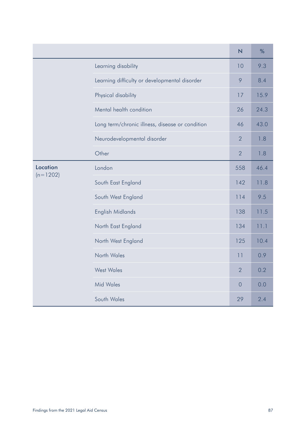|                        |                                                 | N              | %    |
|------------------------|-------------------------------------------------|----------------|------|
|                        | Learning disability                             | 10             | 9.3  |
|                        | Learning difficulty or developmental disorder   | 9              | 8.4  |
|                        | Physical disability                             | 17             | 15.9 |
|                        | Mental health condition                         | 26             | 24.3 |
|                        | Long term/chronic illness, disease or condition | 46             | 43.0 |
|                        | Neurodevelopmental disorder                     | $\overline{2}$ | 1.8  |
|                        | Other                                           | $\overline{2}$ | 1.8  |
| Location<br>$(n=1202)$ | London                                          | 558            | 46.4 |
|                        | South East England                              | 142            | 11.8 |
|                        | South West England                              | 114            | 9.5  |
|                        | English Midlands                                | 138            | 11.5 |
|                        | North East England                              | 134            | 11.1 |
|                        | North West England                              | 125            | 10.4 |
|                        | North Wales                                     | 11             | 0.9  |
|                        | <b>West Wales</b>                               | $\overline{2}$ | 0.2  |
|                        | <b>Mid Wales</b>                                | $\overline{0}$ | 0.0  |
|                        | South Wales                                     | 29             | 2.4  |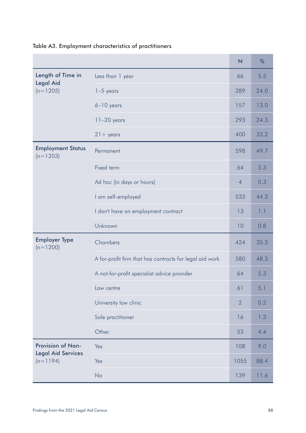|                                                |                                                         | $\overline{\mathsf{N}}$ | %    |
|------------------------------------------------|---------------------------------------------------------|-------------------------|------|
| Length of Time in<br><b>Legal Aid</b>          | Less than 1 year                                        | 66                      | 5.5  |
| $(n=1205)$                                     | $1-5$ years                                             | 289                     | 24.0 |
|                                                | $6-10$ years                                            | 157                     | 13.0 |
|                                                | $11-20$ years                                           | 293                     | 24.3 |
|                                                | $21 + \text{years}$                                     | 400                     | 33.2 |
| <b>Employment Status</b><br>$(n=1203)$         | Permanent                                               | 598                     | 49.7 |
|                                                | Fixed term                                              | 64                      | 5.3  |
|                                                | Ad hoc (in days or hours)                               | $\overline{4}$          | 0.3  |
|                                                | I am self-employed                                      | 533                     | 44.3 |
|                                                | I don't have an employment contract                     | 13                      | 1.1  |
|                                                | Unknown                                                 | 10                      | 0.8  |
| <b>Employer Type</b><br>$(n=1200)$             | Chambers                                                | 424                     | 35.3 |
|                                                | A for-profit firm that has contracts for legal aid work | 580                     | 48.3 |
|                                                | A not-for-profit specialist advice provider             | 64                      | 5.3  |
|                                                | Law centre                                              | 61                      | 5.1  |
|                                                | University law clinic                                   | $\overline{2}$          | 0.2  |
|                                                | Sole practitioner                                       | 16                      | 1.3  |
|                                                | Other                                                   | 53                      | 4.4  |
| Provision of Non-<br><b>Legal Aid Services</b> | Yes                                                     | 108                     | 9.0  |
| $(n=1194)$                                     | Yes                                                     | 1055                    | 88.4 |
|                                                | No                                                      | 139                     | 11.6 |

### Table A3. Employment characteristics of practitioners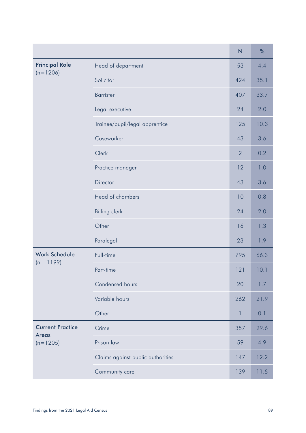|                                         |                                   | $\overline{\mathsf{N}}$ | %    |
|-----------------------------------------|-----------------------------------|-------------------------|------|
| <b>Principal Role</b>                   | Head of department                | 53                      | 4.4  |
| $(n=1206)$                              | Solicitor                         | 424                     | 35.1 |
|                                         | <b>Barrister</b>                  | 407                     | 33.7 |
|                                         | Legal executive                   | 24                      | 2.0  |
|                                         | Trainee/pupil/legal apprentice    | 125                     | 10.3 |
|                                         | Caseworker                        | 43                      | 3.6  |
|                                         | Clerk                             | $\overline{2}$          | 0.2  |
|                                         | Practice manager                  | 12                      | 1.0  |
|                                         | Director                          | 43                      | 3.6  |
|                                         | Head of chambers                  | 10                      | 0.8  |
|                                         | <b>Billing clerk</b>              | 24                      | 2.0  |
|                                         | Other                             | 16                      | 1.3  |
|                                         | Paralegal                         | 23                      | 1.9  |
| <b>Work Schedule</b><br>$(n = 1199)$    | Full-time                         | 795                     | 66.3 |
|                                         | Part-time                         | 121                     | 10.1 |
|                                         | Condensed hours                   | 20                      | 1.7  |
|                                         | Variable hours                    | 262                     | 21.9 |
|                                         | Other                             | 1                       | 0.1  |
| <b>Current Practice</b><br><b>Areas</b> | Crime                             | 357                     | 29.6 |
| $(n=1205)$                              | Prison law                        | 59                      | 4.9  |
|                                         | Claims against public authorities | 147                     | 12.2 |
|                                         | Community care                    | 139                     | 11.5 |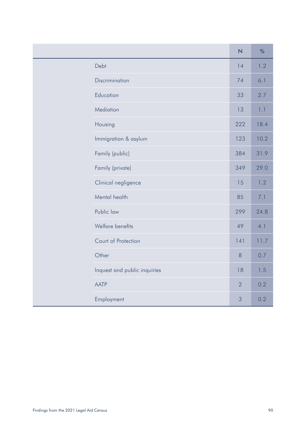|                              | N              | %    |
|------------------------------|----------------|------|
| Debt                         | 14             | 1.2  |
| Discrimination               | 74             | 6.1  |
| Education                    | 33             | 2.7  |
| Mediation                    | 13             | 1.1  |
| Housing                      | 222            | 18.4 |
| Immigration & asylum         | 123            | 10.2 |
| Family (public)              | 384            | 31.9 |
| Family (private)             | 349            | 29.0 |
| Clinical negligence          | 15             | 1.2  |
| Mental health                | 85             | 7.1  |
| Public law                   | 299            | 24.8 |
| Welfare benefits             | 49             | 4.1  |
| Court of Protection          | 141            | 11.7 |
| Other                        | 8              | 0.7  |
| Inquest and public inquiries | 18             | 1.5  |
| <b>AATP</b>                  | $\overline{2}$ | 0.2  |
| Employment                   | 3              | 0.2  |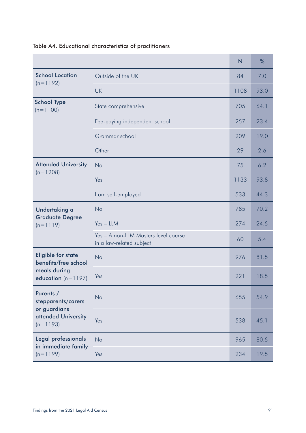|                                                                                      |                                                                  | $\overline{N}$ | $\%$ |
|--------------------------------------------------------------------------------------|------------------------------------------------------------------|----------------|------|
| <b>School Location</b>                                                               | Outside of the UK                                                | 84             | 7.0  |
| $(n=1192)$                                                                           | <b>UK</b>                                                        | 1108           | 93.0 |
| <b>School Type</b><br>$(n=1100)$                                                     | State comprehensive                                              | 705            | 64.1 |
|                                                                                      | Fee-paying independent school                                    | 257            | 23.4 |
|                                                                                      | Grammar school                                                   | 209            | 19.0 |
|                                                                                      | Other                                                            | 29             | 2.6  |
| <b>Attended University</b><br>$(n=1208)$                                             | <b>No</b>                                                        | 75             | 6.2  |
|                                                                                      | Yes                                                              | 1133           | 93.8 |
|                                                                                      | I am self-employed                                               | 533            | 44.3 |
| Undertaking a                                                                        | <b>No</b>                                                        | 785            | 70.2 |
| <b>Graduate Degree</b><br>$(n=1119)$                                                 | $Yes - LLM$                                                      | 274            | 24.5 |
|                                                                                      | Yes - A non-LLM Masters level course<br>in a law-related subject | 60             | 5.4  |
| <b>Eligible for state</b><br>benefits/free school                                    | <b>No</b>                                                        | 976            | 81.5 |
| meals during<br>education $(n=1197)$                                                 | Yes                                                              | 221            | 18.5 |
| Parents /<br>stepparents/carers<br>or guardians<br>attended University<br>$(n=1193)$ | <b>No</b>                                                        | 655            | 54.9 |
|                                                                                      | Yes                                                              | 538            | 45.1 |
| Legal professionals<br>in immediate family                                           | <b>No</b>                                                        | 965            | 80.5 |
| $(n=1199)$                                                                           | Yes                                                              | 234            | 19.5 |

## Table A4. Educational characteristics of practitioners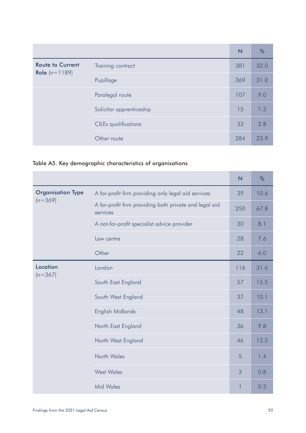|                                                   |                             | N   | %    |
|---------------------------------------------------|-----------------------------|-----|------|
| <b>Route to Current</b><br><b>Role</b> $(n=1189)$ | Training contract           | 381 | 32.0 |
|                                                   | Pupillage                   | 369 | 31.0 |
|                                                   | Paralegal route             | 107 | 9.0  |
|                                                   | Solicitor apprenticeship    | 15  | 1.3  |
|                                                   | <b>CILEx</b> qualifications | 33  | 2.8  |
|                                                   | Other route                 | 284 | 23.9 |

## Table A5. Key demographic characteristics of organisations

|                          |                                                                    | $\overline{\mathsf{N}}$ | $\%$ |
|--------------------------|--------------------------------------------------------------------|-------------------------|------|
| <b>Organisation Type</b> | A for-profit firm providing only legal aid services                | 39                      | 10.6 |
| $(n=369)$                | A for-profit firm providing both private and legal aid<br>services | 250                     | 67.8 |
|                          | A not-for-profit specialist advice provider                        | 30                      | 8.1  |
|                          | Law centre                                                         | 28                      | 7.6  |
|                          | Other                                                              | 22                      | 6.0  |
| Location                 | London                                                             | 116                     | 31.6 |
| $(n=367)$                | South East England                                                 | 57                      | 15.5 |
|                          | South West England                                                 | 37                      | 10.1 |
|                          | English Midlands                                                   | 48                      | 13.1 |
|                          | North East England                                                 | 36                      | 9.8  |
|                          | North West England                                                 | 46                      | 12.5 |
|                          | North Wales                                                        | 5                       | 1.4  |
|                          | <b>West Wales</b>                                                  | 3                       | 0.8  |
|                          | <b>Mid Wales</b>                                                   | 1                       | 0.3  |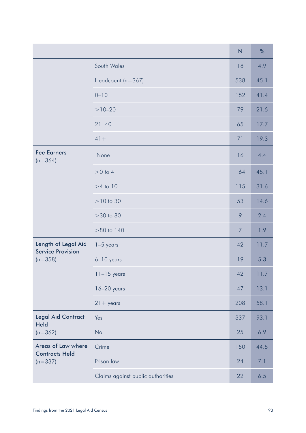|                                                              |                                   | $\overline{N}$ | %    |
|--------------------------------------------------------------|-----------------------------------|----------------|------|
|                                                              | South Wales                       | 18             | 4.9  |
|                                                              | Headcount (n=367)                 | 538            | 45.1 |
|                                                              | $0 - 10$                          | 152            | 41.4 |
|                                                              | $>10-20$                          | 79             | 21.5 |
|                                                              | $21 - 40$                         | 65             | 17.7 |
|                                                              | $41+$                             | 71             | 19.3 |
| <b>Fee Earners</b><br>$(n=364)$                              | None                              | 16             | 4.4  |
|                                                              | $>0$ to 4                         | 164            | 45.1 |
|                                                              | $>4$ to 10                        | 115            | 31.6 |
|                                                              | $>10$ to 30                       | 53             | 14.6 |
|                                                              | $>30$ to $80$                     | 9              | 2.4  |
|                                                              | $>80$ to 140                      | $\overline{7}$ | 1.9  |
| Length of Legal Aid<br><b>Service Provision</b><br>$(n=358)$ | $1-5$ years                       | 42             | 11.7 |
|                                                              | $6-10$ years                      | 19             | 5.3  |
|                                                              | $11-15$ years                     | 42             | 11.7 |
|                                                              | $16-20$ years                     | 47             | 13.1 |
|                                                              | $21 + \gamma$ ears                | 208            | 58.1 |
| <b>Legal Aid Contract</b><br><b>Held</b>                     | Yes                               | 337            | 93.1 |
| $(n=362)$                                                    | No                                | 25             | 6.9  |
| Areas of Law where<br><b>Contracts Held</b>                  | Crime                             | 150            | 44.5 |
| $(n=337)$                                                    | Prison law                        | 24             | 7.1  |
|                                                              | Claims against public authorities | 22             | 6.5  |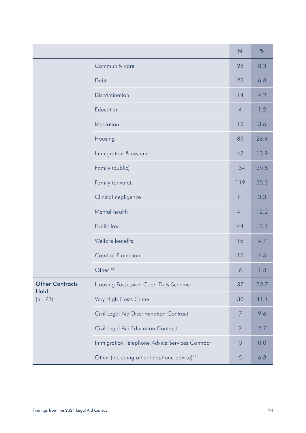|                         |                                                         | $\overline{\mathsf{N}}$ | %    |
|-------------------------|---------------------------------------------------------|-------------------------|------|
|                         | Community care                                          | 28                      | 8.3  |
|                         | Debt                                                    | 23                      | 6.8  |
|                         | Discrimination                                          | 14                      | 4.2  |
|                         | Education                                               | $\overline{4}$          | 1.2  |
|                         | Mediation                                               | 12                      | 3.6  |
|                         | Housing                                                 | 89                      | 26.4 |
|                         | Immigration & asylum                                    | 47                      | 13.9 |
|                         | Family (public)                                         | 134                     | 39.8 |
|                         | Family (private)                                        | 119                     | 35.3 |
|                         | Clinical negligence                                     | 11                      | 3.3  |
|                         | Mental health                                           | 41                      | 12.2 |
|                         | Public law                                              | 44                      | 13.1 |
|                         | Welfare benefits                                        | 16                      | 4.7  |
|                         | Court of Protection                                     | 15                      | 4.5  |
|                         | Other <sup>162</sup>                                    | 6                       | 1.8  |
| <b>Other Contracts</b>  | Housing Possession Court Duty Scheme                    | 37                      | 50.7 |
| <b>Held</b><br>$(n=73)$ | Very High Costs Crime                                   | 30                      | 41.1 |
|                         | Civil Legal Aid Discrimination Contract                 | $\overline{7}$          | 9.6  |
|                         | Civil Legal Aid Education Contract                      | $\overline{2}$          | 2.7  |
|                         | Immigration Telephone Advice Services Contract          | $\theta$                | 0.0  |
|                         | Other (including other telephone advice) <sup>163</sup> | 5                       | 6.8  |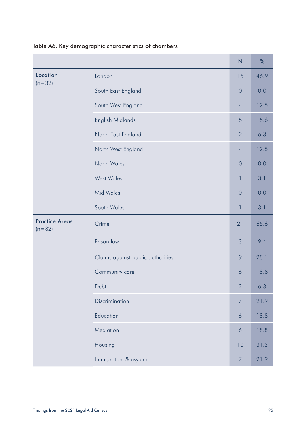|                                   |                                   | $\overline{\mathsf{N}}$ | %    |
|-----------------------------------|-----------------------------------|-------------------------|------|
| Location                          | London                            | 15                      | 46.9 |
| $(n=32)$                          | South East England                | $\overline{0}$          | 0.0  |
|                                   | South West England                | $\overline{4}$          | 12.5 |
|                                   | English Midlands                  | 5                       | 15.6 |
|                                   | North East England                | $\overline{2}$          | 6.3  |
|                                   | North West England                | $\overline{4}$          | 12.5 |
|                                   | North Wales                       | $\overline{0}$          | 0.0  |
|                                   | <b>West Wales</b>                 | $\mathbf{1}$            | 3.1  |
|                                   | <b>Mid Wales</b>                  | $\overline{0}$          | 0.0  |
|                                   | South Wales                       | $\mathcal{I}$           | 3.1  |
| <b>Practice Areas</b><br>$(n=32)$ | Crime                             | 21                      | 65.6 |
|                                   | Prison law                        | 3                       | 9.4  |
|                                   | Claims against public authorities | 9                       | 28.1 |
|                                   | Community care                    | 6                       | 18.8 |
|                                   | Debt                              | $\overline{2}$          | 6.3  |
|                                   | Discrimination                    | $\overline{7}$          | 21.9 |
|                                   | Education                         | 6                       | 18.8 |
|                                   | Mediation                         | $\boldsymbol{6}$        | 18.8 |
|                                   | Housing                           | 10                      | 31.3 |
|                                   | Immigration & asylum              | $\overline{7}$          | 21.9 |

## Table A6. Key demographic characteristics of chambers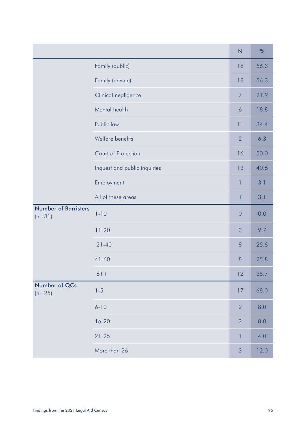|                                         |                              | $\overline{\mathsf{N}}$ | %    |
|-----------------------------------------|------------------------------|-------------------------|------|
|                                         | Family (public)              | 18                      | 56.3 |
|                                         | Family (private)             | 18                      | 56.3 |
|                                         | Clinical negligence          | $\overline{7}$          | 21.9 |
|                                         | Mental health                | 6                       | 18.8 |
|                                         | Public law                   | 11                      | 34.4 |
|                                         | Welfare benefits             | $\overline{2}$          | 6.3  |
|                                         | Court of Protection          | 16                      | 50.0 |
|                                         | Inquest and public inquiries | 13                      | 40.6 |
|                                         | Employment                   | $\mathbf{1}$            | 3.1  |
|                                         | All of these areas           | $\mathbf{I}$            | 3.1  |
| <b>Number of Barristers</b><br>$(n=31)$ | $1 - 10$                     | $\overline{0}$          | 0.0  |
|                                         | $11-20$                      | 3                       | 9.7  |
|                                         | $21 - 40$                    | 8                       | 25.8 |
|                                         | $41 - 60$                    | 8                       | 25.8 |
|                                         | $61 +$                       | 12                      | 38.7 |
| Number of QCs<br>$(n=25)$               | $1 - 5$                      | 17                      | 68.0 |
|                                         | $6 - 10$                     | $\overline{2}$          | 8.0  |
|                                         | $16 - 20$                    | $\overline{2}$          | 8.0  |
|                                         | $21 - 25$                    | $\mathbf{I}$            | 4.0  |
|                                         | More than 26                 | $\mathfrak{S}$          | 12.0 |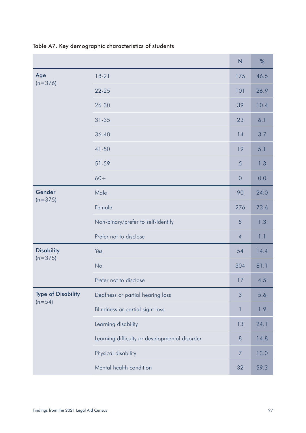|                                       |                                               | N              | %    |
|---------------------------------------|-----------------------------------------------|----------------|------|
| Age                                   | $18-21$                                       | 175            | 46.5 |
| $(n=376)$                             | $22 - 25$                                     | 101            | 26.9 |
|                                       | 26-30                                         | 39             | 10.4 |
|                                       | $31 - 35$                                     | 23             | 6.1  |
|                                       | $36 - 40$                                     | 14             | 3.7  |
|                                       | 41-50                                         | 19             | 5.1  |
|                                       | 51-59                                         | 5              | 1.3  |
|                                       | $60+$                                         | $\overline{0}$ | 0.0  |
| Gender<br>$(n=375)$                   | Male                                          | 90             | 24.0 |
|                                       | Female                                        | 276            | 73.6 |
|                                       | Non-binary/prefer to self-Identify            | 5              | 1.3  |
|                                       | Prefer not to disclose                        | $\overline{4}$ | 1.1  |
| <b>Disability</b>                     | Yes                                           | 54             | 14.4 |
| $(n=375)$                             | No                                            | 304            | 81.1 |
|                                       | Prefer not to disclose                        | 17             | 4.5  |
| <b>Type of Disability</b><br>$(n=54)$ | Deafness or partial hearing loss              | 3              | 5.6  |
|                                       | Blindness or partial sight loss               | 1              | 1.9  |
|                                       | Learning disability                           | 13             | 24.1 |
|                                       | Learning difficulty or developmental disorder | 8              | 14.8 |
|                                       | Physical disability                           | $\overline{7}$ | 13.0 |
|                                       | Mental health condition                       | 32             | 59.3 |

Table A7. Key demographic characteristics of students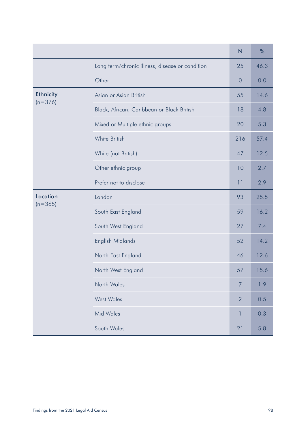|                               |                                                 | $\overline{\mathsf{N}}$ | %    |
|-------------------------------|-------------------------------------------------|-------------------------|------|
|                               | Long term/chronic illness, disease or condition | 25                      | 46.3 |
|                               | Other                                           | $\overline{0}$          | 0.0  |
| <b>Ethnicity</b><br>$(n=376)$ | Asian or Asian British                          | 55                      | 14.6 |
|                               | Black, African, Caribbean or Black British      | 18                      | 4.8  |
|                               | Mixed or Multiple ethnic groups                 | 20                      | 5.3  |
|                               | White British                                   | 216                     | 57.4 |
|                               | White (not British)                             | 47                      | 12.5 |
|                               | Other ethnic group                              | 10                      | 2.7  |
|                               | Prefer not to disclose                          | 11                      | 2.9  |
| Location<br>$(n=365)$         | London                                          | 93                      | 25.5 |
|                               | South East England                              | 59                      | 16.2 |
|                               | South West England                              | 27                      | 7.4  |
|                               | English Midlands                                | 52                      | 14.2 |
|                               | North East England                              | 46                      | 12.6 |
|                               | North West England                              | 57                      | 15.6 |
|                               | North Wales                                     | $\overline{7}$          | 1.9  |
|                               | <b>West Wales</b>                               | $\overline{2}$          | 0.5  |
|                               | <b>Mid Wales</b>                                | 1                       | 0.3  |
|                               | South Wales                                     | 21                      | 5.8  |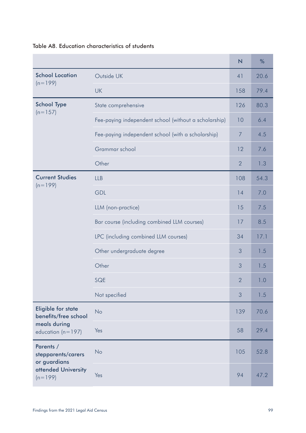|                                                                                     |                                                       | N              | %    |
|-------------------------------------------------------------------------------------|-------------------------------------------------------|----------------|------|
| <b>School Location</b>                                                              | Outside UK                                            | 41             | 20.6 |
| $(n=199)$                                                                           | <b>UK</b>                                             | 158            | 79.4 |
| <b>School Type</b><br>$(n=157)$                                                     | State comprehensive                                   | 126            | 80.3 |
|                                                                                     | Fee-paying independent school (without a scholarship) | 10             | 6.4  |
|                                                                                     | Fee-paying independent school (with a scholarship)    | $\overline{7}$ | 4.5  |
|                                                                                     | Grammar school                                        | 12             | 7.6  |
|                                                                                     | Other                                                 | $\overline{2}$ | 1.3  |
| <b>Current Studies</b><br>$(n=199)$                                                 | <b>LLB</b>                                            | 108            | 54.3 |
|                                                                                     | <b>GDL</b>                                            | 14             | 7.0  |
|                                                                                     | LLM (non-practice)                                    | 15             | 7.5  |
|                                                                                     | Bar course (including combined LLM courses)           | 17             | 8.5  |
|                                                                                     | LPC (including combined LLM courses)                  | 34             | 17.1 |
|                                                                                     | Other undergraduate degree                            | 3              | 1.5  |
|                                                                                     | Other                                                 | 3              | 1.5  |
|                                                                                     | SQE                                                   | $\overline{2}$ | 1.0  |
|                                                                                     | Not specified                                         | 3              | 1.5  |
| <b>Eligible for state</b><br>benefits/free school                                   | <b>No</b>                                             | 139            | 70.6 |
| meals during<br>education ( $n = 197$ )                                             | Yes                                                   | 58             | 29.4 |
| Parents /<br>stepparents/carers<br>or guardians<br>attended University<br>$(n=199)$ | <b>No</b>                                             | 105            | 52.8 |
|                                                                                     | Yes                                                   | 94             | 47.2 |

#### Table A8. Education characteristics of students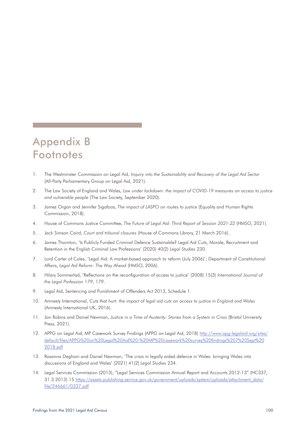## Appendix B **Footnotes**

- 1. The Westminster Commission on Legal Aid, *Inquiry into the Sustainability and Recovery of the Legal Aid Sector* (All-Party Parliamentary Group on Legal Aid, 2021).
- 2. The Law Society of England and Wales, *Law under lockdown: the impact of COVID-19 measures on access to justice and vulnerable people* (The Law Society, September 2020).
- 3. James Organ and Jennifer Sigafoos, *The impact of LASPO on routes to justice* (Equality and Human Rights Commission, 2018).
- 4. House of Commons Justice Committee, *The Future of Legal Aid: Third Report of Session 2021-22* (HMSO, 2021).
- 5. Jack Simson Caird, *Court and tribunal closures* (House of Commons Library, 21 March 2016).
- 6. James Thornton, 'Is Publicly Funded Criminal Defence Sustainable? Legal Aid Cuts, Morale, Recruitment and Retention in the English Criminal Law Professions' (2020) 40(2) *Legal Studies* 230.
- 7. Lord Carter of Coles, 'Legal Aid: A market-based approach to reform (July 2006)'; Department of Constitutional Affairs, *Legal Aid Reform: The Way Ahead* (HMSO, 2006).
- 8. Hilary Sommerlad, 'Reflections on the reconfiguration of access to justice' (2008) 15(3) *International Journal of the Legal Profession* 179, 179.
- 9. Legal Aid, Sentencing and Punishment of Offenders Act 2013, Schedule 1.
- 10. Amnesty International, Cuts that hurt: *the impact of legal aid cuts on access to justice in England and Wales* (Amnesty International UK, 2016).
- 11. Jon Robins and Daniel Newman, *Justice in a Time of Austerity: Stories from a System in Crisis* (Bristol University Press, 2021).
- 12. APPG on Legal Aid, MP Casework Survey Findings (APPG on Legal Aid, 2018) [http://www.apg-legalaid.org/sites/](http://www.apg-legalaid.org/sites/default/files/APPG%20on%20Legal%20Aid%20-%20MP%20casework%20survey%20findings%207%20Sept%202018.pdf) [default/files/APPG%20on%20Legal%20Aid%20-%20MP%20casework%20survey%20findings%207%20Sept%20](http://www.apg-legalaid.org/sites/default/files/APPG%20on%20Legal%20Aid%20-%20MP%20casework%20survey%20findings%207%20Sept%202018.pdf) [2018.pdf](http://www.apg-legalaid.org/sites/default/files/APPG%20on%20Legal%20Aid%20-%20MP%20casework%20survey%20findings%207%20Sept%202018.pdf)
- 13. Roxanna Deghani and Daniel Newman, 'The crisis in legally aided defence in Wales: bringing Wales into discussions of England and Wales' (2021) 41(2) *Legal Studies* 234.
- 14. Legal Services Commission (2013), "Legal Services Commission Annual Report and Accounts 2012-13" (HC337, 31.3.2013) 15 [https://assets.publishing.service.gov.uk/government/uploads/system/uploads/attachment\\_data/](https://assets.publishing.service.gov.uk/government/uploads/system/uploads/attachment_data/file/246661/0337.pdf) [file/246661/0337.pdf](https://assets.publishing.service.gov.uk/government/uploads/system/uploads/attachment_data/file/246661/0337.pdf)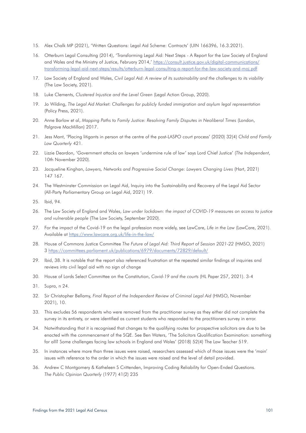- 15. Alex Chalk MP (2021), 'Written Questions: Legal Aid Scheme: Contracts' (UIN 166396, 16.3.2021).
- 16. Otterburn Legal Consulting (2014), 'Transforming Legal Aid: Next Steps A Report for the Law Society of England and Wales and the Ministry of Justice, February 2014,' [https://consult.justice.gov.uk/digital-communications/](https://consult.justice.gov.uk/digital-communications/transforming-legal-aid-next-steps/results/otterburn-legal-consulting-a-report-for-the-law-society-and-moj.pdf) [transforming-legal-aid-next-steps/results/otterburn-legal-consulting-a-report-for-the-law-society-and-moj.pdf](https://consult.justice.gov.uk/digital-communications/transforming-legal-aid-next-steps/results/otterburn-legal-consulting-a-report-for-the-law-society-and-moj.pdf)
- 17. Law Society of England and Wales, *Civil Legal Aid: A review of its sustainability and the challenges to its viability* (The Law Society, 2021).
- 18. Luke Clements, *Clustered Injustice and the Level Green* (Legal Action Group, 2020).
- 19. Jo Wilding, *The Legal Aid Market: Challenges for publicly funded immigration and asylum legal representation* (Policy Press, 2021).
- 20. Anne Barlow et al, *Mapping Paths to Family Justice: Resolving Family Disputes in Neoliberal Times* (London, Palgrave MacMillan) 2017.
- 21. Jess Mant, 'Placing litigants in person at the centre of the post-LASPO court process' (2020) 32(4) *Child and Family Law Quarterly* 421.
- 22. Lizzie Deardon, 'Government attacks on lawyers 'undermine rule of law' says Lord Chief Justice' (*The Independent*, 10th November 2020).
- 23. Jacqueline Kinghan, *Lawyers, Networks and Progressive Social Change: Lawyers Changing Lives* (Hart, 2021) 147 167.
- 24. The Westminster Commission on Legal Aid, Inquiry into the Sustainability and Recovery of the Legal Aid Sector (All-Party Parliamentary Group on Legal Aid, 2021) 19.
- 25. Ibid, 94.
- 26. The Law Society of England and Wales, *Law under lockdown: the impact of COVID-19 measures on access to justice and vulnerable people* (The Law Society, September 2020).
- 27. For the impact of the Covid-19 on the legal profession more widely, see LawCare, *Life in the Law* (LawCare, 2021). Available at<https://www.lawcare.org.uk/life-in-the-law/>
- 28. House of Commons Justice Committee *The Future of Legal Aid: Third Report of Session 2021-22* (HMSO, 2021) 3<https://committees.parliament.uk/publications/6979/documents/72829/default/>
- 29. Ibid, 38. It is notable that the report also referenced frustration at the repeated similar findings of inquiries and reviews into civil legal aid with no sign of change
- 30. House of Lords Select Committee on the Constitution, *Covid-19 and the courts* (HL Paper 257, 2021). 3-4
- 31. Supra, n 24.
- 32. Sir Christopher Bellamy, *Final Report of the Independent Review of Criminal Legal Aid* (HMSO, November 2021), 10.
- 33. This excludes 56 respondents who were removed from the practitioner survey as they either did not complete the survey in its entirety, or were identified as current students who responded to the practitioners survey in error.
- 34. Notwithstanding that it is recognised that changes to the qualifying routes for prospective solicitors are due to be enacted with the commencement of the SQE. See Ben Waters, 'The Solicitors Qualification Examination: something for all? Some challenges facing law schools in England and Wales' (2018) 52(4) The Law Teacher 519.
- 35. In instances where more than three issues were raised, researchers assessed which of those issues were the 'main' issues with reference to the order in which the issues were raised and the level of detail provided.
- 36. Andrew C Montgomery & Katheleen S Crittenden, Improving Coding Reliability for Open-Ended Questions. *The Public Opinion Quarterly* (1977) 41(2) 235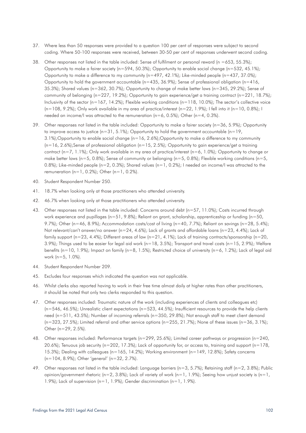- 37. Where less than 50 responses were provided to a question 100 per cent of responses were subject to second coding. Where 50-100 responses were received, between 30-50 per cent of responses underwent second coding.
- 38. Other responses not listed in the table included: Sense of fulfilment or personal reward (n =653, 55.3%); Opportunity to make a fairer society (n=594, 50.3%); Opportunity to enable social change (n=532, 45.1%); Opportunity to make a difference to my community ( $n=497, 42.1\%$ ); Like-minded people ( $n=437, 37.0\%$ ); Opportunity to hold the government accountable ( $n=435$ ,  $36.9\%$ ); Sense of professional obligation ( $n=416$ , 35.3%); Shared values (n=362, 30.7%); Opportunity to change of make better laws (n=345, 29.2%); Sense of community of belonging (n=227, 19.2%); Opportunity to gain experience/get a training contract (n=221, 18.7%); Inclusivity of the sector ( $n=167$ , 14.2%); Flexible working conditions ( $n=118$ , 10.0%); The sector's collective voice  $(n=108, 9.2%)$ ; Only work available in my area of practice/interest  $(n=22, 1.9%)$ ; I fell into it  $(n=10, 0.8%)$ ; I needed an income/I was attracted to the remuneration  $(n=6, 0.5\%)$ ; Other  $(n=4, 0.3\%)$ .
- 39. Other responses not listed in the table included: Opportunity to make a fairer society (n=36, 5.9%); Opportunity to improve access to justice  $(n=31, 5.1\%)$ ; Opportunity to hold the government accountable  $(n=19, 100)$ 3.1%);Opportunity to enable social change (n=16, 2.6%);Opportunity to make a difference to my community  $(n=16, 2.6\%)$ ;Sense of professional obligation  $(n=15, 2.5\%)$ ; Opportunity to gain experience/get a training contract (n=7, 1.1%); Only work available in my area of practice/interest (n=6, 1.0%); Opportunity to change or make better laws ( $n=5$ , 0.8%); Sense of community or belonging ( $n=5$ , 0.8%); Flexible working conditions ( $n=5$ , 0.8%); Like-minded people (n=2, 0.3%); Shared values (n=1, 0.2%); I needed an income/I was attracted to the remuneration  $(n=1, 0.2\%)$ ; Other  $(n=1, 0.2\%)$ .
- 40. Student Respondent Number 250.
- 41. 18.7% when looking only at those practitioners who attended university.
- 42. 46.7% when looking only at those practitioners who attended university.
- 43. Other responses not listed in the table included: Concerns around debt (n=57, 11.0%); Costs incurred through work experience and pupillages (n=51, 9.8%); Reliant on grant, scholarship, apprenticeship or funding (n=50, 9.7%); Other (n=46, 8.9%); Accommodation costs/cost of living (n=40, 7.7%); Reliant on savings (n=28, 5.4%); Not relevant/can't answer/no answer (n=24, 4.6%); Lack of grants and affordable loans (n=23, 4.4%); Lack of family support (n=23, 4.4%); Different areas of law (n=21, 4.1%); Lack of training contracts/sponsorship (n=20, 3.9%); Things used to be easier for legal aid work ( $n=18, 3.5\%$ ); Transport and travel costs ( $n=15, 2.9\%$ ); Welfare benefits (n=10, 1.9%); Impact on family (n=8, 1.5%); Restricted choice of university (n=6, 1.2%); Lack of legal aid work (n=5, 1.0%).
- 44. Student Respondent Number 209.
- 45. Excludes four responses which indicated the question was not applicable.
- 46. Whilst clerks also reported having to work in their free time almost daily at higher rates than other practitioners, it should be noted that only two clerks responded to this question.
- 47. Other responses included: Traumatic nature of the work (including experiences of clients and colleagues etc)  $(n=546, 46.5\%)$ ; Unrealistic client expectations  $(n=523, 44.5\%)$ ; Insufficient resources to provide the help clients need (n=511, 43.5%); Number of incoming referrals (n=350, 29.8%); Not enough staff to meet client demand  $(n=323, 27.5\%)$ ; Limited referral and other service options  $(n=255, 21.7\%)$ ; None of these issues  $(n=36, 3.1\%)$ ; Other (n=29, 2.5%).
- 48. Other responses included: Performance targets (n=299, 25.6%); Limited career pathways or progression (n=240, 20.6%); Tenuous job security (n=202, 17.3%); Lack of opportunity for, or access to, training and support (n=178, 15.3%); Dealing with colleagues (n=165, 14.2%); Working environment (n=149, 12.8%); Safety concerns (n=104, 8.9%); Other 'general' (n=32, 2.7%).
- 49. Other responses not listed in the table included: Language barriers (n=3, 5.7%); Retaining staff (n=2, 3.8%); Public opinion/government rhetoric (n=2, 3.8%); Lack of variety of work (n=1, 1.9%); Seeing how unjust society is (n=1, 1.9%); Lack of supervision (n=1, 1.9%); Gender discrimination (n=1, 1.9%).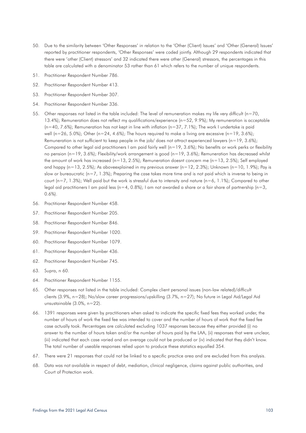- 50. Due to the similarity between 'Other Responses' in relation to the 'Other (Client) Issues' and 'Other (General) Issues' reported by practitioner respondents, 'Other Responses' were coded jointly. Although 29 respondents indicated that there were 'other (Client) stressors' and 32 indicated there were other (General) stressors, the percentages in this table are calculated with a denominator 53 rather than 61 which refers to the number of unique respondents.
- 51. Practitioner Respondent Number 786.
- 52. Practitioner Respondent Number 413.
- 53. Practitioner Respondent Number 307.
- 54. Practitioner Respondent Number 336.
- 55. Other responses not listed in the table included: The level of remuneration makes my life very difficult (n=70, 13.4%); Remuneration does not reflect my qualifications/experience (n=52, 9.9%); My remuneration is acceptable  $(n=40, 7.6\%)$ ; Remuneration has not kept in line with inflation  $(n=37, 7.1\%)$ ; The work I undertake is paid well (n=26, 5.0%); Other (n=24, 4.6%); The hours required to make a living are excessive (n=19, 3.6%); Remuneration is not sufficient to keep people in the job/ does not attract experienced lawyers (n=19, 3.6%); Compared to other legal aid practitioners I am paid fairly well ( $n=19$ , 3.6%); No benefits or work perks or flexibility no pension (n=19, 3.6%); Flexibility/work arrangement is good (n=19, 3.6%); Remuneration has decreased whilst the amount of work has increased (n=13, 2.5%); Remuneration doesnt concern me (n=13, 2.5%); Self employed and happy (n=13, 2.5%); As aboveexplained in my previous answer (n=12, 2.3%); Unknown (n=10, 1.9%); Pay is slow or bureaucratic ( $n=7$ , 1.3%); Preparing the case takes more time and is not paid which is inverse to being in court ( $n=7$ , 1.3%); Well paid but the work is stressful due to intensity and nature ( $n=6$ , 1.1%); Compared to other legal aid practitioners I am paid less ( $n=4$ , 0.8%); I am not awarded a share or a fair share of partnership ( $n=3$ , 0.6%).
- 56. Practitioner Respondent Number 458.
- 57. Practitioner Respondent Number 205.
- 58. Practitioner Respondent Number 846.
- 59. Practitioner Respondent Number 1020.
- 60. Practitioner Respondent Number 1079.
- 61. Practitioner Respondent Number 436.
- 62. Practitioner Respondent Number 745.
- 63. Supra, n 60.
- 64. Practitioner Respondent Number 1155.
- 65. Other responses not listed in the table included: Complex client personal issues (non-law related)/difficult clients (3.9%, n=28); No/slow career progressions/upskilling (3.7%, n=27); No future in Legal Aid/Legal Aid unsustainable (3.0%, n=22).
- 66. 1391 responses were given by practitioners when asked to indicate the specific fixed fees they worked under, the number of hours of work the fixed fee was intended to cover and the number of hours of work that the fixed fee case actually took. Percentages are calculated excluding 1037 responses because they either provided (i) no answer to the number of hours taken and/or the number of hours paid by the LAA, (ii) responses that were unclear, (iii) indicated that each case varied and an average could not be produced or (iv) indicated that they didn't know. The total number of useable responses relied upon to produce these statistics equalled 354.
- 67. There were 21 responses that could not be linked to a specific practice area and are excluded from this analysis.
- 68. Data was not available in respect of debt, mediation, clinical negligence, claims against public authorities, and Court of Protection work.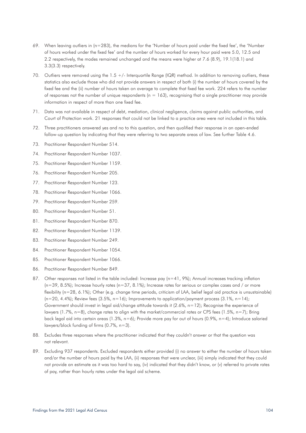- 69. When leaving outliers in (n=283), the medians for the 'Number of hours paid under the fixed fee', the 'Number of hours worked under the fixed fee' and the number of hours worked for every hour paid were 5.0, 12.5 and 2.2 respectively, the modes remained unchanged and the means were higher at 7.6 (8.9), 19.1(18.1) and 3.3(3.3) respectively.
- 70. Outliers were removed using the 1.5 +/- Interquartile Range (IQR) method. In addition to removing outliers, these statistics also exclude those who did not provide answers in respect of both (i) the number of hours covered by the fixed fee and the (ii) number of hours taken on average to complete that fixed fee work. 224 refers to the number of responses not the number of unique respondents ( $n = 163$ ), recognising that a single practitioner may provide information in respect of more than one fixed fee.
- 71. Data was not available in respect of debt, mediation, clinical negligence, claims against public authorities, and Court of Protection work. 21 responses that could not be linked to a practice area were not included in this table.
- 72. Three practitioners answered yes and no to this question, and then qualified their response in an open-ended follow-up question by indicating that they were referring to two separate areas of law. See further Table 4.6.
- 73. Practitioner Respondent Number 514.
- 74. Practitioner Respondent Number 1037.
- 75. Practitioner Respondent Number 1159.
- 76. Practitioner Respondent Number 205.
- 77. Practitioner Respondent Number 123.
- 78. Practitioner Respondent Number 1066.
- 79. Practitioner Respondent Number 259.
- 80. Practitioner Respondent Number 51.
- 81. Practitioner Respondent Number 870.
- 82. Practitioner Respondent Number 1139.
- 83. Practitioner Respondent Number 249.
- 84. Practitioner Respondent Number 1054.
- 85. Practitioner Respondent Number 1066.
- 86. Practitioner Respondent Number 849.
- 87. Other responses not listed in the table included: Increase pay (n=41, 9%); Annual increases tracking inflation  $(n=39, 8.5\%)$ ; Increase hourly rates  $(n=37, 8.1\%)$ ; Increase rates for serious or complex cases and / or more flexibility (n=28, 6.1%); Other (e.g. change time periods, criticism of LAA, belief legal aid practice is unsustainable)  $(n=20, 4.4\%)$ ; Review fees  $(3.5\%, n=16)$ ; Improvements to application/payment process  $(3.1\%, n=14)$ ; Government should invest in legal aid/change attitude towards it (2.6%, n=12); Recognise the experience of lawyers (1.7%, n=8), change rates to align with the market/commercial rates or CPS fees (1.5%, n=7); Bring back legal aid into certain areas (1.3%, n=6); Provide more pay for out of hours (0.9%, n=4); Introduce salaried lawyers/block funding of firms (0.7%, n=3).
- 88. Excludes three responses where the practitioner indicated that they couldn't answer or that the question was not relevant.
- 89. Excluding 937 respondents. Excluded respondents either provided (i) no answer to either the number of hours taken and/or the number of hours paid by the LAA, (ii) responses that were unclear, (iii) simply indicated that they could not provide an estimate as it was too hard to say, (iv) indicated that they didn't know, or (v) referred to private rates of pay, rather than hourly rates under the legal aid scheme.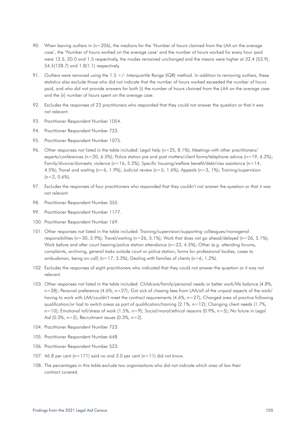- 90. When leaving outliers in (n=206), the medians for the 'Number of hours claimed from the LAA on the average case', the 'Number of hours worked on the average case' and the number of hours worked for every hour paid were 12.5, 20.0 and 1.5 respectively, the modes remained unchanged and the means were higher at 32.4 (53.9), 54.5(128.7) and 1.8(1.1) respectively.
- 91. Outliers were removed using the 1.5 +/- Interquartile Range (IQR) method. In addition to removing outliers, these statistics also exclude those who did not indicate that the number of hours worked exceeded the number of hours paid, and who did not provide answers for both (i) the number of hours claimed from the LAA on the average case and the (ii) number of hours spent on the average case.
- 92. Excludes the responses of 23 practitioners who responded that they could not answer the question or that it was not relevant.
- 93. Practitioner Respondent Number 1054.
- 94. Practitioner Respondent Number 723.
- 95. Practitioner Respondent Number 1075.
- 96. Other responses not listed in the table included: Legal help (n=25, 8.1%); Meetings with other practitioners/ experts/conferences (n=20, 6.5%); Police station pre and post matters/client forms/telephone advice (n=19, 6.2%); Family/divorce/domestic violence (n=16, 5.2%); Specific housing/welfare benefit/debt/visa assistance (n=14, 4.5%); Travel and waiting (n=6, 1.9%); Judicial review (n=5, 1.6%); Appeals (n=3, 1%); Training/supervision  $(n=2, 0.6\%)$ .
- 97. Excludes the responses of four practitioners who responded that they couldn't not answer the question or that it was not relevant.
- 98. Practitioner Respondent Number 355.
- 99. Practitioner Respondent Number 1177.
- 100. Practitioner Respondent Number 169.
- 101. Other responses not listed in the table included: Training/supervision/supporting colleagues/managerial responsibilities (n=30, 5.9%); Travel/waiting (n=26, 5.1%); Work that does not go ahead/delayed (n=26, 5.1%); Work before and after court hearing/police station attendance (n=23, 4.5%); Other (e.g. attending forums, complaints, archiving, general tasks outside court or police station, forms for professional bodies, cases to ombudsman, being on call) (n=17, 3.3%); Dealing with families of clients (n=6, 1.2%).
- 102. Excludes the responses of eight practitioners who indicated that they could not answer the question or it was not relevant.
- 103. Other responses not listed in the table included: Childcare/family/personal needs or better work/life balance (4.8%, n=28); Personal preference (4.6%, n=27); Got sick of chasing fees from LAA/all of the unpaid aspects of the work/ having to work with LAA/couldn't meet the contract requirements (4.6%, n=27); Changed area of practice following qualification/or had to switch areas as part of qualification/training (2.1%, n=12); Changing client needs (1.7%, n=10); Emotional toll/stress of work (1.5%, n=9); Social/moral/ethical reasons (0.9%, n=5); No future in Legal Aid  $(0.3\% , n=2)$ ; Recruitment issues  $(0.3\% , n=2)$ .
- 104. Practitioner Respondent Number 723.
- 105. Practitioner Respondent Number 648.
- 106. Practitioner Respondent Number 523.
- 107. 46.8 per cent (n=171) said no and 3.0 per cent (n=11) did not know.
- 108. The percentages in this table exclude two organisations who did not indicate which area of law their contract covered.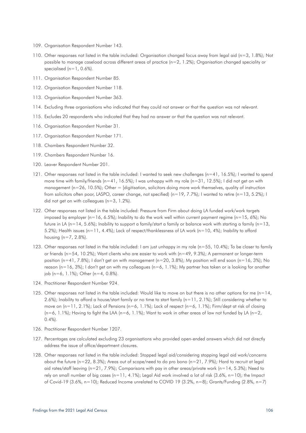- 109. Organisation Respondent Number 143.
- 110. Other responses not listed in the table included: Organisation changed focus away from legal aid (n=3, 1.8%); Not possible to manage caseload across different areas of practice (n=2, 1.2%); Organisation changed speciality or specialised  $(n=1, 0.6\%)$ .
- 111. Organisation Respondent Number 85.
- 112. Organisation Respondent Number 118.
- 113. Organisation Respondent Number 363.
- 114. Excluding three organisations who indicated that they could not answer or that the question was not relevant.
- 115. Excludes 20 respondents who indicated that they had no answer or that the question was not relevant.
- 116. Organisation Respondent Number 31.
- 117. Organisation Respondent Number 171.
- 118. Chambers Respondent Number 32.
- 119. Chambers Respondent Number 16.
- 120. Leaver Respondent Number 201.
- 121. Other responses not listed in the table included: I wanted to seek new challenges (n=41, 16.5%); I wanted to spend more time with family/friends (n=41, 16.5%); I was unhappy with my role (n=31, 12.5%); I did not get on with management ( $n=26$ , 10.5%); Other = [digitisation, solicitors doing more work themselves, quality of instruction from solicitors often poor, LASPO, career change, not specified) (n=19, 7.7%); I wanted to retire (n=13, 5.2%); I did not get on with colleagues (n=3, 1.2%).
- 122. Other responses not listed in the table included: Pressure from Firm about doing LA funded work/work targets imposed by employer (n=16, 6.5%); Inability to do the work well within current payment regime (n=15, 6%); No future in LA (n=14, 5.6%); Inability to support a family/start a family or balance work with starting a family (n=13, 5.2%); Health issues (n=11, 4.4%); Lack of respect/thanklessness of LA work (n=10, 4%); Inability to afford housing (n=7, 2.8%).
- 123. Other responses not listed in the table included: I am just unhappy in my role (n=55, 10.4%); To be closer to family or friends (n=54, 10.2%); Want clients who are easier to work with (n=49, 9.3%); A permanent or longer-term position (n=41, 7.8%); I don't get on with management (n=20, 3.8%); My position will end soon (n=16, 3%); No reason (n=16, 3%); I don't get on with my colleagues (n=6, 1.1%); My partner has taken or is looking for another job (n=6, 1.1%); Other (n=4, 0.8%).
- 124. Practitioner Respondent Number 924.
- 125. Other responses not listed in the table included: Would like to move on but there is no other options for me  $(n=14,$ 2.6%); Inability to afford a house/start family or no time to start family ( $n=11$ , 2.1%); Still considering whether to move on (n=11, 2.1%); Lack of Pensions (n=6, 1.1%); Lack of respect (n=6, 1.1%); Firm/dept at risk of closing  $(n=6, 1.1\%)$ ; Having to fight the LAA  $(n=6, 1.1\%)$ ; Want to work in other areas of law not funded by LA  $(n=2, 1.1\%)$  $(0.4\%)$ .
- 126. Practitioner Respondent Number 1207.
- 127. Percentages are calculated excluding 23 organisations who provided open-ended answers which did not directly address the issue of office/department closures.
- 128. Other responses not listed in the table included: Stopped legal aid/considering stopping legal aid work/concerns about the future (n=22, 8.3%); Areas out of scope/need to do pro bono (n=21, 7.9%); Hard to recruit at legal aid rates/staff leaving (n=21, 7.9%); Comparisons with pay in other areas/private work (n=14, 5.3%); Need to rely on small number of big cases (n=11, 4.1%); Legal Aid work involved a lot of risk (3.6%, n=10); the Impact of Covid-19 (3.6%, n=10); Reduced Income unrelated to COVID 19 (3.2%, n=8); Grants/Funding (2.8%, n=7)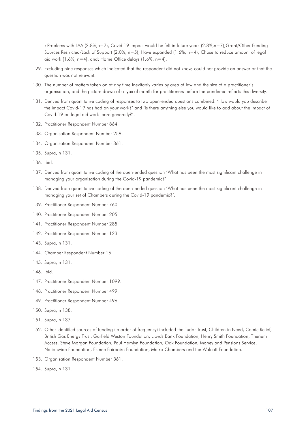; Problems with LAA (2.8%,n=7), Covid 19 impact would be felt in future years (2.8%,n=7);Grant/Other Funding Sources Restricted/Lack of Support (2.0%, n=5); Have expanded (1.6%, n=4); Chose to reduce amount of legal aid work  $(1.6\% , n=4)$ , and; Home Office delays  $(1.6\% , n=4)$ .

- 129. Excluding nine responses which indicated that the respondent did not know, could not provide an answer or that the question was not relevant.
- 130. The number of matters taken on at any time inevitably varies by area of law and the size of a practitioner's organisation, and the picture drawn of a typical month for practitioners before the pandemic reflects this diversity.
- 131. Derived from quantitative coding of responses to two open-ended questions combined: 'How would you describe the impact Covid-19 has had on your work?' and 'Is there anything else you would like to add about the impact of Covid-19 on legal aid work more generally?'.
- 132. Practitioner Respondent Number 864.
- 133. Organisation Respondent Number 259.
- 134. Organisation Respondent Number 361.
- 135. Supra, n 131.
- 136. Ibid.
- 137. Derived from quantitative coding of the open-ended question 'What has been the most significant challenge in managing your organisation during the Covid-19 pandemic?'
- 138. Derived from quantitative coding of the open-ended question 'What has been the most significant challenge in managing your set of Chambers during the Covid-19 pandemic?'.
- 139. Practitioner Respondent Number 760.
- 140. Practitioner Respondent Number 205.
- 141. Practitioner Respondent Number 285.
- 142. Practitioner Respondent Number 123.
- 143. Supra, n 131.
- 144. Chamber Respondent Number 16.
- 145. Supra, n 131.
- 146. Ibid.
- 147. Practitioner Respondent Number 1099.
- 148. Practitioner Respondent Number 499.
- 149. Practitioner Respondent Number 496.
- 150. Supra, n 138.
- 151. Supra, n 137.
- 152. Other identified sources of funding (in order of frequency) included the Tudor Trust, Children in Need, Comic Relief, British Gas Energy Trust, Garfield Weston Foundation, Lloyds Bank Foundation, Henry Smith Foundation, Therium Access, Steve Morgan Foundation, Paul Hamlyn Foundation, Oak Foundation, Money and Pensions Service, Nationwide Foundation, Esmee Fairbairn Foundation, Matrix Chambers and the Walcott Foundation.
- 153. Organisation Respondent Number 361.
- 154. Supra, n 131.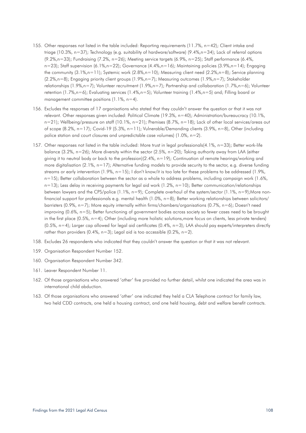- 155. Other responses not listed in the table included: Reporting requirements (11.7%, n=42); Client intake and triage (10.3%, n=37); Technology (e.g. suitability of hardware/software) (9.4%,n=34); Lack of referral options (9.2%,n=33); Fundraising (7.2%, n=26); Meeting service targets (6.9%, n=25); Staff performance (6.4%, n=23); Staff supervision (6.1%,n=22); Governance (4.4%,n=16); Maintaining policies (3.9%,n=14); Engaging the community (3.1%,n=11); Systemic work (2.8%,n=10); Measuring client need (2.2%,n=8); Service planning (2.2%,n=8); Engaging priority client groups (1.9%,n=7); Measuring outcomes (1.9%,n=7); Stakeholder relationships (1.9%,n=7); Volunteer recruitment (1.9%,n=7); Partnership and collaboration (1.7%,n=6); Volunteer retention (1.7%,n=6); Evaluating services (1.4%,n=5); Volunteer training (1.4%,n=5) and; Filling board or management committee positions  $(1.1\% , n=4)$ .
- 156. Excludes the responses of 17 organisations who stated that they couldn't answer the question or that it was not relevant. Other responses given included: Political Climate (19.3%, n=40); Administration/bureaucracy (10.1%, n=21); Wellbeing/pressure on staff (10.1%, n=21); Premises (8.7%, n=18); Lack of other local services/areas out of scope (8.2%, n=17); Covid-19 (5.3%, n=11); Vulnerable/Demanding clients (3.9%, n=8), Other (including police station and court closures and unpredictable case volumes) (1.0%, n=2).
- 157. Other responses not listed in the table included: More trust in legal professionals(4.1%, n=33); Better work-life balance (3.2%, n=26); More diversity within the sector (2.5%, n=20); Taking authority away from LAA (either giving it to neutral body or back to the profession)(2.4%, n=19); Continuation of remote hearings/working and more digitalisation (2.1%, n=17); Alternative funding models to provide security to the sector, e.g. diverse funding streams or early intervention (1.9%, n=15); I don't know/it is too late for these problems to be addressed (1.9%,  $n=15$ ); Better collaboration between the sector as a whole to address problems, including campaign work (1.6%, n=13); Less delay in receiving payments for legal aid work (1.2%, n=10); Better communication/relationships between lawyers and the CPS/police (1.1%, n=9); Complete overhaul of the system/sector (1.1%, n=9);More nonfinancial support for professionals e.g. mental health (1.0%, n=8); Better working relationships between solicitors/ barristers (0.9%, n=7); More equity internally within firms/chambers/organisations (0.7%, n=6); Doesn't need improving (0.6%, n=5); Better functioning of government bodies across society so fewer cases need to be brought in the first place (0.5%, n=4); Other (including more holistic solutions,more focus on clients, less private tenders)  $(0.5\%$ , n=4); Larger cap allowed for legal aid certificates  $(0.4\%$ , n=3); LAA should pay experts/interpreters directly rather than providers  $(0.4\% , n=3)$ ; Legal aid is too accessible  $(0.2\% , n=2)$ .
- 158. Excludes 26 respondents who indicated that they couldn't answer the question or that it was not relevant.
- 159. Organisation Respondent Number 152.
- 160. Organisation Respondent Number 342.
- 161. Leaver Respondent Number 11.
- 162. Of those organisations who answered 'other' five provided no further detail, whilst one indicated the area was in international child abduction.
- 163. Of those organisations who answered 'other' one indicated they held a CLA Telephone contract for family law, two held CDD contracts, one held a housing contract, and one held housing, debt and welfare benefit contracts.